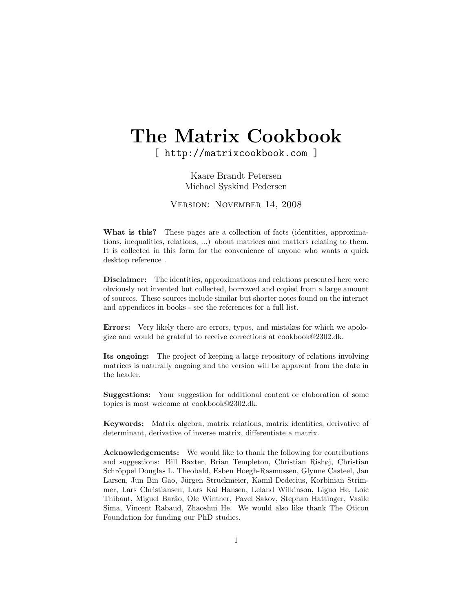# The Matrix Cookbook

[ http://matrixcookbook.com ]

Kaare Brandt Petersen Michael Syskind Pedersen

Version: November 14, 2008

What is this? These pages are a collection of facts (identities, approximations, inequalities, relations, ...) about matrices and matters relating to them. It is collected in this form for the convenience of anyone who wants a quick desktop reference .

Disclaimer: The identities, approximations and relations presented here were obviously not invented but collected, borrowed and copied from a large amount of sources. These sources include similar but shorter notes found on the internet and appendices in books - see the references for a full list.

Errors: Very likely there are errors, typos, and mistakes for which we apologize and would be grateful to receive corrections at cookbook@2302.dk.

Its ongoing: The project of keeping a large repository of relations involving matrices is naturally ongoing and the version will be apparent from the date in the header.

Suggestions: Your suggestion for additional content or elaboration of some topics is most welcome at cookbook@2302.dk.

Keywords: Matrix algebra, matrix relations, matrix identities, derivative of determinant, derivative of inverse matrix, differentiate a matrix.

Acknowledgements: We would like to thank the following for contributions and suggestions: Bill Baxter, Brian Templeton, Christian Rishøj, Christian Schröppel Douglas L. Theobald, Esben Hoegh-Rasmussen, Glynne Casteel, Jan Larsen, Jun Bin Gao, Jürgen Struckmeier, Kamil Dedecius, Korbinian Strimmer, Lars Christiansen, Lars Kai Hansen, Leland Wilkinson, Liguo He, Loic Thibaut, Miguel Bar˜ao, Ole Winther, Pavel Sakov, Stephan Hattinger, Vasile Sima, Vincent Rabaud, Zhaoshui He. We would also like thank The Oticon Foundation for funding our PhD studies.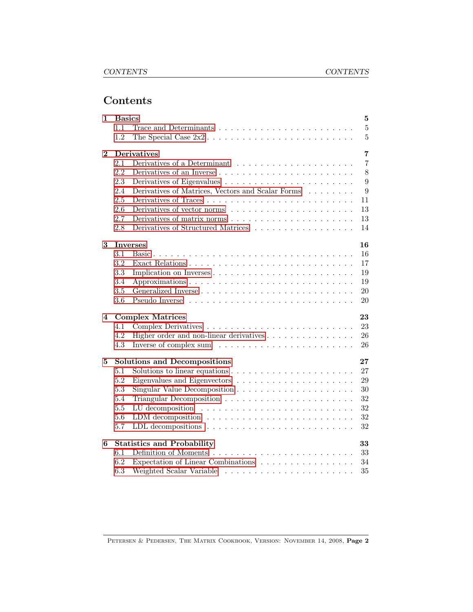# Contents

| 1        | <b>Basics</b><br>5 |                                                                                                  |  |  |  |  |
|----------|--------------------|--------------------------------------------------------------------------------------------------|--|--|--|--|
|          | 1.1                | $\overline{5}$<br>Trace and Determinants $\dots \dots \dots \dots \dots \dots \dots \dots \dots$ |  |  |  |  |
|          | 1.2                | $\overline{5}$                                                                                   |  |  |  |  |
| $\bf{2}$ |                    | $\overline{7}$<br><b>Derivatives</b>                                                             |  |  |  |  |
|          | 2.1                | $\overline{7}$                                                                                   |  |  |  |  |
|          | 2.2                | 8<br>Derivatives of an Inverse $\ldots \ldots \ldots \ldots \ldots \ldots \ldots \ldots$         |  |  |  |  |
|          | 2.3                | 9                                                                                                |  |  |  |  |
|          | 2.4                | Derivatives of Matrices, Vectors and Scalar Forms<br>9                                           |  |  |  |  |
|          | 2.5                | 11                                                                                               |  |  |  |  |
|          | 2.6                | 13                                                                                               |  |  |  |  |
|          | 2.7                | Derivatives of matrix norms $\ldots \ldots \ldots \ldots \ldots \ldots \ldots$<br>13             |  |  |  |  |
|          | 2.8                | Derivatives of Structured Matrices<br>14                                                         |  |  |  |  |
| 3        |                    | <b>Inverses</b><br>16                                                                            |  |  |  |  |
|          | 3.1                | 16                                                                                               |  |  |  |  |
|          | 3.2                | 17                                                                                               |  |  |  |  |
|          | 3.3                | 19<br>Implication on Inverses                                                                    |  |  |  |  |
|          | 3.4                | 19                                                                                               |  |  |  |  |
|          | 3.5                | 20                                                                                               |  |  |  |  |
|          | 3.6                | 20                                                                                               |  |  |  |  |
| 4        |                    | <b>Complex Matrices</b><br>23                                                                    |  |  |  |  |
|          | 4.1                | 23                                                                                               |  |  |  |  |
|          | 4.2                | Higher order and non-linear derivatives<br>26                                                    |  |  |  |  |
|          | 4.3                | 26                                                                                               |  |  |  |  |
| 5        |                    | <b>Solutions and Decompositions</b><br>27                                                        |  |  |  |  |
|          | 5.1                | 27                                                                                               |  |  |  |  |
|          | 5.2                | 29                                                                                               |  |  |  |  |
|          | 5.3                | 30                                                                                               |  |  |  |  |
|          | 5.4                | 32                                                                                               |  |  |  |  |
|          | 5.5                | 32                                                                                               |  |  |  |  |
|          | 5.6                | 32<br>LDM decomposition $\ldots \ldots \ldots \ldots \ldots \ldots \ldots \ldots$                |  |  |  |  |
|          | 5.7                | 32                                                                                               |  |  |  |  |
| 6        |                    | <b>Statistics and Probability</b><br>33                                                          |  |  |  |  |
|          | 6.1                | 33                                                                                               |  |  |  |  |
|          | 6.2                | Expectation of Linear Combinations<br>34                                                         |  |  |  |  |
|          | 6.3                | 35                                                                                               |  |  |  |  |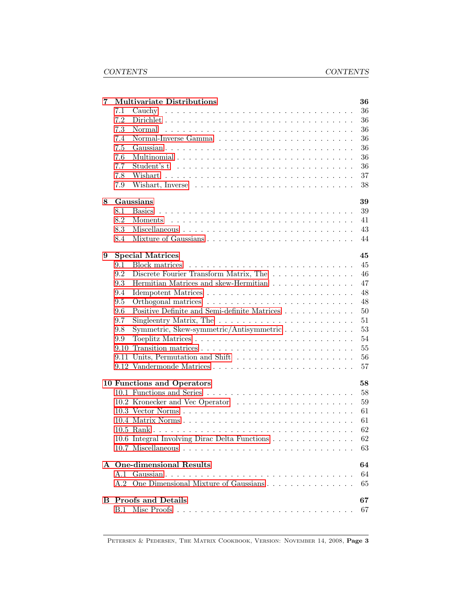| 7 | <b>Multivariate Distributions</b>                                                 | 36 |
|---|-----------------------------------------------------------------------------------|----|
|   | 7.1                                                                               | 36 |
|   | 7.2                                                                               | 36 |
|   | 7.3                                                                               | 36 |
|   | 7.4                                                                               | 36 |
|   | 7.5                                                                               | 36 |
|   | 7.6                                                                               | 36 |
|   | 7.7                                                                               | 36 |
|   | 7.8                                                                               | 37 |
|   | 7.9                                                                               | 38 |
| 8 | Gaussians                                                                         | 39 |
|   | 8.1                                                                               | 39 |
|   | 8.2                                                                               | 41 |
|   | 8.3                                                                               | 43 |
|   | 8.4                                                                               | 44 |
| 9 | <b>Special Matrices</b>                                                           | 45 |
|   | 9.1<br>Block matrices                                                             | 45 |
|   | Discrete Fourier Transform Matrix, The<br>9.2                                     | 46 |
|   | 9.3<br>Hermitian Matrices and skew-Hermitian                                      | 47 |
|   | 9.4                                                                               | 48 |
|   | 9.5                                                                               | 48 |
|   | Positive Definite and Semi-definite Matrices<br>9.6                               | 50 |
|   | 9.7<br>Singleentry Matrix, The $\ldots \ldots \ldots \ldots \ldots \ldots \ldots$ | 51 |
|   | Symmetric, Skew-symmetric/Antisymmetric<br>9.8                                    | 53 |
|   | 9.9                                                                               | 54 |
|   | 9.10                                                                              | 55 |
|   |                                                                                   | 56 |
|   |                                                                                   | 57 |
|   | 10 Functions and Operators                                                        | 58 |
|   |                                                                                   | 58 |
|   |                                                                                   | 59 |
|   |                                                                                   | 61 |
|   | 10.4 Matrix Norms                                                                 | 61 |
|   |                                                                                   | 62 |
|   | 10.6 Integral Involving Dirac Delta Functions                                     | 62 |
|   |                                                                                   | 63 |
|   | A One-dimensional Results                                                         | 64 |
|   | A.1                                                                               | 64 |
|   | One Dimensional Mixture of Gaussians<br>A.2                                       | 65 |
| В | <b>Proofs and Details</b>                                                         | 67 |
|   |                                                                                   | 67 |
|   |                                                                                   |    |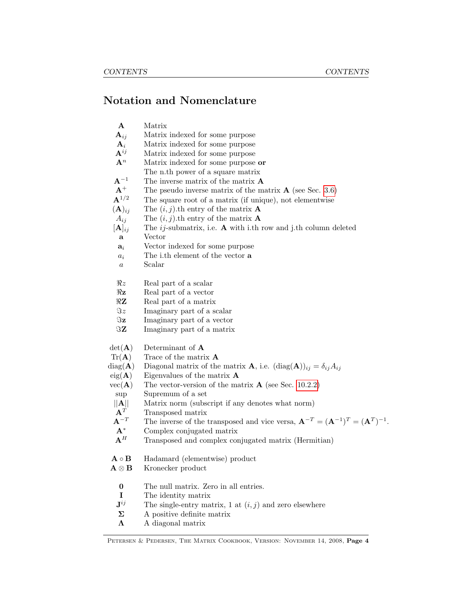# Notation and Nomenclature

| ${\bf A}$                     | Matrix                                                                                                        |
|-------------------------------|---------------------------------------------------------------------------------------------------------------|
| ${\bf A}_{ij}$                | Matrix indexed for some purpose                                                                               |
| ${\bf A}_i$                   | Matrix indexed for some purpose                                                                               |
| ${\bf A}^{ij}$                | Matrix indexed for some purpose                                                                               |
| $\mathbf{A}^n$                | Matrix indexed for some purpose or                                                                            |
|                               | The n.th power of a square matrix                                                                             |
| ${\rm A}^{-1}$                | The inverse matrix of the matrix $A$                                                                          |
| ${\bf A}^+$                   | The pseudo inverse matrix of the matrix $\bf{A}$ (see Sec. 3.6)                                               |
| ${\bf A}^{1/2}$               | The square root of a matrix (if unique), not elementwise                                                      |
| $(A)_{ij}$                    | The $(i, j)$ th entry of the matrix <b>A</b>                                                                  |
| $A_{ij}$                      | The $(i, j)$ th entry of the matrix <b>A</b>                                                                  |
| $[\mathbf{A}]_{ij}$           | The <i>ij</i> -submatrix, i.e. $\bf{A}$ with i.th row and j.th column deleted                                 |
| a                             | Vector                                                                                                        |
| $a_i$                         | Vector indexed for some purpose                                                                               |
| $a_i$                         | The i.th element of the vector a                                                                              |
| $\boldsymbol{a}$              | Scalar                                                                                                        |
|                               |                                                                                                               |
| $\Re z$                       | Real part of a scalar                                                                                         |
| $\Re$ z                       | Real part of a vector                                                                                         |
| $\Re\mathbf{Z}$               | Real part of a matrix                                                                                         |
| $\Im z$                       | Imaginary part of a scalar                                                                                    |
| $\Im \mathbf{z}$              | Imaginary part of a vector                                                                                    |
| $\Im Z$                       | Imaginary part of a matrix                                                                                    |
|                               |                                                                                                               |
| $det(\mathbf{A})$             | Determinant of $A$                                                                                            |
| $\text{Tr}(\mathbf{A})$       | Trace of the matrix $A$                                                                                       |
| $diag(\mathbf{A})$            | Diagonal matrix of the matrix <b>A</b> , i.e. $(\text{diag}(\mathbf{A}))_{ij} = \delta_{ij} A_{ij}$           |
| $eig(\mathbf{A})$             | Eigenvalues of the matrix $\bf{A}$                                                                            |
| $vec(\mathbf{A})$             | The vector-version of the matrix $\bf{A}$ (see Sec. 10.2.2)                                                   |
| sup                           | Supremum of a set                                                                                             |
| A  <br>${\bf A}^T$            | Matrix norm (subscript if any denotes what norm)                                                              |
| ${\bf A}^{-T}$                | Transposed matrix                                                                                             |
| ${\bf A}^*$                   | The inverse of the transposed and vice versa, $\mathbf{A}^{-T} = (\mathbf{A}^{-1})^T = (\mathbf{A}^T)^{-1}$ . |
| ${\bf A}^H$                   | Complex conjugated matrix                                                                                     |
|                               | Transposed and complex conjugated matrix (Hermitian)                                                          |
| $\mathbf{A} \circ \mathbf{B}$ | Hadamard (elementwise) product                                                                                |
| ${\bf A} \otimes {\bf B}$     | Kronecker product                                                                                             |
|                               |                                                                                                               |
| $\bf{0}$                      | The null matrix. Zero in all entries.                                                                         |
| $\mathbf I$                   | The identity matrix                                                                                           |
| $\mathbf{J}^{ij}$             | The single-entry matrix, 1 at $(i, j)$ and zero elsewhere                                                     |
| $\Sigma$                      | A positive definite matrix                                                                                    |
| $\Lambda$                     | A diagonal matrix                                                                                             |
|                               |                                                                                                               |

PETERSEN & PEDERSEN, THE MATRIX COOKBOOK, VERSION: NOVEMBER 14, 2008, Page 4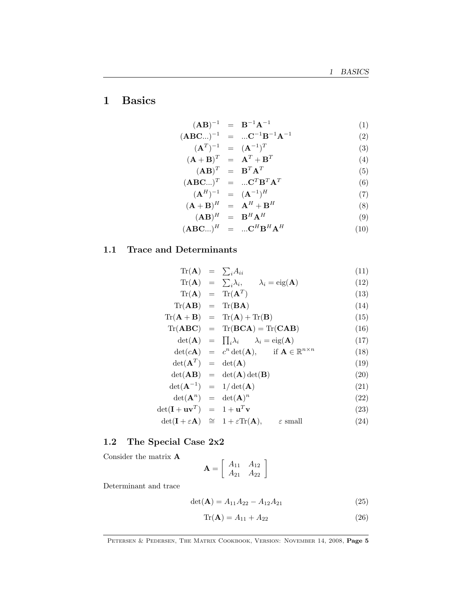# <span id="page-4-0"></span>1 Basics

$$
(\mathbf{A}\mathbf{B})^{-1} = \mathbf{B}^{-1}\mathbf{A}^{-1} \tag{1}
$$

$$
(\mathbf{ABC}...)^{-1} = ... \mathbf{C}^{-1} \mathbf{B}^{-1} \mathbf{A}^{-1}
$$
 (2)

$$
(\mathbf{A}^T)^{-1} = (\mathbf{A}^{-1})^T
$$
 (3)

$$
(\mathbf{A} + \mathbf{B})^T = \mathbf{A}^T + \mathbf{B}^T
$$
  

$$
(\mathbf{A} \mathbf{D})^T = \mathbf{D}^T \mathbf{A}^T
$$
 (4)

$$
(\mathbf{AB})^T = \mathbf{B}^T \mathbf{A}^T
$$
  
\n
$$
(\mathbf{ABC}...)^T = ... \mathbf{C}^T \mathbf{B}^T \mathbf{A}^T
$$
\n(5)

$$
\mathbf{ABC}...)^{T} = ... \mathbf{C}^{T} \mathbf{B}^{T} \mathbf{A}^{T}
$$
(6)  

$$
(\mathbf{A}^{H})^{-1} = (\mathbf{A}^{-1})^{H}
$$
(7)

$$
(\mathbf{A}^{H})^{-1} = (\mathbf{A}^{-1})^{H}
$$
  
\n
$$
(\mathbf{A} + \mathbf{B})^{H} = \mathbf{A}^{H} + \mathbf{B}^{H}
$$
\n(7)

$$
(\mathbf{A}\mathbf{B})^H = \mathbf{B}^H \mathbf{A}^H \tag{9}
$$

$$
(\mathbf{ABC}...)^H = ... \mathbf{C}^H \mathbf{B}^H \mathbf{A}^H
$$
 (10)

### <span id="page-4-1"></span>1.1 Trace and Determinants

$$
\text{Tr}(\mathbf{A}) = \sum_{i} A_{ii} \tag{11}
$$

$$
\operatorname{Tr}(\mathbf{A}) = \sum_{i} \lambda_{i}, \qquad \lambda_{i} = \operatorname{eig}(\mathbf{A}) \tag{12}
$$
\n
$$
\operatorname{Tr}(\mathbf{A}) = \operatorname{Tr}(\mathbf{A}^{T}) \tag{13}
$$

$$
\operatorname{Tr}(\mathbf{A}) = \operatorname{Tr}(\mathbf{A}^{T})
$$
\n
$$
\operatorname{Tr}(\mathbf{A}\mathbf{B}) = \operatorname{Tr}(\mathbf{B}\mathbf{A})
$$
\n(14)

$$
Tr(\mathbf{A} + \mathbf{B}) = Tr(\mathbf{A}) + Tr(\mathbf{B})
$$
\n(15)

$$
\text{Tr}(\mathbf{ABC}) = \text{Tr}(\mathbf{BCA}) = \text{Tr}(\mathbf{CAB}) \tag{16}
$$

$$
\det(\mathbf{A}) = \prod_{i} \lambda_i \qquad \lambda_i = \text{eig}(\mathbf{A}) \tag{17}
$$

$$
\det(c\mathbf{A}) = c^n \det(\mathbf{A}), \quad \text{if } \mathbf{A} \in \mathbb{R}^{n \times n} \tag{18}
$$

$$
\det(\mathbf{A}^T) = \det(\mathbf{A}) \tag{19}
$$

$$
\det(\mathbf{AB}) = \det(\mathbf{A}) \det(\mathbf{B}) \tag{20}
$$

$$
\det(\mathbf{A}^{-1}) = 1/\det(\mathbf{A}) \tag{21}
$$

$$
\det(\mathbf{A}^n) = \det(\mathbf{A})^n \tag{22}
$$

$$
\det(\mathbf{I} + \mathbf{u}\mathbf{v}^T) = 1 + \mathbf{u}^T \mathbf{v}
$$
 (23)

$$
\det(\mathbf{I} + \varepsilon \mathbf{A}) \quad \cong \quad 1 + \varepsilon \text{Tr}(\mathbf{A}), \qquad \varepsilon \text{ small} \tag{24}
$$

### <span id="page-4-2"></span>1.2 The Special Case 2x2

Consider the matrix A

$$
\mathbf{A} = \left[ \begin{array}{cc} A_{11} & A_{12} \\ A_{21} & A_{22} \end{array} \right]
$$

Determinant and trace

$$
\det(\mathbf{A}) = A_{11}A_{22} - A_{12}A_{21} \tag{25}
$$

$$
\operatorname{Tr}(\mathbf{A}) = A_{11} + A_{22} \tag{26}
$$

PETERSEN & PEDERSEN, THE MATRIX COOKBOOK, VERSION: NOVEMBER 14, 2008, Page 5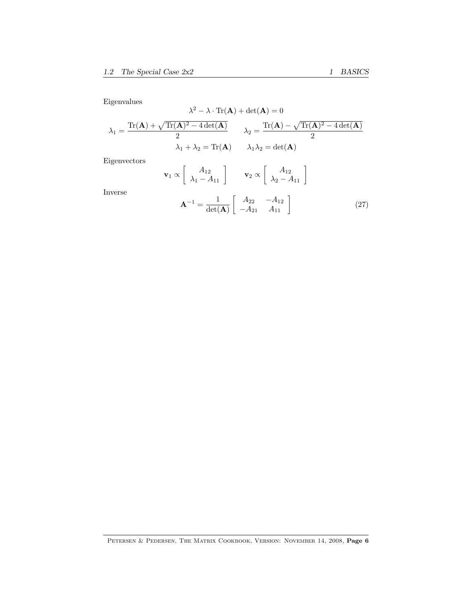Eigenvalues

$$
\lambda^2 - \lambda \cdot \text{Tr}(\mathbf{A}) + \det(\mathbf{A}) = 0
$$

$$
\lambda_1 = \frac{\text{Tr}(\mathbf{A}) + \sqrt{\text{Tr}(\mathbf{A})^2 - 4\det(\mathbf{A})}}{2} \qquad \lambda_2 = \frac{\text{Tr}(\mathbf{A}) - \sqrt{\text{Tr}(\mathbf{A})^2 - 4\det(\mathbf{A})}}{2}
$$

$$
\lambda_1 + \lambda_2 = \text{Tr}(\mathbf{A}) \qquad \lambda_1 \lambda_2 = \det(\mathbf{A})
$$

Eigenvectors

$$
\mathbf{v}_1 \propto \left[ \begin{array}{c} A_{12} \\ \lambda_1 - A_{11} \end{array} \right] \qquad \mathbf{v}_2 \propto \left[ \begin{array}{c} A_{12} \\ \lambda_2 - A_{11} \end{array} \right]
$$

Inverse

$$
\mathbf{A}^{-1} = \frac{1}{\det(\mathbf{A})} \left[ \begin{array}{cc} A_{22} & -A_{12} \\ -A_{21} & A_{11} \end{array} \right] \tag{27}
$$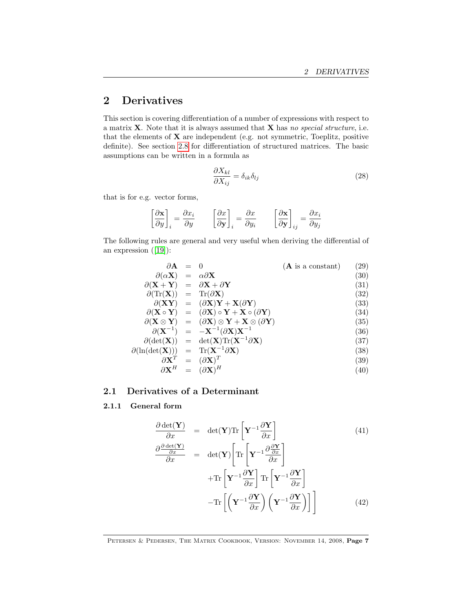# <span id="page-6-3"></span><span id="page-6-0"></span>2 Derivatives

This section is covering differentiation of a number of expressions with respect to a matrix  $X$ . Note that it is always assumed that  $X$  has no special structure, i.e. that the elements of  $X$  are independent (e.g. not symmetric, Toeplitz, positive definite). See section [2.8](#page-13-0) for differentiation of structured matrices. The basic assumptions can be written in a formula as

<span id="page-6-2"></span>
$$
\frac{\partial X_{kl}}{\partial X_{ij}} = \delta_{ik}\delta_{lj} \tag{28}
$$

that is for e.g. vector forms,

$$
\left[\frac{\partial \mathbf{x}}{\partial y}\right]_i = \frac{\partial x_i}{\partial y} \qquad \left[\frac{\partial x}{\partial \mathbf{y}}\right]_i = \frac{\partial x}{\partial y_i} \qquad \left[\frac{\partial \mathbf{x}}{\partial \mathbf{y}}\right]_{ij} = \frac{\partial x_i}{\partial y_j}
$$

The following rules are general and very useful when deriving the differential of an expression([\[19\]](#page-69-0)):

| $\partial \mathbf{A} = 0$                                               |                                                                                                                                 | $(A$ is a constant) | $\left( 29\right)$ |
|-------------------------------------------------------------------------|---------------------------------------------------------------------------------------------------------------------------------|---------------------|--------------------|
| $\partial(\alpha X) = \alpha \partial X$                                |                                                                                                                                 |                     | (30)               |
| $\partial (X + Y) = \partial X + \partial Y$                            |                                                                                                                                 |                     | (31)               |
| $\partial(\text{Tr}(\mathbf{X})) = \text{Tr}(\partial \mathbf{X})$      |                                                                                                                                 |                     | (32)               |
|                                                                         | $\partial (XY) = (\partial X)Y + X(\partial Y)$                                                                                 |                     | (33)               |
|                                                                         | $\partial (\mathbf{X} \circ \mathbf{Y}) = (\partial \mathbf{X}) \circ \mathbf{Y} + \mathbf{X} \circ (\partial \mathbf{Y})$      |                     | (34)               |
|                                                                         | $\partial(\mathbf{X} \otimes \mathbf{Y}) = (\partial \mathbf{X}) \otimes \mathbf{Y} + \mathbf{X} \otimes (\partial \mathbf{Y})$ |                     | (35)               |
|                                                                         | $\partial (X^{-1}) = -X^{-1}(\partial X)X^{-1}$                                                                                 |                     | (36)               |
|                                                                         | $\partial(\det(\mathbf{X})) = \det(\mathbf{X}) \text{Tr}(\mathbf{X}^{-1} \partial \mathbf{X})$                                  |                     | (37)               |
| $\partial(\ln(\det(X))) = \text{Tr}(\mathbf{X}^{-1}\partial\mathbf{X})$ |                                                                                                                                 |                     | (38)               |
|                                                                         | $\partial \mathbf{X}^T = (\partial \mathbf{X})^T$                                                                               |                     | (39)               |
|                                                                         | $\partial \mathbf{X}^H = (\partial \mathbf{X})^H$                                                                               |                     | (40)               |

### <span id="page-6-1"></span>2.1 Derivatives of a Determinant

### 2.1.1 General form

$$
\frac{\partial \det(\mathbf{Y})}{\partial x} = \det(\mathbf{Y}) \text{Tr} \left[ \mathbf{Y}^{-1} \frac{\partial \mathbf{Y}}{\partial x} \right]
$$
(41)  

$$
\frac{\partial \frac{\partial \det(\mathbf{Y})}{\partial x}}{\partial x} = \det(\mathbf{Y}) \left[ \text{Tr} \left[ \mathbf{Y}^{-1} \frac{\partial \frac{\partial \mathbf{Y}}{\partial x}}{\partial x} \right] + \text{Tr} \left[ \mathbf{Y}^{-1} \frac{\partial \mathbf{Y}}{\partial x} \right] \text{Tr} \left[ \mathbf{Y}^{-1} \frac{\partial \mathbf{Y}}{\partial x} \right] - \text{Tr} \left[ \left( \mathbf{Y}^{-1} \frac{\partial \mathbf{Y}}{\partial x} \right) \left( \mathbf{Y}^{-1} \frac{\partial \mathbf{Y}}{\partial x} \right) \right] \right]
$$
(42)

PETERSEN & PEDERSEN, THE MATRIX COOKBOOK, VERSION: NOVEMBER 14, 2008, Page 7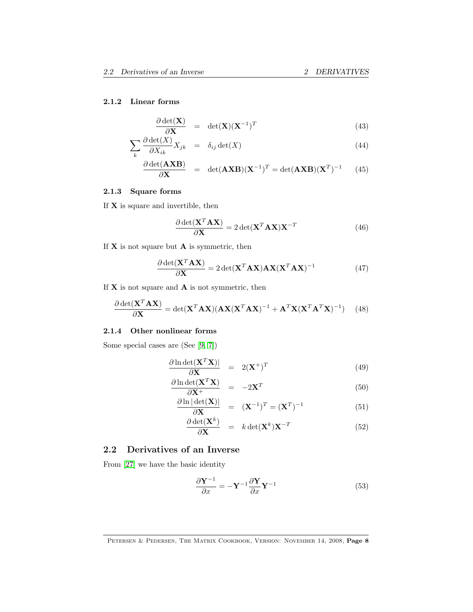#### <span id="page-7-2"></span>2.1.2 Linear forms

$$
\frac{\partial \det(\mathbf{X})}{\partial \mathbf{X}} = \det(\mathbf{X})(\mathbf{X}^{-1})^T
$$
\n(43)

$$
\sum_{k} \frac{\partial \det(X)}{\partial X_{ik}} X_{jk} = \delta_{ij} \det(X) \tag{44}
$$

$$
\frac{\partial \det(\mathbf{AXB})}{\partial \mathbf{X}} = \det(\mathbf{AXB})(\mathbf{X}^{-1})^T = \det(\mathbf{AXB})(\mathbf{X}^T)^{-1} \qquad (45)
$$

### 2.1.3 Square forms

If  $\mathbf X$  is square and invertible, then

$$
\frac{\partial \det(\mathbf{X}^T \mathbf{A} \mathbf{X})}{\partial \mathbf{X}} = 2 \det(\mathbf{X}^T \mathbf{A} \mathbf{X}) \mathbf{X}^{-T}
$$
(46)

If  $X$  is not square but  $A$  is symmetric, then

$$
\frac{\partial \det(\mathbf{X}^T \mathbf{A} \mathbf{X})}{\partial \mathbf{X}} = 2 \det(\mathbf{X}^T \mathbf{A} \mathbf{X}) \mathbf{A} \mathbf{X} (\mathbf{X}^T \mathbf{A} \mathbf{X})^{-1}
$$
(47)

If  $X$  is not square and  $A$  is not symmetric, then

<span id="page-7-1"></span>
$$
\frac{\partial \det(\mathbf{X}^T \mathbf{A} \mathbf{X})}{\partial \mathbf{X}} = \det(\mathbf{X}^T \mathbf{A} \mathbf{X}) (\mathbf{A} \mathbf{X} (\mathbf{X}^T \mathbf{A} \mathbf{X})^{-1} + \mathbf{A}^T \mathbf{X} (\mathbf{X}^T \mathbf{A}^T \mathbf{X})^{-1})
$$
(48)

### 2.1.4 Other nonlinear forms

Some special cases are (See [\[9,](#page-68-0) [7\]](#page-68-1))

$$
\frac{\partial \ln \det(\mathbf{X}^T \mathbf{X})|}{\partial \mathbf{X}} = 2(\mathbf{X}^+)^T \tag{49}
$$

$$
\frac{\partial \ln \det(\mathbf{X}^T \mathbf{X})}{\partial \mathbf{X}^+} = -2\mathbf{X}^T \tag{50}
$$

$$
\frac{\partial \ln |\det(\mathbf{X})|}{\partial \mathbf{X}} = (\mathbf{X}^{-1})^T = (\mathbf{X}^T)^{-1}
$$
(51)

$$
\frac{\partial \det(\mathbf{X}^k)}{\partial \mathbf{X}} = k \det(\mathbf{X}^k) \mathbf{X}^{-T}
$$
 (52)

### <span id="page-7-0"></span>2.2 Derivatives of an Inverse

From [\[27\]](#page-69-1) we have the basic identity

$$
\frac{\partial \mathbf{Y}^{-1}}{\partial x} = -\mathbf{Y}^{-1} \frac{\partial \mathbf{Y}}{\partial x} \mathbf{Y}^{-1}
$$
 (53)

PETERSEN & PEDERSEN, THE MATRIX COOKBOOK, VERSION: NOVEMBER 14, 2008, Page 8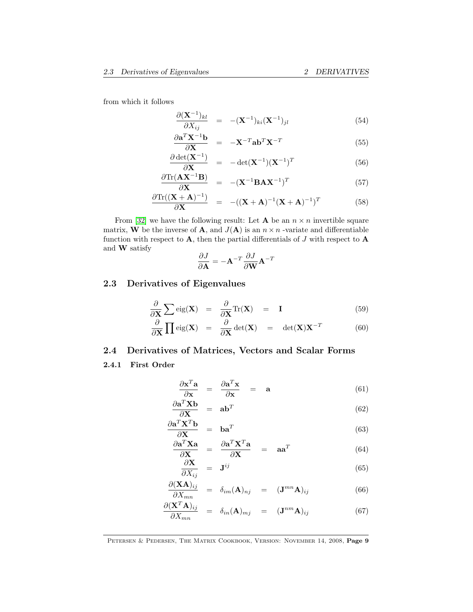from which it follows

$$
\frac{\partial (\mathbf{X}^{-1})_{kl}}{\partial X_{ij}} = -(\mathbf{X}^{-1})_{ki} (\mathbf{X}^{-1})_{jl} \tag{54}
$$

$$
\frac{\partial \mathbf{a}^T \mathbf{X}^{-1} \mathbf{b}}{\partial \mathbf{X}} = -\mathbf{X}^{-T} \mathbf{a} \mathbf{b}^T \mathbf{X}^{-T}
$$
(55)

$$
\frac{\partial \det(\mathbf{X}^{-1})}{\partial \mathbf{X}} = -\det(\mathbf{X}^{-1})(\mathbf{X}^{-1})^T
$$
\n(56)

$$
\frac{\partial \text{Tr}(\mathbf{A}\mathbf{X}^{-1}\mathbf{B})}{\partial \mathbf{X}} = -(\mathbf{X}^{-1}\mathbf{B}\mathbf{A}\mathbf{X}^{-1})^T
$$
(57)

$$
\frac{\partial \text{Tr}((\mathbf{X} + \mathbf{A})^{-1})}{\partial \mathbf{X}} = -((\mathbf{X} + \mathbf{A})^{-1}(\mathbf{X} + \mathbf{A})^{-1})^T \tag{58}
$$

From [\[32\]](#page-69-2) we have the following result: Let **A** be an  $n \times n$  invertible square matrix, **W** be the inverse of **A**, and  $J(A)$  is an  $n \times n$  -variate and differentiable function with respect to  $A$ , then the partial differentials of  $J$  with respect to  $A$ and W satisfy

$$
\frac{\partial J}{\partial \mathbf{A}} = -\mathbf{A}^{-T} \frac{\partial J}{\partial \mathbf{W}} \mathbf{A}^{-T}
$$

### <span id="page-8-0"></span>2.3 Derivatives of Eigenvalues

$$
\frac{\partial}{\partial \mathbf{X}} \sum \text{eig}(\mathbf{X}) = \frac{\partial}{\partial \mathbf{X}} \text{Tr}(\mathbf{X}) = \mathbf{I}
$$
(59)

$$
\frac{\partial}{\partial \mathbf{X}} \prod \text{eig}(\mathbf{X}) = \frac{\partial}{\partial \mathbf{X}} \text{det}(\mathbf{X}) = \text{det}(\mathbf{X}) \mathbf{X}^{-T}
$$
(60)

### <span id="page-8-1"></span>2.4 Derivatives of Matrices, Vectors and Scalar Forms

#### 2.4.1 First Order

$$
\frac{\partial \mathbf{x}^T \mathbf{a}}{\partial \mathbf{x}} = \frac{\partial \mathbf{a}^T \mathbf{x}}{\partial \mathbf{x}} = \mathbf{a} \tag{61}
$$

$$
\frac{\partial \mathbf{a}^T \mathbf{X} \mathbf{b}}{\partial \mathbf{X}} = \mathbf{a} \mathbf{b}^T
$$
 (62)

$$
\frac{\partial \mathbf{a}^T \mathbf{X}^T \mathbf{b}}{\partial \mathbf{X}} = \mathbf{b} \mathbf{a}^T
$$
 (63)

$$
\frac{\partial \mathbf{a}^T \mathbf{X} \mathbf{a}}{\partial \mathbf{X}} = \frac{\partial \mathbf{a}^T \mathbf{X}^T \mathbf{a}}{\partial \mathbf{X}} = \mathbf{a} \mathbf{a}^T
$$
 (64)

$$
\frac{\partial \mathbf{X}}{\partial X_{ij}} = \mathbf{J}^{ij} \tag{65}
$$

$$
\frac{\partial (\mathbf{X}\mathbf{A})_{ij}}{\partial X_{mn}} = \delta_{im}(\mathbf{A})_{nj} = (\mathbf{J}^{mn}\mathbf{A})_{ij}
$$
(66)

$$
\frac{\partial (\mathbf{X}^T \mathbf{A})_{ij}}{\partial X_{mn}} = \delta_{in}(\mathbf{A})_{mj} = (\mathbf{J}^{nm} \mathbf{A})_{ij}
$$
(67)

PETERSEN & PEDERSEN, THE MATRIX COOKBOOK, VERSION: NOVEMBER 14, 2008, Page 9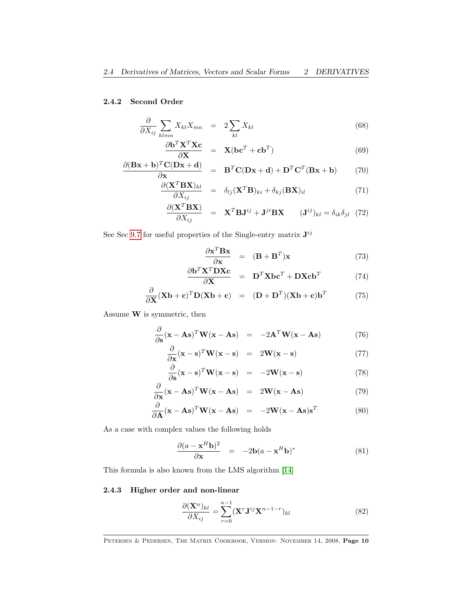#### 2.4.2 Second Order

$$
\frac{\partial}{\partial X_{ij}} \sum_{klmn} X_{kl} X_{mn} = 2 \sum_{kl} X_{kl} \tag{68}
$$

$$
\frac{\partial \mathbf{b}^T \mathbf{X}^T \mathbf{X} \mathbf{c}}{\partial \mathbf{X}} = \mathbf{X} (\mathbf{b} \mathbf{c}^T + \mathbf{c} \mathbf{b}^T) \tag{69}
$$

$$
\frac{\partial (\mathbf{Bx} + \mathbf{b})^T \mathbf{C} (\mathbf{Dx} + \mathbf{d})}{\partial \mathbf{x}} = \mathbf{B}^T \mathbf{C} (\mathbf{Dx} + \mathbf{d}) + \mathbf{D}^T \mathbf{C}^T (\mathbf{Bx} + \mathbf{b})
$$
(70)

$$
\frac{\partial (\mathbf{X}^T \mathbf{B} \mathbf{X})_{kl}}{\partial X_{ij}} = \delta_{lj} (\mathbf{X}^T \mathbf{B})_{ki} + \delta_{kj} (\mathbf{B} \mathbf{X})_{il} \tag{71}
$$

$$
\frac{\partial (\mathbf{X}^T \mathbf{B} \mathbf{X})}{\partial X_{ij}} = \mathbf{X}^T \mathbf{B} \mathbf{J}^{ij} + \mathbf{J}^{ji} \mathbf{B} \mathbf{X} \qquad (\mathbf{J}^{ij})_{kl} = \delta_{ik} \delta_{jl} \quad (72)
$$

See Sec [9.7](#page-50-0) for useful properties of the Single-entry matrix  $J^{ij}$ 

$$
\frac{\partial \mathbf{x}^T \mathbf{B} \mathbf{x}}{\partial \mathbf{x}} = (\mathbf{B} + \mathbf{B}^T) \mathbf{x}
$$
 (73)

$$
\frac{\partial \mathbf{b}^T \mathbf{X}^T \mathbf{D} \mathbf{X} \mathbf{c}}{\partial \mathbf{X}} = \mathbf{D}^T \mathbf{X} \mathbf{b} \mathbf{c}^T + \mathbf{D} \mathbf{X} \mathbf{c} \mathbf{b}^T
$$
 (74)

$$
\frac{\partial}{\partial \mathbf{X}} (\mathbf{X} \mathbf{b} + \mathbf{c})^T \mathbf{D} (\mathbf{X} \mathbf{b} + \mathbf{c}) = (\mathbf{D} + \mathbf{D}^T) (\mathbf{X} \mathbf{b} + \mathbf{c}) \mathbf{b}^T
$$
(75)

Assume  $\mathbf W$  is symmetric, then

$$
\frac{\partial}{\partial \mathbf{s}} (\mathbf{x} - \mathbf{A}\mathbf{s})^T \mathbf{W} (\mathbf{x} - \mathbf{A}\mathbf{s}) = -2\mathbf{A}^T \mathbf{W} (\mathbf{x} - \mathbf{A}\mathbf{s}) \tag{76}
$$

$$
\frac{\partial}{\partial \mathbf{x}} (\mathbf{x} - \mathbf{s})^T \mathbf{W} (\mathbf{x} - \mathbf{s}) = 2\mathbf{W} (\mathbf{x} - \mathbf{s}) \tag{77}
$$

$$
\frac{\partial}{\partial \mathbf{s}}(\mathbf{x} - \mathbf{s})^T \mathbf{W}(\mathbf{x} - \mathbf{s}) = -2\mathbf{W}(\mathbf{x} - \mathbf{s}) \tag{78}
$$

$$
\frac{\partial}{\partial \mathbf{x}} (\mathbf{x} - \mathbf{A}\mathbf{s})^T \mathbf{W} (\mathbf{x} - \mathbf{A}\mathbf{s}) = 2\mathbf{W} (\mathbf{x} - \mathbf{A}\mathbf{s}) \tag{79}
$$

$$
\frac{\partial}{\partial \mathbf{A}} (\mathbf{x} - \mathbf{A}\mathbf{s})^T \mathbf{W} (\mathbf{x} - \mathbf{A}\mathbf{s}) = -2\mathbf{W} (\mathbf{x} - \mathbf{A}\mathbf{s}) \mathbf{s}^T
$$
(80)

As a case with complex values the following holds

$$
\frac{\partial (a - \mathbf{x}^H \mathbf{b})^2}{\partial \mathbf{x}} = -2\mathbf{b}(a - \mathbf{x}^H \mathbf{b})^*
$$
(81)

This formula is also known from the LMS algorithm [\[14\]](#page-68-2)

### 2.4.3 Higher order and non-linear

$$
\frac{\partial (\mathbf{X}^n)_{kl}}{\partial X_{ij}} = \sum_{r=0}^{n-1} (\mathbf{X}^r \mathbf{J}^{ij} \mathbf{X}^{n-1-r})_{kl}
$$
(82)

PETERSEN & PEDERSEN, THE MATRIX COOKBOOK, VERSION: NOVEMBER 14, 2008, Page 10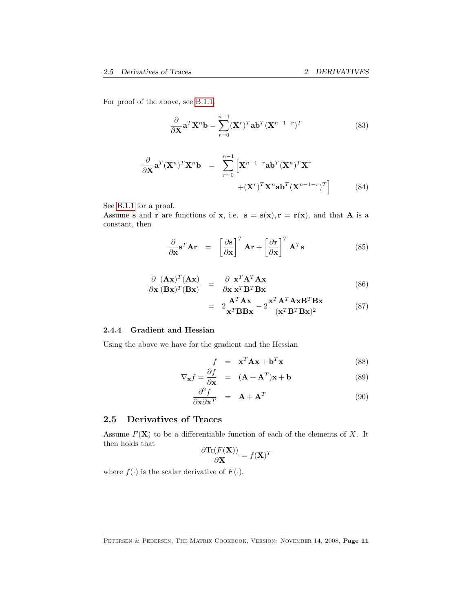<span id="page-10-2"></span>For proof of the above, see [B.1.1.](#page-66-2)

<span id="page-10-1"></span>
$$
\frac{\partial}{\partial \mathbf{X}} \mathbf{a}^T \mathbf{X}^n \mathbf{b} = \sum_{r=0}^{n-1} (\mathbf{X}^r)^T \mathbf{a} \mathbf{b}^T (\mathbf{X}^{n-1-r})^T
$$
(83)

$$
\frac{\partial}{\partial \mathbf{X}} \mathbf{a}^T (\mathbf{X}^n)^T \mathbf{X}^n \mathbf{b} = \sum_{r=0}^{n-1} \left[ \mathbf{X}^{n-1-r} \mathbf{a} \mathbf{b}^T (\mathbf{X}^n)^T \mathbf{X}^r + (\mathbf{X}^r)^T \mathbf{X}^n \mathbf{a} \mathbf{b}^T (\mathbf{X}^{n-1-r})^T \right]
$$
(84)

See [B.1.1](#page-66-2) for a proof.

Assume s and r are functions of x, i.e.  $s = s(x), r = r(x)$ , and that A is a constant, then

$$
\frac{\partial}{\partial \mathbf{x}} \mathbf{s}^T \mathbf{A} \mathbf{r} = \left[ \frac{\partial \mathbf{s}}{\partial \mathbf{x}} \right]^T \mathbf{A} \mathbf{r} + \left[ \frac{\partial \mathbf{r}}{\partial \mathbf{x}} \right]^T \mathbf{A}^T \mathbf{s}
$$
(85)

$$
\frac{\partial}{\partial \mathbf{x}} \frac{(\mathbf{A}\mathbf{x})^T (\mathbf{A}\mathbf{x})}{(\mathbf{B}\mathbf{x})^T (\mathbf{B}\mathbf{x})} = \frac{\partial}{\partial \mathbf{x}} \frac{\mathbf{x}^T \mathbf{A}^T \mathbf{A} \mathbf{x}}{\mathbf{x}^T \mathbf{B}^T \mathbf{B} \mathbf{x}}
$$
(86)

$$
= 2\frac{\mathbf{A}^T \mathbf{A} \mathbf{x}}{\mathbf{x}^T \mathbf{B} \mathbf{B} \mathbf{x}} - 2\frac{\mathbf{x}^T \mathbf{A}^T \mathbf{A} \mathbf{x} \mathbf{B}^T \mathbf{B} \mathbf{x}}{(\mathbf{x}^T \mathbf{B}^T \mathbf{B} \mathbf{x})^2}
$$
(87)

#### 2.4.4 Gradient and Hessian

Using the above we have for the gradient and the Hessian

$$
f = \mathbf{x}^T \mathbf{A} \mathbf{x} + \mathbf{b}^T \mathbf{x}
$$
 (88)

$$
\nabla_{\mathbf{x}} f = \frac{\partial f}{\partial \mathbf{x}} = (\mathbf{A} + \mathbf{A}^T) \mathbf{x} + \mathbf{b}
$$
 (89)

$$
\frac{\partial^2 f}{\partial \mathbf{x} \partial \mathbf{x}^T} = \mathbf{A} + \mathbf{A}^T
$$
 (90)

### <span id="page-10-0"></span>2.5 Derivatives of Traces

Assume  $F(X)$  to be a differentiable function of each of the elements of X. It then holds that

$$
\frac{\partial \text{Tr}(F(\mathbf{X}))}{\partial \mathbf{X}} = f(\mathbf{X})^T
$$

where  $f(\cdot)$  is the scalar derivative of  $F(\cdot)$ .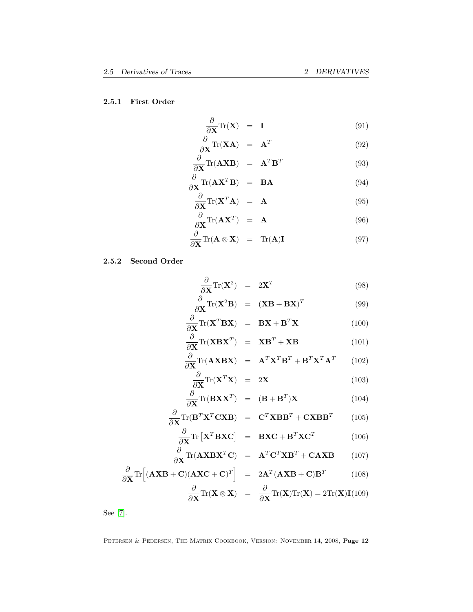### 2.5.1 First Order

$$
\frac{\partial}{\partial \mathbf{X}} \text{Tr}(\mathbf{X}) = \mathbf{I} \tag{91}
$$

<span id="page-11-1"></span>
$$
\frac{\partial}{\partial \mathbf{X}} \text{Tr}(\mathbf{X} \mathbf{A}) = \mathbf{A}^T
$$
 (92)

$$
\frac{\partial}{\partial \mathbf{X}} \text{Tr}(\mathbf{A} \mathbf{X} \mathbf{B}) = \mathbf{A}^T \mathbf{B}^T
$$
 (93)

$$
\frac{\partial}{\partial \mathbf{X}} \text{Tr}(\mathbf{A} \mathbf{X}^T \mathbf{B}) = \mathbf{B} \mathbf{A}
$$
(94)

$$
\frac{\partial}{\partial \mathbf{X}} \text{Tr}(\mathbf{X}^T \mathbf{A}) = \mathbf{A} \tag{95}
$$

$$
\frac{\partial}{\partial \mathbf{X}} \text{Tr}(\mathbf{A} \mathbf{X}^T) = \mathbf{A} \tag{96}
$$

$$
\frac{\partial}{\partial \mathbf{X}} \text{Tr}(\mathbf{A} \otimes \mathbf{X}) = \text{Tr}(\mathbf{A}) \mathbf{I}
$$
 (97)

### 2.5.2 Second Order

<span id="page-11-0"></span>
$$
\frac{\partial}{\partial \mathbf{X}} \text{Tr}(\mathbf{X}^2) = 2\mathbf{X}^T \tag{98}
$$

$$
\frac{\partial}{\partial \mathbf{X}} \text{Tr}(\mathbf{X}^2 \mathbf{B}) = (\mathbf{X}\mathbf{B} + \mathbf{B}\mathbf{X})^T \tag{99}
$$

$$
\frac{\partial}{\partial \mathbf{X}} \text{Tr}(\mathbf{X}^T \mathbf{B} \mathbf{X}) = \mathbf{B} \mathbf{X} + \mathbf{B}^T \mathbf{X}
$$
 (100)

$$
\frac{\partial}{\partial \mathbf{X}} \text{Tr}(\mathbf{X} \mathbf{B} \mathbf{X}^T) = \mathbf{X} \mathbf{B}^T + \mathbf{X} \mathbf{B}
$$
(101)

$$
\frac{\partial}{\partial \mathbf{X}} \text{Tr}(\mathbf{A} \mathbf{X} \mathbf{B} \mathbf{X}) = \mathbf{A}^T \mathbf{X}^T \mathbf{B}^T + \mathbf{B}^T \mathbf{X}^T \mathbf{A}^T \qquad (102)
$$

$$
\frac{\partial}{\partial \mathbf{X}} \text{Tr}(\mathbf{X}^T \mathbf{X}) = 2\mathbf{X}
$$
\n(103)

$$
\frac{\partial}{\partial \mathbf{X}} \text{Tr}(\mathbf{B} \mathbf{X} \mathbf{X}^T) = (\mathbf{B} + \mathbf{B}^T) \mathbf{X}
$$
 (104)

$$
\frac{\partial}{\partial \mathbf{X}} \text{Tr}(\mathbf{B}^T \mathbf{X}^T \mathbf{C} \mathbf{X} \mathbf{B}) = \mathbf{C}^T \mathbf{X} \mathbf{B} \mathbf{B}^T + \mathbf{C} \mathbf{X} \mathbf{B} \mathbf{B}^T
$$
(105)  

$$
\frac{\partial}{\partial \mathbf{X}} \text{Tr}(\mathbf{Y}^T \mathbf{D} \mathbf{Y} \mathbf{C}) = \mathbf{D} \mathbf{Y} \mathbf{C} + \mathbf{D}^T \mathbf{Y} \mathbf{C}^T
$$
(106)

$$
\frac{\partial}{\partial \mathbf{X}} \text{Tr} \left[ \mathbf{X}^T \mathbf{B} \mathbf{X} \mathbf{C} \right] = \mathbf{B} \mathbf{X} \mathbf{C} + \mathbf{B}^T \mathbf{X} \mathbf{C}^T \tag{106}
$$

$$
\frac{\partial}{\partial \mathbf{X}} \text{Tr}(\mathbf{A} \mathbf{X} \mathbf{B} \mathbf{X}^T \mathbf{C}) = \mathbf{A}^T \mathbf{C}^T \mathbf{X} \mathbf{B}^T + \mathbf{C} \mathbf{A} \mathbf{X} \mathbf{B} \qquad (107)
$$

$$
\frac{\partial}{\partial \mathbf{X}} \text{Tr} \Big[ (\mathbf{A} \mathbf{X} \mathbf{B} + \mathbf{C}) (\mathbf{A} \mathbf{X} \mathbf{C} + \mathbf{C})^T \Big] = 2 \mathbf{A}^T (\mathbf{A} \mathbf{X} \mathbf{B} + \mathbf{C}) \mathbf{B}^T \qquad (108)
$$

$$
\frac{\partial}{\partial \mathbf{X}} \text{Tr} (\mathbf{X} \otimes \mathbf{X}) = \frac{\partial}{\partial \mathbf{X}} \text{Tr} (\mathbf{X}) \text{Tr} (\mathbf{X}) = 2 \text{Tr} (\mathbf{X}) \mathbf{I} (109)
$$

See [\[7\]](#page-68-1).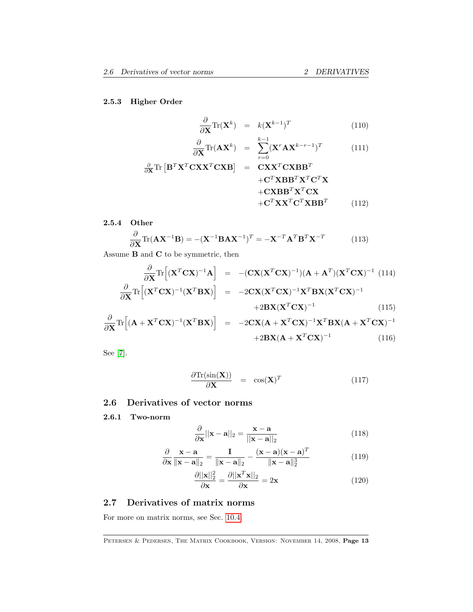### 2.5.3 Higher Order

$$
\frac{\partial}{\partial \mathbf{X}} \text{Tr}(\mathbf{X}^k) = k(\mathbf{X}^{k-1})^T \tag{110}
$$

$$
\frac{\partial}{\partial \mathbf{X}} \text{Tr}(\mathbf{A} \mathbf{X}^k) = \sum_{r=0}^{k-1} (\mathbf{X}^r \mathbf{A} \mathbf{X}^{k-r-1})^T
$$
(111)

$$
\frac{\partial}{\partial \mathbf{X}} \text{Tr} \left[ \mathbf{B}^T \mathbf{X}^T \mathbf{C} \mathbf{X} \mathbf{X}^T \mathbf{C} \mathbf{X} \mathbf{B} \right] = \mathbf{C} \mathbf{X} \mathbf{X}^T \mathbf{C} \mathbf{X} \mathbf{B}^T + \mathbf{C}^T \mathbf{X} \mathbf{B} \mathbf{B}^T \mathbf{X}^T \mathbf{C}^T \mathbf{X} + \mathbf{C} \mathbf{X} \mathbf{B} \mathbf{B}^T \mathbf{X}^T \mathbf{C}^T \mathbf{X} \mathbf{B} \mathbf{B}^T
$$
\n(112)

### 2.5.4 Other

$$
\frac{\partial}{\partial \mathbf{X}} \text{Tr}(\mathbf{A} \mathbf{X}^{-1} \mathbf{B}) = -(\mathbf{X}^{-1} \mathbf{B} \mathbf{A} \mathbf{X}^{-1})^T = -\mathbf{X}^{-T} \mathbf{A}^T \mathbf{B}^T \mathbf{X}^{-T}
$$
(113)

Assume  ${\bf B}$  and  ${\bf C}$  to be symmetric, then

$$
\frac{\partial}{\partial \mathbf{X}} \text{Tr} \left[ (\mathbf{X}^T \mathbf{C} \mathbf{X})^{-1} \mathbf{A} \right] = -(\mathbf{C} \mathbf{X} (\mathbf{X}^T \mathbf{C} \mathbf{X})^{-1}) (\mathbf{A} + \mathbf{A}^T) (\mathbf{X}^T \mathbf{C} \mathbf{X})^{-1} (114) \n\frac{\partial}{\partial \mathbf{X}} \text{Tr} \left[ (\mathbf{X}^T \mathbf{C} \mathbf{X})^{-1} (\mathbf{X}^T \mathbf{B} \mathbf{X}) \right] = -2 \mathbf{C} \mathbf{X} (\mathbf{X}^T \mathbf{C} \mathbf{X})^{-1} \mathbf{X}^T \mathbf{B} \mathbf{X} (\mathbf{X}^T \mathbf{C} \mathbf{X})^{-1} \n+2 \mathbf{B} \mathbf{X} (\mathbf{X}^T \mathbf{C} \mathbf{X})^{-1}
$$
\n(115)

$$
\frac{\partial}{\partial \mathbf{X}} \text{Tr} \left[ (\mathbf{A} + \mathbf{X}^T \mathbf{C} \mathbf{X})^{-1} (\mathbf{X}^T \mathbf{B} \mathbf{X}) \right] = -2 \mathbf{C} \mathbf{X} (\mathbf{A} + \mathbf{X}^T \mathbf{C} \mathbf{X})^{-1} \mathbf{X}^T \mathbf{B} \mathbf{X} (\mathbf{A} + \mathbf{X}^T \mathbf{C} \mathbf{X})^{-1} + 2 \mathbf{B} \mathbf{X} (\mathbf{A} + \mathbf{X}^T \mathbf{C} \mathbf{X})^{-1}
$$
(116)

See [\[7\]](#page-68-1).

$$
\frac{\partial \text{Tr}(\sin(\mathbf{X}))}{\partial \mathbf{X}} = \cos(\mathbf{X})^T \tag{117}
$$

### <span id="page-12-0"></span>2.6 Derivatives of vector norms

2.6.1 Two-norm

$$
\frac{\partial}{\partial \mathbf{x}} ||\mathbf{x} - \mathbf{a}||_2 = \frac{\mathbf{x} - \mathbf{a}}{||\mathbf{x} - \mathbf{a}||_2}
$$
(118)

$$
\frac{\partial}{\partial \mathbf{x}} \frac{\mathbf{x} - \mathbf{a}}{\|\mathbf{x} - \mathbf{a}\|_2} = \frac{\mathbf{I}}{\|\mathbf{x} - \mathbf{a}\|_2} - \frac{(\mathbf{x} - \mathbf{a})(\mathbf{x} - \mathbf{a})^T}{\|\mathbf{x} - \mathbf{a}\|_2^3}
$$
(119)

$$
\frac{\partial ||\mathbf{x}||_2^2}{\partial \mathbf{x}} = \frac{\partial ||\mathbf{x}^T \mathbf{x}||_2}{\partial \mathbf{x}} = 2\mathbf{x}
$$
 (120)

### <span id="page-12-1"></span>2.7 Derivatives of matrix norms

For more on matrix norms, see Sec. [10.4.](#page-60-1)

PETERSEN & PEDERSEN, THE MATRIX COOKBOOK, VERSION: NOVEMBER 14, 2008, Page 13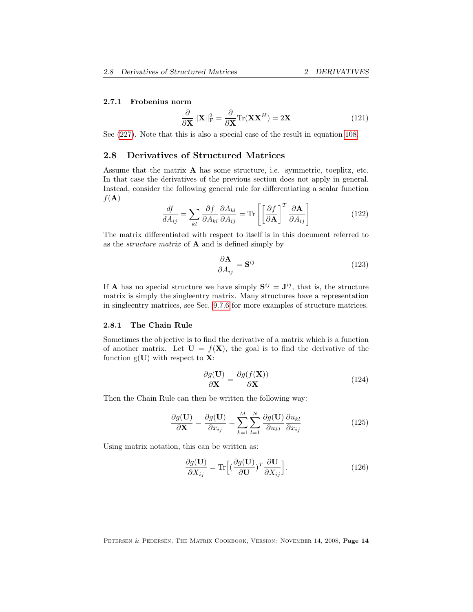#### <span id="page-13-1"></span>2.7.1 Frobenius norm

$$
\frac{\partial}{\partial \mathbf{X}} ||\mathbf{X}||_{\text{F}}^2 = \frac{\partial}{\partial \mathbf{X}} \text{Tr}(\mathbf{X} \mathbf{X}^H) = 2\mathbf{X}
$$
 (121)

See [\(227\)](#page-24-0). Note that this is also a special case of the result in equation [108.](#page-11-0)

### <span id="page-13-0"></span>2.8 Derivatives of Structured Matrices

Assume that the matrix A has some structure, i.e. symmetric, toeplitz, etc. In that case the derivatives of the previous section does not apply in general. Instead, consider the following general rule for differentiating a scalar function  $f(\mathbf{A})$ 

$$
\frac{df}{dA_{ij}} = \sum_{kl} \frac{\partial f}{\partial A_{kl}} \frac{\partial A_{kl}}{\partial A_{ij}} = \text{Tr} \left[ \left[ \frac{\partial f}{\partial \mathbf{A}} \right]^T \frac{\partial \mathbf{A}}{\partial A_{ij}} \right]
$$
(122)

The matrix differentiated with respect to itself is in this document referred to as the *structure matrix* of  $\bf{A}$  and is defined simply by

$$
\frac{\partial \mathbf{A}}{\partial A_{ij}} = \mathbf{S}^{ij} \tag{123}
$$

If **A** has no special structure we have simply  $S^{ij} = J^{ij}$ , that is, the structure matrix is simply the singleentry matrix. Many structures have a representation in singleentry matrices, see Sec. [9.7.6](#page-52-1) for more examples of structure matrices.

#### 2.8.1 The Chain Rule

Sometimes the objective is to find the derivative of a matrix which is a function of another matrix. Let  $U = f(X)$ , the goal is to find the derivative of the function  $g(U)$  with respect to  $X$ :

$$
\frac{\partial g(\mathbf{U})}{\partial \mathbf{X}} = \frac{\partial g(f(\mathbf{X}))}{\partial \mathbf{X}}
$$
(124)

Then the Chain Rule can then be written the following way:

$$
\frac{\partial g(\mathbf{U})}{\partial \mathbf{X}} = \frac{\partial g(\mathbf{U})}{\partial x_{ij}} = \sum_{k=1}^{M} \sum_{l=1}^{N} \frac{\partial g(\mathbf{U})}{\partial u_{kl}} \frac{\partial u_{kl}}{\partial x_{ij}}
$$
(125)

Using matrix notation, this can be written as:

$$
\frac{\partial g(\mathbf{U})}{\partial X_{ij}} = \text{Tr}\Big[ \left(\frac{\partial g(\mathbf{U})}{\partial \mathbf{U}}\right)^T \frac{\partial \mathbf{U}}{\partial X_{ij}} \Big].
$$
\n(126)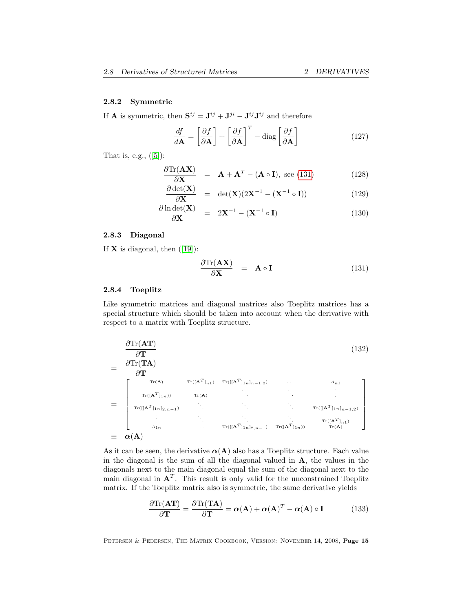#### <span id="page-14-1"></span>2.8.2 Symmetric

If **A** is symmetric, then  $S^{ij} = J^{ij} + J^{ji} - J^{ij}J^{ij}$  and therefore

$$
\frac{df}{d\mathbf{A}} = \left[\frac{\partial f}{\partial \mathbf{A}}\right] + \left[\frac{\partial f}{\partial \mathbf{A}}\right]^T - \text{diag}\left[\frac{\partial f}{\partial \mathbf{A}}\right]
$$
(127)

Thatis, e.g.,  $([5])$  $([5])$  $([5])$ :

$$
\frac{\partial \text{Tr}(\mathbf{A}\mathbf{X})}{\partial \mathbf{X}} = \mathbf{A} + \mathbf{A}^T - (\mathbf{A} \circ \mathbf{I}), \text{ see (131)} \tag{128}
$$

$$
\frac{\partial \det(\mathbf{X})}{\partial \mathbf{X}} = \det(\mathbf{X})(2\mathbf{X}^{-1} - (\mathbf{X}^{-1} \circ \mathbf{I})) \tag{129}
$$

$$
\frac{\partial \ln \det(\mathbf{X})}{\partial \mathbf{X}} = 2\mathbf{X}^{-1} - (\mathbf{X}^{-1} \circ \mathbf{I}) \tag{130}
$$

#### 2.8.3 Diagonal

If $X$  is diagonal, then  $([19])$  $([19])$  $([19])$ :

<span id="page-14-0"></span>
$$
\frac{\partial \text{Tr}(\mathbf{A}\mathbf{X})}{\partial \mathbf{X}} = \mathbf{A} \circ \mathbf{I}
$$
 (131)

#### 2.8.4 Toeplitz

Like symmetric matrices and diagonal matrices also Toeplitz matrices has a special structure which should be taken into account when the derivative with respect to a matrix with Toeplitz structure.

$$
\frac{\partial \text{Tr}(\mathbf{AT})}{\partial \textbf{T}} = \frac{\partial \text{Tr}(\mathbf{TA})}{\partial \textbf{T}} \n= \n\begin{bmatrix}\n\text{Tr}(\mathbf{A}) & \text{Tr}([\mathbf{A}^T]_{n1}) & \text{Tr}([\mathbf{A}^T]_{1n}]_{n-1,2}) & \cdots & A_{n1} \\
\text{Tr}([\mathbf{A}^T]_{1n})) & \text{Tr}(\mathbf{A}) & \ddots & \vdots \\
\text{Tr}([\mathbf{A}^T]_{1n}]_{2,n-1}) & \ddots & \ddots & \text{Tr}([\mathbf{A}^T]_{1n}]_{n-1,2}) \\
\vdots & \ddots & \ddots & \text{Tr}([\mathbf{A}^T]_{1n}]_{2,n-1}) & \text{Tr}([\mathbf{A}^T]_{1n}) & \text{Tr}(\mathbf{A}) \\
\vdots & \ddots & \ddots & \text{Tr}([\mathbf{A}^T]_{1n}) & \text{Tr}(\mathbf{A}) \\
\vdots & \ddots & \ddots & \text{Tr}([\mathbf{A}^T]_{1n}) & \text{Tr}(\mathbf{A})\n\end{bmatrix}
$$

As it can be seen, the derivative  $\alpha(A)$  also has a Toeplitz structure. Each value in the diagonal is the sum of all the diagonal valued in A, the values in the diagonals next to the main diagonal equal the sum of the diagonal next to the main diagonal in  $A<sup>T</sup>$ . This result is only valid for the unconstrained Toeplitz matrix. If the Toeplitz matrix also is symmetric, the same derivative yields

$$
\frac{\partial \text{Tr}(\mathbf{AT})}{\partial \mathbf{T}} = \frac{\partial \text{Tr}(\mathbf{TA})}{\partial \mathbf{T}} = \boldsymbol{\alpha}(\mathbf{A}) + \boldsymbol{\alpha}(\mathbf{A})^T - \boldsymbol{\alpha}(\mathbf{A}) \circ \mathbf{I}
$$
(133)

PETERSEN & PEDERSEN, THE MATRIX COOKBOOK, VERSION: NOVEMBER 14, 2008, Page 15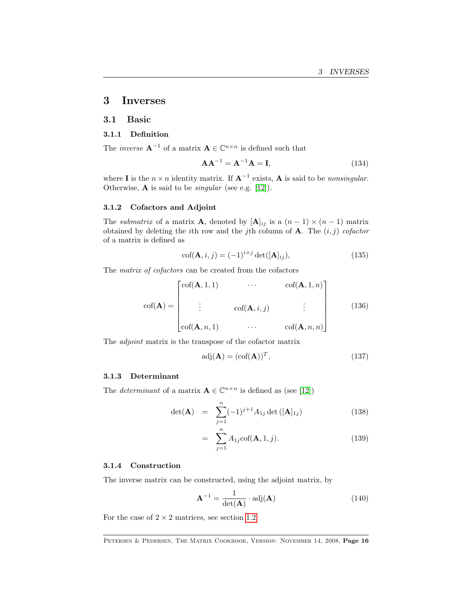### <span id="page-15-0"></span>3 Inverses

### <span id="page-15-1"></span>3.1 Basic

#### 3.1.1 Definition

The *inverse*  $\mathbf{A}^{-1}$  of a matrix  $\mathbf{A} \in \mathbb{C}^{n \times n}$  is defined such that

$$
\mathbf{A}\mathbf{A}^{-1} = \mathbf{A}^{-1}\mathbf{A} = \mathbf{I},\tag{134}
$$

where **I** is the  $n \times n$  identity matrix. If  $A^{-1}$  exists, A is said to be nonsingular. Otherwise,  $\bf{A}$  is said to be *singular* (see e.g. [\[12\]](#page-68-4)).

#### 3.1.2 Cofactors and Adjoint

The *submatrix* of a matrix **A**, denoted by  $[\mathbf{A}]_{ij}$  is a  $(n-1) \times (n-1)$  matrix obtained by deleting the *i*th row and the *j*th column of **A**. The  $(i, j)$  cofactor of a matrix is defined as

$$
\operatorname{cof}(\mathbf{A}, i, j) = (-1)^{i+j} \operatorname{det}([\mathbf{A}]_{ij}),\tag{135}
$$

The matrix of cofactors can be created from the cofactors

$$
\operatorname{cof}(\mathbf{A}) = \begin{bmatrix} \operatorname{cof}(\mathbf{A}, 1, 1) & \cdots & \operatorname{cof}(\mathbf{A}, 1, n) \\ \vdots & \operatorname{cof}(\mathbf{A}, i, j) & \vdots \\ \operatorname{cof}(\mathbf{A}, n, 1) & \cdots & \operatorname{cof}(\mathbf{A}, n, n) \end{bmatrix}
$$
(136)

The adjoint matrix is the transpose of the cofactor matrix

$$
adj(\mathbf{A}) = (cof(\mathbf{A}))^T,
$$
\n(137)

#### 3.1.3 Determinant

The *determinant* of a matrix  $\mathbf{A} \in \mathbb{C}^{n \times n}$  is defined as (see [\[12\]](#page-68-4))

$$
\det(\mathbf{A}) = \sum_{j=1}^{n} (-1)^{j+1} A_{1j} \det([\mathbf{A}]_{1j})
$$
 (138)

$$
= \sum_{j=1}^{n} A_{1j} \text{cof}(\mathbf{A}, 1, j). \tag{139}
$$

#### 3.1.4 Construction

The inverse matrix can be constructed, using the adjoint matrix, by

$$
\mathbf{A}^{-1} = \frac{1}{\det(\mathbf{A})} \cdot \text{adj}(\mathbf{A}) \tag{140}
$$

For the case of  $2 \times 2$  matrices, see section [1.2.](#page-4-2)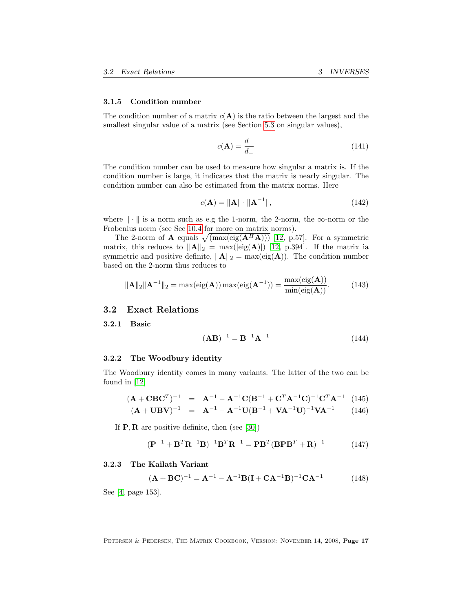#### <span id="page-16-1"></span>3.1.5 Condition number

The condition number of a matrix  $c(A)$  is the ratio between the largest and the smallest singular value of a matrix (see Section [5.3](#page-29-0) on singular values),

$$
c(\mathbf{A}) = \frac{d_+}{d_-} \tag{141}
$$

The condition number can be used to measure how singular a matrix is. If the condition number is large, it indicates that the matrix is nearly singular. The condition number can also be estimated from the matrix norms. Here

$$
c(\mathbf{A}) = \|\mathbf{A}\| \cdot \|\mathbf{A}^{-1}\|,\tag{142}
$$

where  $\|\cdot\|$  is a norm such as e.g the 1-norm, the 2-norm, the  $\infty$ -norm or the Frobenius norm (see Sec [10.4](#page-60-1) for more on matrix norms).

The 2-norm of **A** equals  $\sqrt{(\max(\text{eig}(\mathbf{A}^H\mathbf{A})))}$  [\[12,](#page-68-4) p.57]. For a symmetric matrix, this reduces to  $||A||_2 = \max(|eig(A)|)$  [\[12,](#page-68-4) p.394]. If the matrix ia symmetric and positive definite,  $||\mathbf{A}||_2 = \max(\text{eig}(\mathbf{A}))$ . The condition number based on the 2-norm thus reduces to

$$
\|\mathbf{A}\|_{2}\|\mathbf{A}^{-1}\|_{2} = \max(\text{eig}(\mathbf{A}))\max(\text{eig}(\mathbf{A}^{-1})) = \frac{\max(\text{eig}(\mathbf{A}))}{\min(\text{eig}(\mathbf{A}))}.
$$
 (143)

#### <span id="page-16-0"></span>3.2 Exact Relations

3.2.1 Basic

$$
(\mathbf{A}\mathbf{B})^{-1} = \mathbf{B}^{-1}\mathbf{A}^{-1} \tag{144}
$$

### 3.2.2 The Woodbury identity

The Woodbury identity comes in many variants. The latter of the two can be found in [\[12\]](#page-68-4)

$$
(\mathbf{A} + \mathbf{C}\mathbf{B}\mathbf{C}^T)^{-1} = \mathbf{A}^{-1} - \mathbf{A}^{-1}\mathbf{C}(\mathbf{B}^{-1} + \mathbf{C}^T\mathbf{A}^{-1}\mathbf{C})^{-1}\mathbf{C}^T\mathbf{A}^{-1}
$$
 (145)  

$$
(\mathbf{A} + \mathbf{U}\mathbf{B}\mathbf{V})^{-1} = \mathbf{A}^{-1} - \mathbf{A}^{-1}\mathbf{U}(\mathbf{B}^{-1} + \mathbf{V}\mathbf{A}^{-1}\mathbf{U})^{-1}\mathbf{V}\mathbf{A}^{-1}
$$
 (146)

If  $P, R$  are positive definite, then (see [\[30\]](#page-69-3))

$$
(\mathbf{P}^{-1} + \mathbf{B}^T \mathbf{R}^{-1} \mathbf{B})^{-1} \mathbf{B}^T \mathbf{R}^{-1} = \mathbf{P} \mathbf{B}^T (\mathbf{B} \mathbf{P} \mathbf{B}^T + \mathbf{R})^{-1}
$$
 (147)

### 3.2.3 The Kailath Variant

$$
(\mathbf{A} + \mathbf{B}\mathbf{C})^{-1} = \mathbf{A}^{-1} - \mathbf{A}^{-1}\mathbf{B}(\mathbf{I} + \mathbf{C}\mathbf{A}^{-1}\mathbf{B})^{-1}\mathbf{C}\mathbf{A}^{-1}
$$
 (148)

See [\[4,](#page-68-5) page 153].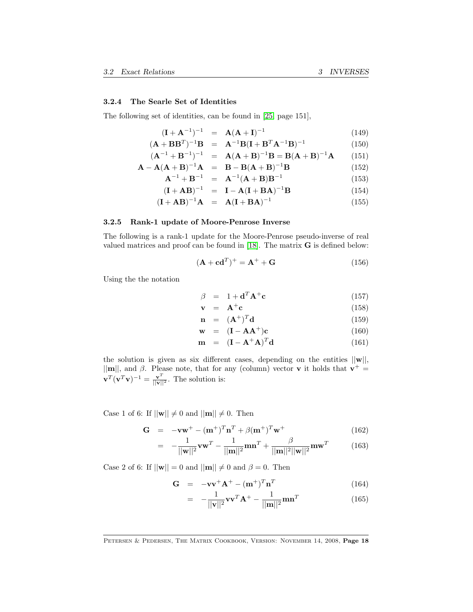#### 3.2.4 The Searle Set of Identities

The following set of identities, can be found in [\[25,](#page-69-4) page 151],

$$
(\mathbf{I} + \mathbf{A}^{-1})^{-1} = \mathbf{A}(\mathbf{A} + \mathbf{I})^{-1}
$$
 (149)

$$
(\mathbf{A} + \mathbf{B} \mathbf{B}^T)^{-1} \mathbf{B} = \mathbf{A}^{-1} \mathbf{B} (\mathbf{I} + \mathbf{B}^T \mathbf{A}^{-1} \mathbf{B})^{-1}
$$
(150)

$$
(\mathbf{A}^{-1} + \mathbf{B}^{-1})^{-1} = \mathbf{A}(\mathbf{A} + \mathbf{B})^{-1}\mathbf{B} = \mathbf{B}(\mathbf{A} + \mathbf{B})^{-1}\mathbf{A}
$$
 (151)

$$
\mathbf{A} - \mathbf{A}(\mathbf{A} + \mathbf{B})^{-1}\mathbf{A} = \mathbf{B} - \mathbf{B}(\mathbf{A} + \mathbf{B})^{-1}\mathbf{B}
$$
 (152)

$$
A^{-1} + B^{-1} = A^{-1}(A + B)B^{-1}
$$
 (153)

$$
(\mathbf{I} + \mathbf{A}\mathbf{B})^{-1} = \mathbf{I} - \mathbf{A}(\mathbf{I} + \mathbf{B}\mathbf{A})^{-1}\mathbf{B}
$$
 (154)

$$
(\mathbf{I} + \mathbf{A}\mathbf{B})^{-1}\mathbf{A} = \mathbf{A}(\mathbf{I} + \mathbf{B}\mathbf{A})^{-1}
$$
 (155)

#### 3.2.5 Rank-1 update of Moore-Penrose Inverse

The following is a rank-1 update for the Moore-Penrose pseudo-inverse of real valued matrices and proof can be found in  $[18]$ . The matrix  $G$  is defined below:

$$
(\mathbf{A} + \mathbf{c}\mathbf{d}^T)^+ = \mathbf{A}^+ + \mathbf{G}
$$
 (156)

Using the the notation

$$
\beta = 1 + \mathbf{d}^T \mathbf{A}^+ \mathbf{c} \tag{157}
$$

$$
\mathbf{v} = \mathbf{A}^+ \mathbf{c} \tag{158}
$$

$$
\mathbf{n} = (\mathbf{A}^+)^T \mathbf{d} \tag{159}
$$

$$
\mathbf{w} = (\mathbf{I} - \mathbf{A}\mathbf{A}^+) \mathbf{c} \tag{160}
$$

$$
\mathbf{m} = (\mathbf{I} - \mathbf{A}^+ \mathbf{A})^T \mathbf{d} \tag{161}
$$

the solution is given as six different cases, depending on the entities  $||\mathbf{w}||$ ,  $||\mathbf{m}||$ , and  $\beta$ . Please note, that for any (column) vector **v** it holds that  $\mathbf{v}^+$  =  $\mathbf{v}^T(\mathbf{v}^T\mathbf{v})^{-1} = \frac{\mathbf{v}^T}{\|\mathbf{v}\|^2}$ . The solution is:

Case 1 of 6: If  $||\mathbf{w}|| \neq 0$  and  $||\mathbf{m}|| \neq 0$ . Then

$$
\mathbf{G} = -\mathbf{v}\mathbf{w}^+ - (\mathbf{m}^+)^T \mathbf{n}^T + \beta (\mathbf{m}^+)^T \mathbf{w}^+ \tag{162}
$$

$$
= -\frac{1}{||\mathbf{w}||^2} \mathbf{v} \mathbf{w}^T - \frac{1}{||\mathbf{m}||^2} \mathbf{m} \mathbf{n}^T + \frac{\beta}{||\mathbf{m}||^2 ||\mathbf{w}||^2} \mathbf{m} \mathbf{w}^T
$$
(163)

Case 2 of 6: If  $||\mathbf{w}|| = 0$  and  $||\mathbf{m}|| \neq 0$  and  $\beta = 0$ . Then

$$
\mathbf{G} = -\mathbf{v}\mathbf{v}^+ \mathbf{A}^+ - (\mathbf{m}^+)^T \mathbf{n}^T
$$
 (164)

$$
= -\frac{1}{||\mathbf{v}||^2} \mathbf{v} \mathbf{v}^T \mathbf{A}^+ - \frac{1}{||\mathbf{m}||^2} \mathbf{m} \mathbf{n}^T
$$
 (165)

PETERSEN & PEDERSEN, THE MATRIX COOKBOOK, VERSION: NOVEMBER 14, 2008, Page 18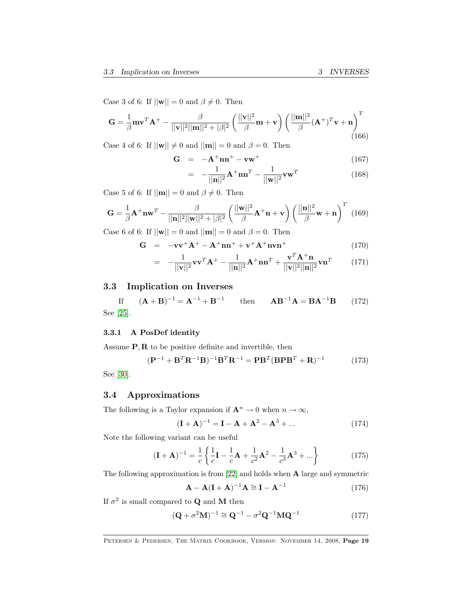Case 3 of 6: If  $||\mathbf{w}|| = 0$  and  $\beta \neq 0$ . Then

$$
\mathbf{G} = \frac{1}{\beta} \mathbf{m} \mathbf{v}^T \mathbf{A}^+ - \frac{\beta}{||\mathbf{v}||^2 ||\mathbf{m}||^2 + |\beta|^2} \left( \frac{||\mathbf{v}||^2}{\beta} \mathbf{m} + \mathbf{v} \right) \left( \frac{||\mathbf{m}||^2}{\beta} (\mathbf{A}^+)^T \mathbf{v} + \mathbf{n} \right)^T (166)
$$

Case 4 of 6: If  $||\mathbf{w}|| \neq 0$  and  $||\mathbf{m}|| = 0$  and  $\beta = 0$ . Then

$$
\mathbf{G} = -\mathbf{A}^+ \mathbf{n} \mathbf{n}^+ - \mathbf{v} \mathbf{w}^+ \tag{167}
$$

$$
= -\frac{1}{||\mathbf{n}||^2} \mathbf{A}^+ \mathbf{n} \mathbf{n}^T - \frac{1}{||\mathbf{w}||^2} \mathbf{v} \mathbf{w}^T
$$
 (168)

Case 5 of 6: If  $||\mathbf{m}|| = 0$  and  $\beta \neq 0$ . Then

$$
\mathbf{G} = \frac{1}{\beta} \mathbf{A}^+ \mathbf{n} \mathbf{w}^T - \frac{\beta}{||\mathbf{n}||^2 ||\mathbf{w}||^2 + |\beta|^2} \left( \frac{||\mathbf{w}||^2}{\beta} \mathbf{A}^+ \mathbf{n} + \mathbf{v} \right) \left( \frac{||\mathbf{n}||^2}{\beta} \mathbf{w} + \mathbf{n} \right)^T (169)
$$

Case 6 of 6: If  $||\mathbf{w}|| = 0$  and  $||\mathbf{m}|| = 0$  and  $\beta = 0$ . Then

$$
\mathbf{G} = -\mathbf{v}\mathbf{v}^+ \mathbf{A}^+ - \mathbf{A}^+ \mathbf{n} \mathbf{n}^+ + \mathbf{v}^+ \mathbf{A}^+ \mathbf{n} \mathbf{v} \mathbf{n}^+ \tag{170}
$$

$$
= -\frac{1}{||\mathbf{v}||^2} \mathbf{v} \mathbf{v}^T \mathbf{A}^+ - \frac{1}{||\mathbf{n}||^2} \mathbf{A}^+ \mathbf{n} \mathbf{n}^T + \frac{\mathbf{v}^T \mathbf{A}^+ \mathbf{n}}{||\mathbf{v}||^2 ||\mathbf{n}||^2} \mathbf{v} \mathbf{n}^T
$$
(171)

### <span id="page-18-0"></span>3.3 Implication on Inverses

If 
$$
(A + B)^{-1} = A^{-1} + B^{-1}
$$
 then  $AB^{-1}A = BA^{-1}B$  (172)  
See [25].

### 3.3.1 A PosDef identity

Assume  $\mathbf{P}, \mathbf{R}$  to be positive definite and invertible, then

$$
(\mathbf{P}^{-1} + \mathbf{B}^T \mathbf{R}^{-1} \mathbf{B})^{-1} \mathbf{B}^T \mathbf{R}^{-1} = \mathbf{P} \mathbf{B}^T (\mathbf{B} \mathbf{P} \mathbf{B}^T + \mathbf{R})^{-1}
$$
 (173)

See [\[30\]](#page-69-3).

### <span id="page-18-1"></span>3.4 Approximations

The following is a Taylor expansion if  $\mathbf{A}^n \to 0$  when  $n \to \infty$ ,

$$
(\mathbf{I} + \mathbf{A})^{-1} = \mathbf{I} - \mathbf{A} + \mathbf{A}^2 - \mathbf{A}^3 + \dots
$$
 (174)

Note the following variant can be useful

$$
(\mathbf{I} + \mathbf{A})^{-1} = \frac{1}{c} \left\{ \frac{1}{c} \mathbf{I} - \frac{1}{c} \mathbf{A} + \frac{1}{c^2} \mathbf{A}^2 - \frac{1}{c^3} \mathbf{A}^3 + \dots \right\}
$$
(175)

The following approximation is from [\[22\]](#page-69-6) and holds when A large and symmetric

$$
\mathbf{A} - \mathbf{A}(\mathbf{I} + \mathbf{A})^{-1}\mathbf{A} \cong \mathbf{I} - \mathbf{A}^{-1}
$$
 (176)

If  $\sigma^2$  is small compared to **Q** and **M** then

$$
(\mathbf{Q} + \sigma^2 \mathbf{M})^{-1} \cong \mathbf{Q}^{-1} - \sigma^2 \mathbf{Q}^{-1} \mathbf{M} \mathbf{Q}^{-1}
$$
 (177)

PETERSEN & PEDERSEN, THE MATRIX COOKBOOK, VERSION: NOVEMBER 14, 2008, Page 19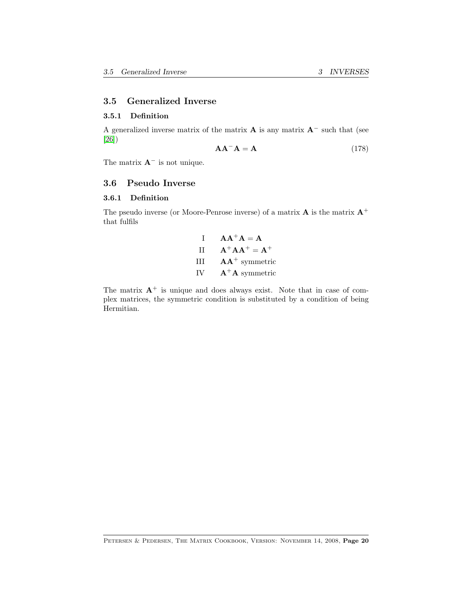#### <span id="page-19-2"></span><span id="page-19-0"></span>3.5 Generalized Inverse

#### 3.5.1 Definition

A generalized inverse matrix of the matrix  $\bf{A}$  is any matrix  $\bf{A}^-$  such that (see [\[26\]](#page-69-7))

$$
AA^{-}A = A \qquad (178)
$$

The matrix  $A^-$  is not unique.

### <span id="page-19-1"></span>3.6 Pseudo Inverse

#### 3.6.1 Definition

The pseudo inverse (or Moore-Penrose inverse) of a matrix  ${\bf A}$  is the matrix  ${\bf A}^+$ that fulfils

| $\mathbf{I}$ | $A A^+ A = A$    |
|--------------|------------------|
| Π            | $A^+AA^+ = A^+$  |
| Ħ            | $AA^+$ symmetric |
| IV           | $A^+A$ symmetric |

The matrix  $A^+$  is unique and does always exist. Note that in case of complex matrices, the symmetric condition is substituted by a condition of being Hermitian.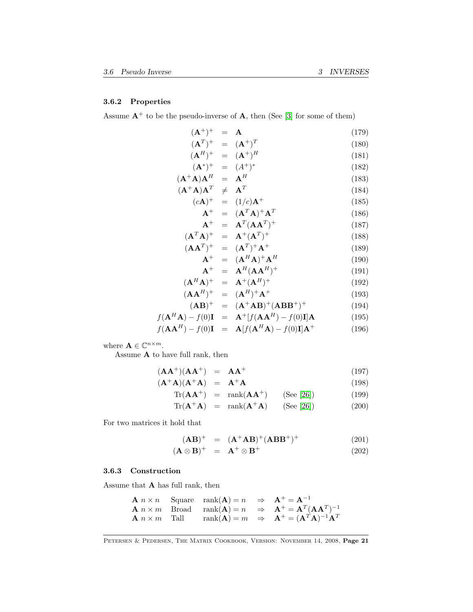### 3.6.2 Properties

Assume  $A^+$  to be the pseudo-inverse of A, then (See [\[3\]](#page-68-6) for some of them)

$$
(\mathbf{A}^{+})^{+} = \mathbf{A}
$$
\n
$$
(\mathbf{A}^{T})^{+} = (\mathbf{A}^{+})^{T}
$$
\n
$$
(\mathbf{A}^{H})^{+} = (\mathbf{A}^{+})^{H}
$$
\n
$$
(\mathbf{A}^{*})^{+} = (\mathbf{A}^{+})^{*}
$$
\n
$$
(\mathbf{A}^{*})^{+} = (\mathbf{A}^{+})^{*}
$$
\n
$$
(\mathbf{A}^{+}\mathbf{A})\mathbf{A}^{H} = \mathbf{A}^{H}
$$
\n
$$
(\mathbf{A}^{+}\mathbf{A})\mathbf{A}^{T} \neq \mathbf{A}^{T}
$$
\n
$$
(\mathbf{A}^{+}\mathbf{A})\mathbf{A}^{T} = (\mathbf{A}^{T}\mathbf{A})^{+}\mathbf{A}^{T}
$$
\n
$$
(\mathbf{A}^{+})^{+} = (\mathbf{A}^{T}\mathbf{A})^{+}\mathbf{A}^{T}
$$
\n
$$
(\mathbf{A}^{T}\mathbf{A})^{+} = \mathbf{A}^{+}(\mathbf{A}\mathbf{A}^{T})^{+}
$$
\n
$$
(\mathbf{A}\mathbf{A}^{T})^{+} = (\mathbf{A}^{T})^{+}\mathbf{A}^{+}
$$
\n
$$
(\mathbf{A}^{H}\mathbf{A})^{+} = (\mathbf{A}^{H}\mathbf{A})^{+}\mathbf{A}^{H}
$$
\n
$$
(\mathbf{A}^{H}\mathbf{A})^{+} = \mathbf{A}^{H}(\mathbf{A}\mathbf{A}^{H})^{+}
$$
\n
$$
(\mathbf{A}\mathbf{A}^{H})^{+} = (\mathbf{A}^{H})^{+}\mathbf{A}^{+}
$$
\n
$$
(\mathbf{A}^{H}\mathbf{A})^{+} = (\mathbf{A}^{H})^{+}\mathbf{A}^{+}
$$
\n
$$
(\mathbf{A}^{H})^{+} = (\mathbf{A}^{H})^{+}\mathbf{A}^{+}
$$
\n
$$
(\mathbf{A}^{H})^{+} = (\mathbf{A}^{H})^{+}\mathbf{A}^{+}
$$
\n
$$
(\mathbf{A}^{H})^{+} = (\mathbf{A}^{H
$$

$$
(\mathbf{AB})^{+} = (\mathbf{A}^{+}\mathbf{AB})^{+}(\mathbf{ABB}^{+})^{+}
$$
(194)  

$$
f(\mathbf{ABA}) = f(0)\mathbf{I} + [f(\mathbf{AAH}) - f(0)\mathbf{I}]\mathbf{A}
$$
(105)

$$
f(\mathbf{A}^H \mathbf{A}) - f(0)\mathbf{I} = \mathbf{A}^T[f(\mathbf{A}\mathbf{A}^H) - f(0)\mathbf{I}]\mathbf{A}
$$
(195)  

$$
f(\mathbf{A} \mathbf{A}^H) - f(0)\mathbf{I} = \mathbf{A}^T[f(\mathbf{A}^H \mathbf{A}) - f(0)\mathbf{I}]\mathbf{A} +
$$
(196)

 $f(\mathbf{A}\mathbf{A}^H) - f(0)\mathbf{I} = \mathbf{A}[f(\mathbf{A}^H\mathbf{A}) - f(0)\mathbf{I}]\mathbf{A}^+$  (196)

where  $\mathbf{A} \in \mathbb{C}^{n \times m}$ .

Assume A to have full rank, then

$$
(\mathbf{A}\mathbf{A}^+)(\mathbf{A}\mathbf{A}^+) = \mathbf{A}\mathbf{A}^+ \tag{197}
$$

$$
(\mathbf{A}^+\mathbf{A})(\mathbf{A}^+\mathbf{A}) = \mathbf{A}^+\mathbf{A}
$$
 (198)

$$
Tr(\mathbf{A}\mathbf{A}^+) = \operatorname{rank}(\mathbf{A}\mathbf{A}^+) \qquad \text{(See [26])} \tag{199}
$$

$$
Tr(\mathbf{A}^+ \mathbf{A}) = \text{rank}(\mathbf{A}^+ \mathbf{A}) \qquad \text{(See [26])} \tag{200}
$$

For two matrices it hold that

$$
(\mathbf{AB})^{+} = (\mathbf{A}^{+}\mathbf{AB})^{+}(\mathbf{ABB}^{+})^{+}
$$
 (201)

$$
(\mathbf{A} \otimes \mathbf{B})^+ = \mathbf{A}^+ \otimes \mathbf{B}^+ \tag{202}
$$

### <span id="page-20-0"></span>3.6.3 Construction

Assume that A has full rank, then

**A** 
$$
n \times n
$$
 Square rank(**A**) =  $n \Rightarrow$  **A**<sup>+</sup> = **A**<sup>-1</sup>  
\n**A**  $n \times m$  Broad rank(**A**) =  $n \Rightarrow$  **A**<sup>+</sup> = **A**<sup>T</sup>(**AA**<sup>T</sup>)<sup>-1</sup>  
\n**A**  $n \times m$  Tall rank(**A**) =  $m \Rightarrow$  **A**<sup>+</sup> = (**A**<sup>T</sup>**A**)<sup>-1</sup>**A**<sup>T</sup>

PETERSEN & PEDERSEN, THE MATRIX COOKBOOK, VERSION: NOVEMBER 14, 2008, Page 21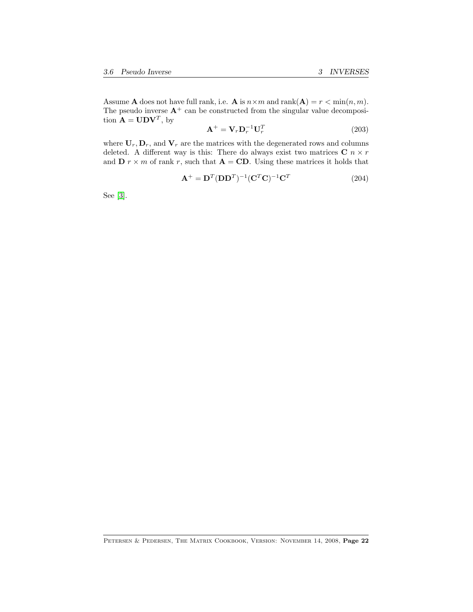<span id="page-21-0"></span>Assume **A** does not have full rank, i.e. **A** is  $n \times m$  and  $\text{rank}(\mathbf{A}) = r < \min(n, m)$ . The pseudo inverse  $A^+$  can be constructed from the singular value decomposition  $\mathbf{A} = \mathbf{U} \mathbf{D} \mathbf{V}^T$ , by

$$
\mathbf{A}^+ = \mathbf{V}_r \mathbf{D}_r^{-1} \mathbf{U}_r^T
$$
 (203)

where  $U_r, D_r$ , and  $V_r$  are the matrices with the degenerated rows and columns deleted. A different way is this: There do always exist two matrices  $C n \times r$ and  $\mathbf{D} r \times m$  of rank r, such that  $\mathbf{A} = \mathbf{C}\mathbf{D}$ . Using these matrices it holds that

$$
\mathbf{A}^+ = \mathbf{D}^T (\mathbf{D} \mathbf{D}^T)^{-1} (\mathbf{C}^T \mathbf{C})^{-1} \mathbf{C}^T
$$
 (204)

See [\[3\]](#page-68-6).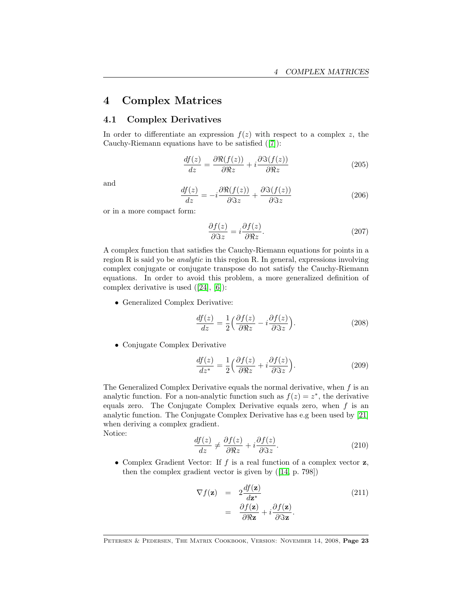# <span id="page-22-0"></span>4 Complex Matrices

### <span id="page-22-1"></span>4.1 Complex Derivatives

In order to differentiate an expression  $f(z)$  with respect to a complex z, the Cauchy-Riemann equations have to be satisfied([\[7\]](#page-68-1)):

$$
\frac{df(z)}{dz} = \frac{\partial \Re(f(z))}{\partial \Re z} + i \frac{\partial \Im(f(z))}{\partial \Re z} \tag{205}
$$

and

$$
\frac{df(z)}{dz} = -i \frac{\partial \Re(f(z))}{\partial \Im z} + \frac{\partial \Im(f(z))}{\partial \Im z} \tag{206}
$$

or in a more compact form:

$$
\frac{\partial f(z)}{\partial \Im z} = i \frac{\partial f(z)}{\partial \Re z}.
$$
\n(207)

A complex function that satisfies the Cauchy-Riemann equations for points in a region R is said yo be analytic in this region R. In general, expressions involving complex conjugate or conjugate transpose do not satisfy the Cauchy-Riemann equations. In order to avoid this problem, a more generalized definition of complex derivative is used([\[24\]](#page-69-8), [\[6\]](#page-68-7)):

• Generalized Complex Derivative:

<span id="page-22-3"></span>
$$
\frac{df(z)}{dz} = \frac{1}{2} \left( \frac{\partial f(z)}{\partial \Re z} - i \frac{\partial f(z)}{\partial \Im z} \right).
$$
 (208)

• Conjugate Complex Derivative

<span id="page-22-2"></span>
$$
\frac{df(z)}{dz^*} = \frac{1}{2} \left( \frac{\partial f(z)}{\partial \Re z} + i \frac{\partial f(z)}{\partial \Im z} \right).
$$
 (209)

The Generalized Complex Derivative equals the normal derivative, when  $f$  is an analytic function. For a non-analytic function such as  $f(z) = z^*$ , the derivative equals zero. The Conjugate Complex Derivative equals zero, when  $f$  is an analytic function. The Conjugate Complex Derivative has e.g been used by [\[21\]](#page-69-9) when deriving a complex gradient.

Notice:

$$
\frac{df(z)}{dz} \neq \frac{\partial f(z)}{\partial \Re z} + i \frac{\partial f(z)}{\partial \Im z}.
$$
\n(210)

• Complex Gradient Vector: If  $f$  is a real function of a complex vector  $z$ , then the complex gradient vector is given by([\[14,](#page-68-2) p. 798])

$$
\nabla f(\mathbf{z}) = 2 \frac{df(\mathbf{z})}{d\mathbf{z}^*} \n= \frac{\partial f(\mathbf{z})}{\partial \Re \mathbf{z}} + i \frac{\partial f(\mathbf{z})}{\partial \Im \mathbf{z}}.
$$
\n(211)

PETERSEN & PEDERSEN, THE MATRIX COOKBOOK, VERSION: NOVEMBER 14, 2008, Page 23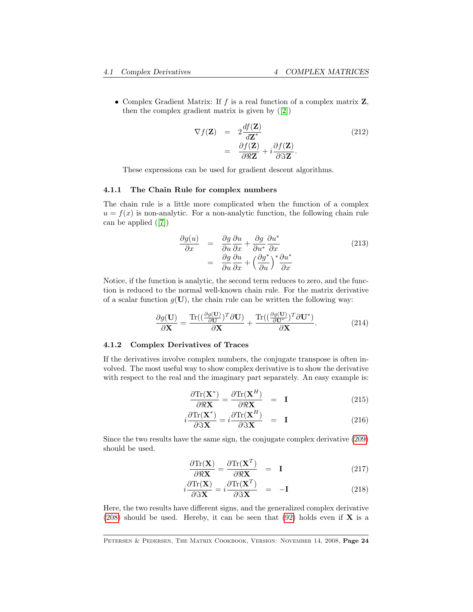• Complex Gradient Matrix: If  $f$  is a real function of a complex matrix  $\mathbf{Z}$ , then the complex gradient matrix is given by([\[2\]](#page-68-8))

<span id="page-23-0"></span>
$$
\nabla f(\mathbf{Z}) = 2 \frac{df(\mathbf{Z})}{d\mathbf{Z}^*} \n= \frac{\partial f(\mathbf{Z})}{\partial \Re \mathbf{Z}} + i \frac{\partial f(\mathbf{Z})}{\partial \Im \mathbf{Z}}.
$$
\n(212)

These expressions can be used for gradient descent algorithms.

#### 4.1.1 The Chain Rule for complex numbers

The chain rule is a little more complicated when the function of a complex  $u = f(x)$  is non-analytic. For a non-analytic function, the following chain rule can be applied([\[7\]](#page-68-1))

$$
\frac{\partial g(u)}{\partial x} = \frac{\partial g}{\partial u} \frac{\partial u}{\partial x} + \frac{\partial g}{\partial u^*} \frac{\partial u^*}{\partial x} \n= \frac{\partial g}{\partial u} \frac{\partial u}{\partial x} + \left(\frac{\partial g^*}{\partial u}\right)^* \frac{\partial u^*}{\partial x}
$$
\n(213)

Notice, if the function is analytic, the second term reduces to zero, and the function is reduced to the normal well-known chain rule. For the matrix derivative of a scalar function  $g(\mathbf{U})$ , the chain rule can be written the following way:

$$
\frac{\partial g(\mathbf{U})}{\partial \mathbf{X}} = \frac{\text{Tr}\left( \left( \frac{\partial g(\mathbf{U})}{\partial \mathbf{U}} \right)^T \partial \mathbf{U} \right)}{\partial \mathbf{X}} + \frac{\text{Tr}\left( \left( \frac{\partial g(\mathbf{U})}{\partial \mathbf{U}^*} \right)^T \partial \mathbf{U}^* \right)}{\partial \mathbf{X}}.
$$
(214)

#### 4.1.2 Complex Derivatives of Traces

If the derivatives involve complex numbers, the conjugate transpose is often involved. The most useful way to show complex derivative is to show the derivative with respect to the real and the imaginary part separately. An easy example is:

$$
\frac{\partial \text{Tr}(\mathbf{X}^*)}{\partial \Re \mathbf{X}} = \frac{\partial \text{Tr}(\mathbf{X}^H)}{\partial \Re \mathbf{X}} = \mathbf{I}
$$
 (215)

$$
i\frac{\partial \text{Tr}(\mathbf{X}^*)}{\partial \Im \mathbf{X}} = i\frac{\partial \text{Tr}(\mathbf{X}^H)}{\partial \Im \mathbf{X}} = \mathbf{I}
$$
 (216)

Since the two results have the same sign, the conjugate complex derivative [\(209\)](#page-22-2) should be used.

$$
\frac{\partial \text{Tr}(\mathbf{X})}{\partial \Re \mathbf{X}} = \frac{\partial \text{Tr}(\mathbf{X}^T)}{\partial \Re \mathbf{X}} = \mathbf{I}
$$
 (217)

$$
i\frac{\partial \text{Tr}(\mathbf{X})}{\partial \Im \mathbf{X}} = i\frac{\partial \text{Tr}(\mathbf{X}^T)}{\partial \Im \mathbf{X}} = -\mathbf{I}
$$
 (218)

Here, the two results have different signs, and the generalized complex derivative [\(208\)](#page-22-3) should be used. Hereby, it can be seen that [\(92\)](#page-11-1) holds even if  $X$  is a

Petersen & Pedersen, The Matrix Cookbook, Version: November 14, 2008, Page 24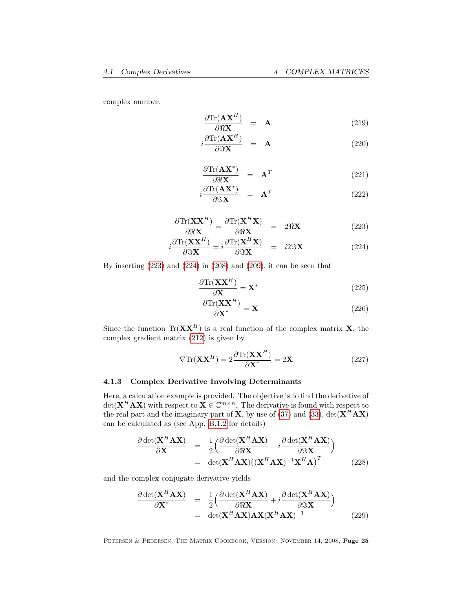complex number.

$$
\frac{\partial \text{Tr}(\mathbf{A}\mathbf{X}^H)}{\partial \Re \mathbf{X}} = \mathbf{A}
$$
 (219)

<span id="page-24-2"></span>
$$
i\frac{\partial \text{Tr}(\mathbf{A}\mathbf{X}^H)}{\partial \mathfrak{X}\mathbf{X}} = \mathbf{A}
$$
 (220)

$$
\frac{\partial \text{Tr}(\mathbf{A}\mathbf{X}^*)}{\partial \Re \mathbf{X}} = \mathbf{A}^T
$$
 (221)

$$
i\frac{\partial \text{Tr}(\mathbf{A}\mathbf{X}^*)}{\partial \Im \mathbf{X}} = \mathbf{A}^T
$$
 (222)

$$
\frac{\partial \text{Tr}(\mathbf{X}\mathbf{X}^H)}{\partial \Re \mathbf{X}} = \frac{\partial \text{Tr}(\mathbf{X}^H \mathbf{X})}{\partial \Re \mathbf{X}} = 2\Re \mathbf{X}
$$
 (223)

<span id="page-24-1"></span>
$$
i\frac{\partial \text{Tr}(\mathbf{X}\mathbf{X}^{H})}{\partial \Im \mathbf{X}} = i\frac{\partial \text{Tr}(\mathbf{X}^{H}\mathbf{X})}{\partial \Im \mathbf{X}} = i2\Im \mathbf{X}
$$
 (224)

By inserting [\(223\)](#page-24-1) and [\(224\)](#page-24-1) in [\(208\)](#page-22-3) and [\(209\)](#page-22-2), it can be seen that

$$
\frac{\partial \text{Tr}(\mathbf{X}\mathbf{X}^H)}{\partial \mathbf{X}} = \mathbf{X}^*
$$
\n(225)

$$
\frac{\partial \text{Tr}(\mathbf{X}\mathbf{X}^H)}{\partial \mathbf{X}^*} = \mathbf{X}
$$
 (226)

Since the function  $\text{Tr}(\mathbf{X}\mathbf{X}^H)$  is a real function of the complex matrix **X**, the complex gradient matrix [\(212\)](#page-23-0) is given by

<span id="page-24-0"></span>
$$
\nabla \text{Tr}(\mathbf{X} \mathbf{X}^H) = 2 \frac{\partial \text{Tr}(\mathbf{X} \mathbf{X}^H)}{\partial \mathbf{X}^*} = 2 \mathbf{X}
$$
 (227)

### 4.1.3 Complex Derivative Involving Determinants

Here, a calculation example is provided. The objective is to find the derivative of  $\det(\mathbf{X}^H \mathbf{A} \mathbf{X})$  with respect to  $\mathbf{X} \in \mathbb{C}^{m \times n}$ . The derivative is found with respect to the real part and the imaginary part of **X**, by use of [\(37\)](#page-6-2) and [\(33\)](#page-6-2),  $det(\mathbf{X}^H \mathbf{A} \mathbf{X})$ can be calculated as (see App. [B.1.2](#page-66-3) for details)

<span id="page-24-3"></span>
$$
\frac{\partial \det(\mathbf{X}^H \mathbf{A} \mathbf{X})}{\partial \mathbf{X}} = \frac{1}{2} \Big( \frac{\partial \det(\mathbf{X}^H \mathbf{A} \mathbf{X})}{\partial \Re \mathbf{X}} - i \frac{\partial \det(\mathbf{X}^H \mathbf{A} \mathbf{X})}{\partial \Im \mathbf{X}} \Big) \n= \det(\mathbf{X}^H \mathbf{A} \mathbf{X}) ((\mathbf{X}^H \mathbf{A} \mathbf{X})^{-1} \mathbf{X}^H \mathbf{A})^T
$$
\n(228)

and the complex conjugate derivative yields

<span id="page-24-4"></span>
$$
\frac{\partial \det(\mathbf{X}^H \mathbf{A} \mathbf{X})}{\partial \mathbf{X}^*} = \frac{1}{2} \Big( \frac{\partial \det(\mathbf{X}^H \mathbf{A} \mathbf{X})}{\partial \Re \mathbf{X}} + i \frac{\partial \det(\mathbf{X}^H \mathbf{A} \mathbf{X})}{\partial \Im \mathbf{X}} \Big) \n= \det(\mathbf{X}^H \mathbf{A} \mathbf{X}) \mathbf{A} \mathbf{X} (\mathbf{X}^H \mathbf{A} \mathbf{X})^{-1}
$$
\n(229)

PETERSEN & PEDERSEN, THE MATRIX COOKBOOK, VERSION: NOVEMBER 14, 2008, Page 25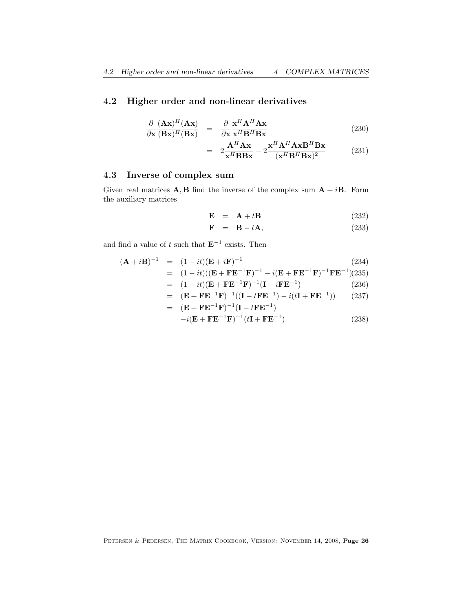### <span id="page-25-2"></span><span id="page-25-0"></span>4.2 Higher order and non-linear derivatives

$$
\frac{\partial}{\partial \mathbf{x}} \frac{(\mathbf{A}\mathbf{x})^H (\mathbf{A}\mathbf{x})}{(\mathbf{B}\mathbf{x})^H (\mathbf{B}\mathbf{x})} = \frac{\partial}{\partial \mathbf{x}} \frac{\mathbf{x}^H \mathbf{A}^H \mathbf{A} \mathbf{x}}{\mathbf{x}^H \mathbf{B}^H \mathbf{B} \mathbf{x}}
$$
(230)

$$
= 2\frac{\mathbf{A}^{H}\mathbf{A}\mathbf{x}}{\mathbf{x}^{H}\mathbf{B}\mathbf{B}\mathbf{x}} - 2\frac{\mathbf{x}^{H}\mathbf{A}^{H}\mathbf{A}\mathbf{x}\mathbf{B}^{H}\mathbf{B}\mathbf{x}}{(\mathbf{x}^{H}\mathbf{B}^{H}\mathbf{B}\mathbf{x})^{2}} \tag{231}
$$

# <span id="page-25-1"></span>4.3 Inverse of complex sum

Given real matrices **A**, **B** find the inverse of the complex sum  $A + iB$ . Form the auxiliary matrices

$$
\mathbf{E} = \mathbf{A} + t\mathbf{B} \tag{232}
$$

$$
\mathbf{F} = \mathbf{B} - t\mathbf{A},\tag{233}
$$

and find a value of t such that  $E^{-1}$  exists. Then

$$
(\mathbf{A} + i\mathbf{B})^{-1} = (1 - it)(\mathbf{E} + i\mathbf{F})^{-1}
$$
(234)  
=  $(1 - it)((\mathbf{E} + \mathbf{F}\mathbf{E}^{-1}\mathbf{F})^{-1} - i(\mathbf{E} + \mathbf{F}\mathbf{E}^{-1}\mathbf{F})^{-1}\mathbf{F}\mathbf{E}^{-1})(235)$   
=  $(1 - it)(\mathbf{E} + \mathbf{F}\mathbf{E}^{-1}\mathbf{F})^{-1}(\mathbf{I} - i\mathbf{F}\mathbf{E}^{-1})$ (236)

= 
$$
(\mathbf{E} + \mathbf{F} \mathbf{E}^{-1} \mathbf{F})^{-1} ((\mathbf{I} - t \mathbf{F} \mathbf{E}^{-1}) - i(t \mathbf{I} + \mathbf{F} \mathbf{E}^{-1}))
$$
 (237)  
=  $(\mathbf{E} + \mathbf{F} \mathbf{E}^{-1} \mathbf{F})^{-1} (\mathbf{I} - t \mathbf{F} \mathbf{E}^{-1})$ 

$$
-i(\mathbf{E} + \mathbf{F}\mathbf{E}^{-1}\mathbf{F})^{-1}(t\mathbf{I} + \mathbf{F}\mathbf{E}^{-1})
$$
\n(238)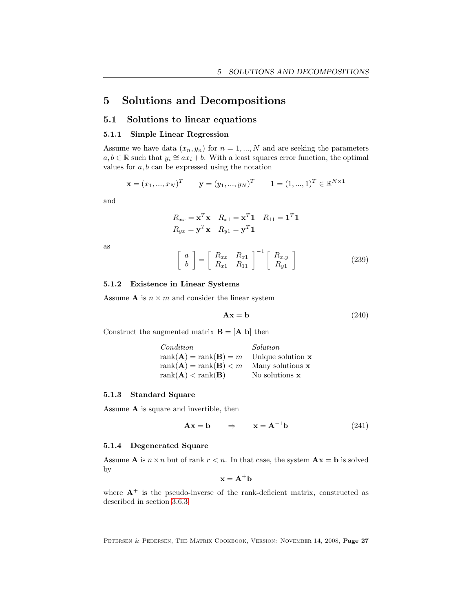# <span id="page-26-0"></span>5 Solutions and Decompositions

### <span id="page-26-1"></span>5.1 Solutions to linear equations

#### 5.1.1 Simple Linear Regression

Assume we have data  $(x_n, y_n)$  for  $n = 1, ..., N$  and are seeking the parameters  $a, b \in \mathbb{R}$  such that  $y_i \cong ax_i + b$ . With a least squares error function, the optimal values for  $a, b$  can be expressed using the notation

$$
\mathbf{x} = (x_1, ..., x_N)^T
$$
  $\mathbf{y} = (y_1, ..., y_N)^T$   $\mathbf{1} = (1, ..., 1)^T \in \mathbb{R}^{N \times 1}$ 

and

$$
R_{xx} = \mathbf{x}^T \mathbf{x} \quad R_{x1} = \mathbf{x}^T \mathbf{1} \quad R_{11} = \mathbf{1}^T \mathbf{1}
$$
  

$$
R_{yx} = \mathbf{y}^T \mathbf{x} \quad R_{y1} = \mathbf{y}^T \mathbf{1}
$$

as

$$
\left[\begin{array}{c} a \\ b \end{array}\right] = \left[\begin{array}{cc} R_{xx} & R_{x1} \\ R_{x1} & R_{11} \end{array}\right]^{-1} \left[\begin{array}{c} R_{x,y} \\ R_{y1} \end{array}\right] \tag{239}
$$

#### 5.1.2 Existence in Linear Systems

Assume **A** is  $n \times m$  and consider the linear system

$$
Ax = b \tag{240}
$$

Construct the augmented matrix  $\mathbf{B} = [\mathbf{A} \mathbf{b}]$  then

| Condition                                 | Solution            |
|-------------------------------------------|---------------------|
| $rank(\mathbf{A}) = rank(\mathbf{B}) = m$ | Unique solution $x$ |
| $rank(\mathbf{A}) = rank(\mathbf{B}) < m$ | Many solutions $x$  |
| $rank(\mathbf{A}) < rank(\mathbf{B})$     | No solutions $x$    |

### 5.1.3 Standard Square

Assume A is square and invertible, then

$$
\mathbf{A}\mathbf{x} = \mathbf{b} \qquad \Rightarrow \qquad \mathbf{x} = \mathbf{A}^{-1}\mathbf{b} \tag{241}
$$

#### 5.1.4 Degenerated Square

Assume **A** is  $n \times n$  but of rank  $r < n$ . In that case, the system  $Ax = b$  is solved by

$$
\mathbf{x} = \mathbf{A}^+\mathbf{b}
$$

where  $A^+$  is the pseudo-inverse of the rank-deficient matrix, constructed as described in section [3.6.3.](#page-20-0)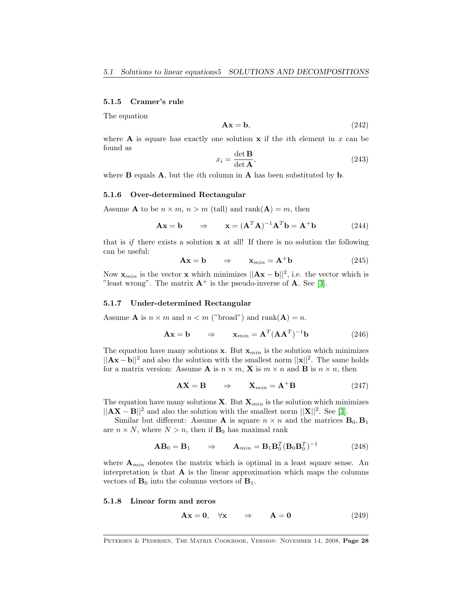#### <span id="page-27-0"></span>5.1.5 Cramer's rule

The equation

$$
Ax = b,\t(242)
$$

where **A** is square has exactly one solution  $x$  if the *i*th element in x can be found as

$$
x_i = \frac{\det \mathbf{B}}{\det \mathbf{A}},\tag{243}
$$

where  $\bf{B}$  equals  $\bf{A}$ , but the *i*th column in  $\bf{A}$  has been substituted by  $\bf{b}$ .

#### 5.1.6 Over-determined Rectangular

Assume **A** to be  $n \times m$ ,  $n > m$  (tall) and rank(**A**) = m, then

$$
\mathbf{A}\mathbf{x} = \mathbf{b} \qquad \Rightarrow \qquad \mathbf{x} = (\mathbf{A}^T \mathbf{A})^{-1} \mathbf{A}^T \mathbf{b} = \mathbf{A}^+ \mathbf{b} \tag{244}
$$

that is if there exists a solution  $x$  at all! If there is no solution the following can be useful:

$$
\mathbf{A}\mathbf{x} = \mathbf{b} \qquad \Rightarrow \qquad \mathbf{x}_{min} = \mathbf{A}^+ \mathbf{b} \tag{245}
$$

Now  $\mathbf{x}_{min}$  is the vector x which minimizes  $||\mathbf{A}\mathbf{x} - \mathbf{b}||^2$ , i.e. the vector which is "least wrong". The matrix  $A^+$  is the pseudo-inverse of A. See [\[3\]](#page-68-6).

#### 5.1.7 Under-determined Rectangular

Assume **A** is  $n \times m$  and  $n \lt m$  ("broad") and rank(**A**) = *n*.

$$
\mathbf{A}\mathbf{x} = \mathbf{b} \qquad \Rightarrow \qquad \mathbf{x}_{min} = \mathbf{A}^T (\mathbf{A}\mathbf{A}^T)^{-1} \mathbf{b} \tag{246}
$$

The equation have many solutions  $x$ . But  $x_{min}$  is the solution which minimizes  $||Ax - b||^2$  and also the solution with the smallest norm  $||x||^2$ . The same holds for a matrix version: Assume **A** is  $n \times m$ , **X** is  $m \times n$  and **B** is  $n \times n$ , then

$$
AX = B \qquad \Rightarrow \qquad X_{min} = A^{+}B \tag{247}
$$

The equation have many solutions **X**. But  $\mathbf{X}_{min}$  is the solution which minimizes  $||AX - B||^2$  and also the solution with the smallest norm  $||X||^2$ . See [\[3\]](#page-68-6).

Similar but different: Assume **A** is square  $n \times n$  and the matrices  $\mathbf{B}_0, \mathbf{B}_1$ are  $n \times N$ , where  $N > n$ , then if  $\mathbf{B}_0$  has maximal rank

$$
\mathbf{AB}_0 = \mathbf{B}_1 \qquad \Rightarrow \qquad \mathbf{A}_{min} = \mathbf{B}_1 \mathbf{B}_0^T (\mathbf{B}_0 \mathbf{B}_0^T)^{-1} \tag{248}
$$

where  $A_{min}$  denotes the matrix which is optimal in a least square sense. An interpretation is that  $A$  is the linear approximation which maps the columns vectors of  $\mathbf{B}_0$  into the columns vectors of  $\mathbf{B}_1$ .

#### 5.1.8 Linear form and zeros

$$
Ax = 0, \quad \forall x \quad \Rightarrow \quad A = 0 \tag{249}
$$

Petersen & Pedersen, The Matrix Cookbook, Version: November 14, 2008, Page 28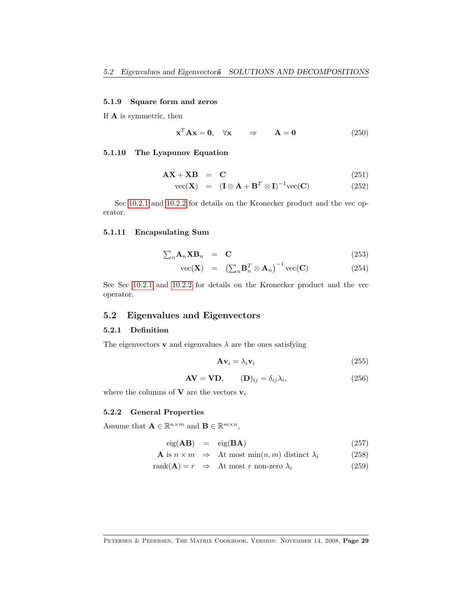### <span id="page-28-1"></span>5.1.9 Square form and zeros

If A is symmetric, then

$$
\mathbf{x}^T \mathbf{A} \mathbf{x} = \mathbf{0}, \quad \forall \mathbf{x} \qquad \Rightarrow \qquad \mathbf{A} = \mathbf{0} \tag{250}
$$

### 5.1.10 The Lyapunov Equation

$$
\mathbf{AX} + \mathbf{XB} = \mathbf{C} \tag{251}
$$

$$
\text{vec}(\mathbf{X}) = (\mathbf{I} \otimes \mathbf{A} + \mathbf{B}^T \otimes \mathbf{I})^{-1} \text{vec}(\mathbf{C}) \tag{252}
$$

Sec [10.2.1](#page-58-1) and [10.2.2](#page-59-0) for details on the Kronecker product and the vec operator.

#### 5.1.11 Encapsulating Sum

$$
\sum_{n} \mathbf{A}_{n} \mathbf{X} \mathbf{B}_{n} = \mathbf{C} \tag{253}
$$

$$
\text{vec}(\mathbf{X}) = \left(\sum_{n} \mathbf{B}_{n}^{T} \otimes \mathbf{A}_{n}\right)^{-1} \text{vec}(\mathbf{C}) \tag{254}
$$

See Sec [10.2.1](#page-58-1) and [10.2.2](#page-59-0) for details on the Kronecker product and the vec operator.

### <span id="page-28-0"></span>5.2 Eigenvalues and Eigenvectors

#### 5.2.1 Definition

The eigenvectors **v** and eigenvalues  $\lambda$  are the ones satisfying

$$
\mathbf{A}\mathbf{v}_i = \lambda_i \mathbf{v}_i \tag{255}
$$

$$
AV = VD, \t(D)_{ij} = \delta_{ij} \lambda_i,
$$
\t(256)

where the columns of **V** are the vectors  $v_i$ 

#### 5.2.2 General Properties

Assume that  $\mathbf{A} \in \mathbb{R}^{n \times m}$  and  $\mathbf{B} \in \mathbb{R}^{m \times n}$ ,

$$
eig(AB) = eig(BA)
$$
 (257)

$$
\mathbf{A} \text{ is } n \times m \quad \Rightarrow \quad \text{At most } \min(n, m) \text{ distinct } \lambda_i \tag{258}
$$

$$
rank(\mathbf{A}) = r \Rightarrow \text{At most } r \text{ non-zero } \lambda_i \tag{259}
$$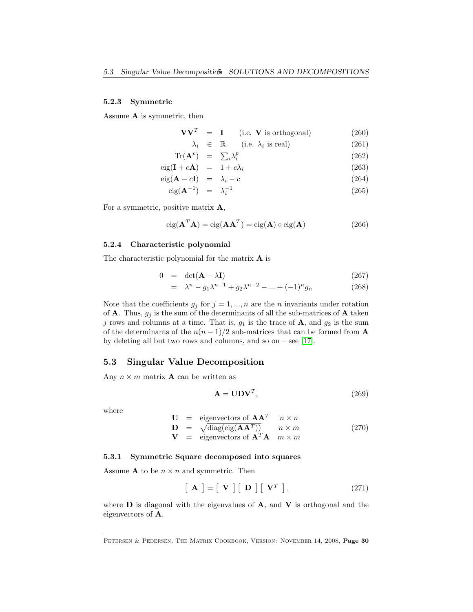#### 5.2.3 Symmetric

Assume A is symmetric, then

$$
VVT = I \t(i.e. V is orthogonal)
$$
 (260)

$$
\lambda_i \in \mathbb{R} \qquad \text{(i.e. } \lambda_i \text{ is real)} \tag{261}
$$

$$
\operatorname{Tr}(\mathbf{A}^p) = \sum_i \lambda_i^p \tag{262}
$$

$$
eig(\mathbf{I} + c\mathbf{A}) = 1 + c\lambda_i \tag{263}
$$

$$
eig(\mathbf{A} - c\mathbf{I}) = \lambda_i - c \tag{264}
$$

$$
eig(\mathbf{A}^{-1}) = \lambda_i^{-1} \tag{265}
$$

For a symmetric, positive matrix  $\mathbf{A}$ ,

$$
eig(\mathbf{A}^T\mathbf{A}) = eig(\mathbf{A}\mathbf{A}^T) = eig(\mathbf{A}) \circ eig(\mathbf{A})
$$
\n(266)

#### 5.2.4 Characteristic polynomial

The characteristic polynomial for the matrix A is

$$
0 = \det(\mathbf{A} - \lambda \mathbf{I}) \tag{267}
$$

$$
= \lambda^{n} - g_{1}\lambda^{n-1} + g_{2}\lambda^{n-2} - \dots + (-1)^{n}g_{n}
$$
 (268)

Note that the coefficients  $g_j$  for  $j = 1, ..., n$  are the *n* invariants under rotation of **A**. Thus,  $g_j$  is the sum of the determinants of all the sub-matrices of **A** taken j rows and columns at a time. That is,  $g_1$  is the trace of **A**, and  $g_2$  is the sum of the determinants of the  $n(n-1)/2$  sub-matrices that can be formed from **A** by deleting all but two rows and columns, and so on – see [\[17\]](#page-68-9).

### <span id="page-29-0"></span>5.3 Singular Value Decomposition

Any  $n \times m$  matrix **A** can be written as

$$
\mathbf{A} = \mathbf{U} \mathbf{D} \mathbf{V}^T, \tag{269}
$$

where

$$
\mathbf{U} = \text{eigenvectors of } \mathbf{AA}^T \quad n \times n
$$
  

$$
\mathbf{D} = \sqrt{\text{diag}(\text{eig}(\mathbf{AA}^T))} \quad n \times m
$$
 (270)

$$
\mathbf{V} = \text{eigenvectors of } \mathbf{A}^T \mathbf{A} \quad m \times m
$$

#### 5.3.1 Symmetric Square decomposed into squares

Assume **A** to be  $n \times n$  and symmetric. Then

$$
\left[\begin{array}{c} \mathbf{A} \end{array}\right] = \left[\begin{array}{c} \mathbf{V} \end{array}\right] \left[\begin{array}{c} \mathbf{D} \end{array}\right] \left[\begin{array}{c} \mathbf{V}^T \end{array}\right],\tag{271}
$$

where  **is diagonal with the eigenvalues of**  $**A**$ **, and**  $**V**$  **is orthogonal and the** eigenvectors of A.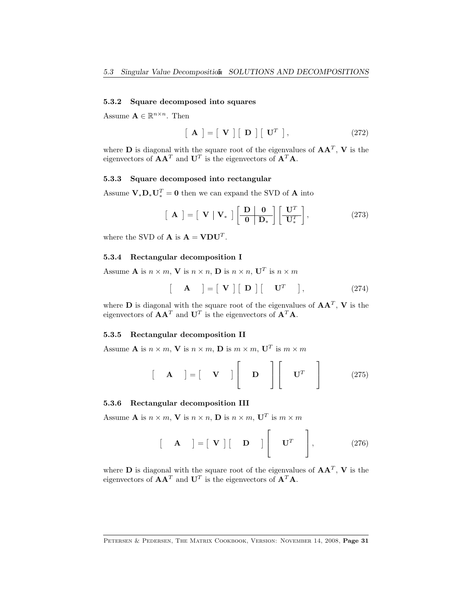### 5.3.2 Square decomposed into squares

Assume  $\mathbf{A} \in \mathbb{R}^{n \times n}$ . Then

$$
\left[\begin{array}{c} \mathbf{A} \end{array}\right] = \left[\begin{array}{c} \mathbf{V} \end{array}\right] \left[\begin{array}{c} \mathbf{D} \end{array}\right] \left[\begin{array}{c} \mathbf{U}^T \end{array}\right],\tag{272}
$$

where **D** is diagonal with the square root of the eigenvalues of  $AA<sup>T</sup>$ , **V** is the eigenvectors of  $AA<sup>T</sup>$  and  $U<sup>T</sup>$  is the eigenvectors of  $A<sup>T</sup>A$ .

### 5.3.3 Square decomposed into rectangular

Assume  $\mathbf{V}_*\mathbf{D}_*\mathbf{U}_*^T = \mathbf{0}$  then we can expand the SVD of **A** into

$$
\left[\begin{array}{c} \mathbf{A} \end{array}\right] = \left[\begin{array}{c} \mathbf{V} & \mathbf{V}_{*} \end{array}\right] \left[\begin{array}{c} \mathbf{D} & \mathbf{0} \\ \hline \mathbf{0} & \mathbf{D}_{*} \end{array}\right] \left[\begin{array}{c} \mathbf{U}^{T} \\ \hline \mathbf{U}_{*}^{T} \end{array}\right],\tag{273}
$$

where the SVD of **A** is  $\mathbf{A} = \mathbf{V} \mathbf{D} \mathbf{U}^T$ .

#### 5.3.4 Rectangular decomposition I

 $\sqrt{2}$ 

Assume **A** is  $n \times m$ , **V** is  $n \times n$ , **D** is  $n \times n$ , **U**<sup>T</sup> is  $n \times m$ 

$$
\mathbf{A} \quad ] = [\mathbf{V}] [\mathbf{D}] [\mathbf{U}^T \quad ], \tag{274}
$$

where **D** is diagonal with the square root of the eigenvalues of  $AA<sup>T</sup>$ , **V** is the eigenvectors of  $AA<sup>T</sup>$  and  $U<sup>T</sup>$  is the eigenvectors of  $A<sup>T</sup>A$ .

#### 5.3.5 Rectangular decomposition II

Assume **A** is  $n \times m$ , **V** is  $n \times m$ , **D** is  $m \times m$ , **U**<sup>T</sup> is  $m \times m$ 

$$
\begin{bmatrix} \mathbf{A} \end{bmatrix} = \begin{bmatrix} \mathbf{V} \end{bmatrix} \begin{bmatrix} \mathbf{D} \end{bmatrix} \begin{bmatrix} \mathbf{U}^T \end{bmatrix}
$$
 (275)

#### 5.3.6 Rectangular decomposition III

Assume **A** is  $n \times m$ , **V** is  $n \times n$ , **D** is  $n \times m$ , **U**<sup>T</sup> is  $m \times m$ 

$$
\begin{bmatrix} \mathbf{A} \end{bmatrix} = \begin{bmatrix} \mathbf{V} \end{bmatrix} \begin{bmatrix} \mathbf{D} \end{bmatrix} \begin{bmatrix} \mathbf{U}^T \end{bmatrix}, \qquad (276)
$$

where **D** is diagonal with the square root of the eigenvalues of  $AA<sup>T</sup>$ , **V** is the eigenvectors of  $AA<sup>T</sup>$  and  $U<sup>T</sup>$  is the eigenvectors of  $A<sup>T</sup>A$ .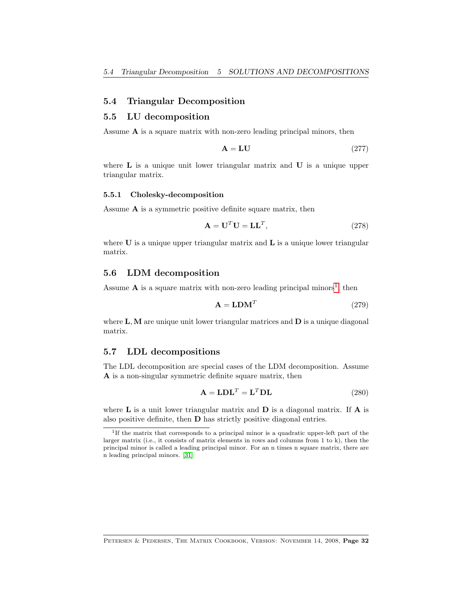### <span id="page-31-5"></span><span id="page-31-0"></span>5.4 Triangular Decomposition

#### <span id="page-31-1"></span>5.5 LU decomposition

Assume  $A$  is a square matrix with non-zero leading principal minors, then

$$
A = LU \t(277)
$$

where **L** is a unique unit lower triangular matrix and **U** is a unique upper triangular matrix.

#### 5.5.1 Cholesky-decomposition

Assume A is a symmetric positive definite square matrix, then

$$
\mathbf{A} = \mathbf{U}^T \mathbf{U} = \mathbf{L}\mathbf{L}^T,\tag{278}
$$

where  $U$  is a unique upper triangular matrix and  $L$  is a unique lower triangular matrix.

#### <span id="page-31-2"></span>5.6 LDM decomposition

Assume A is a square matrix with non-zero leading principal minors<sup>[1](#page-31-4)</sup>, then

$$
\mathbf{A} = \mathbf{L} \mathbf{D} \mathbf{M}^T \tag{279}
$$

where  $L, M$  are unique unit lower triangular matrices and  $D$  is a unique diagonal matrix.

#### <span id="page-31-3"></span>5.7 LDL decompositions

The LDL decomposition are special cases of the LDM decomposition. Assume A is a non-singular symmetric definite square matrix, then

$$
\mathbf{A} = \mathbf{LDL}^T = \mathbf{L}^T \mathbf{DL} \tag{280}
$$

where  $\bf{L}$  is a unit lower triangular matrix and  $\bf{D}$  is a diagonal matrix. If  $\bf{A}$  is also positive definite, then D has strictly positive diagonal entries.

<span id="page-31-4"></span><sup>&</sup>lt;sup>1</sup>If the matrix that corresponds to a principal minor is a quadratic upper-left part of the larger matrix (i.e., it consists of matrix elements in rows and columns from 1 to k), then the principal minor is called a leading principal minor. For an n times n square matrix, there are n leading principal minors. [\[31\]](#page-69-10)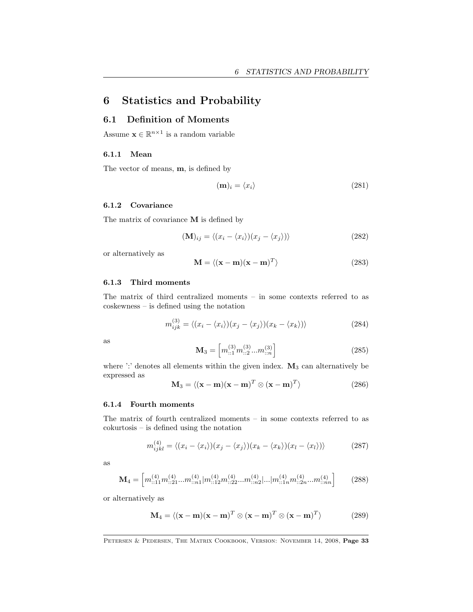# <span id="page-32-2"></span><span id="page-32-0"></span>6 Statistics and Probability

### <span id="page-32-1"></span>6.1 Definition of Moments

Assume  $\mathbf{x} \in \mathbb{R}^{n \times 1}$  is a random variable

#### 6.1.1 Mean

The vector of means, m, is defined by

$$
(\mathbf{m})_i = \langle x_i \rangle \tag{281}
$$

#### 6.1.2 Covariance

The matrix of covariance M is defined by

$$
(\mathbf{M})_{ij} = \langle (x_i - \langle x_i \rangle)(x_j - \langle x_j \rangle) \rangle \tag{282}
$$

or alternatively as

$$
\mathbf{M} = \langle (\mathbf{x} - \mathbf{m})(\mathbf{x} - \mathbf{m})^T \rangle \tag{283}
$$

#### 6.1.3 Third moments

The matrix of third centralized moments – in some contexts referred to as coskewness – is defined using the notation

$$
m_{ijk}^{(3)} = \langle (x_i - \langle x_i \rangle)(x_j - \langle x_j \rangle)(x_k - \langle x_k \rangle) \rangle
$$
 (284)

as

$$
\mathbf{M}_{3} = \left[ m_{::1}^{(3)} m_{::2}^{(3)} ... m_{::n}^{(3)} \right] \tag{285}
$$

where ':' denotes all elements within the given index.  $M_3$  can alternatively be expressed as

$$
\mathbf{M}_3 = \langle (\mathbf{x} - \mathbf{m})(\mathbf{x} - \mathbf{m})^T \otimes (\mathbf{x} - \mathbf{m})^T \rangle \tag{286}
$$

#### 6.1.4 Fourth moments

The matrix of fourth centralized moments – in some contexts referred to as cokurtosis – is defined using the notation

$$
m_{ijkl}^{(4)} = \langle (x_i - \langle x_i \rangle)(x_j - \langle x_j \rangle)(x_k - \langle x_k \rangle)(x_l - \langle x_l \rangle) \rangle \tag{287}
$$

as

$$
\mathbf{M}_{4} = \left[ m_{::11}^{(4)} m_{::21}^{(4)} ... m_{::n1}^{(4)} | m_{::12}^{(4)} m_{::22}^{(4)} ... m_{::n2}^{(4)} |... | m_{::1n}^{(4)} m_{::2n}^{(4)} ... m_{::nn}^{(4)} \right] \tag{288}
$$

or alternatively as

$$
\mathbf{M}_4 = \langle (\mathbf{x} - \mathbf{m})(\mathbf{x} - \mathbf{m})^T \otimes (\mathbf{x} - \mathbf{m})^T \otimes (\mathbf{x} - \mathbf{m})^T \rangle \tag{289}
$$

PETERSEN & PEDERSEN, THE MATRIX COOKBOOK, VERSION: NOVEMBER 14, 2008, Page 33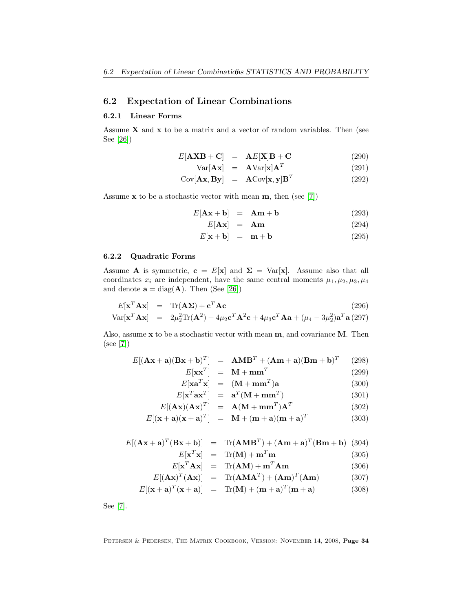### <span id="page-33-1"></span><span id="page-33-0"></span>6.2 Expectation of Linear Combinations

#### 6.2.1 Linear Forms

Assume  $X$  and  $x$  to be a matrix and a vector of random variables. Then (see See [\[26\]](#page-69-7))

$$
E[\mathbf{AXB} + \mathbf{C}] = \mathbf{A}E[\mathbf{X}]\mathbf{B} + \mathbf{C}
$$
 (290)

$$
Var[\mathbf{A}\mathbf{x}] = \mathbf{A}Var[\mathbf{x}]\mathbf{A}^T
$$
 (291)

$$
Cov[\mathbf{A}\mathbf{x}, \mathbf{B}\mathbf{y}] = \mathbf{A}Cov[\mathbf{x}, \mathbf{y}]\mathbf{B}^T
$$
 (292)

Assume  $x$  to be a stochastic vector with mean  $m$ , then (see [\[7\]](#page-68-1))

$$
E[\mathbf{A}\mathbf{x} + \mathbf{b}] = \mathbf{A}\mathbf{m} + \mathbf{b} \tag{293}
$$

$$
E[\mathbf{A}\mathbf{x}] = \mathbf{A}\mathbf{m} \tag{294}
$$

$$
E[\mathbf{x} + \mathbf{b}] = \mathbf{m} + \mathbf{b} \tag{295}
$$

#### 6.2.2 Quadratic Forms

Assume **A** is symmetric,  $\mathbf{c} = E[\mathbf{x}]$  and  $\Sigma = Var[\mathbf{x}]$ . Assume also that all coordinates  $x_i$  are independent, have the same central moments  $\mu_1, \mu_2, \mu_3, \mu_4$ and denote  $\mathbf{a} = \text{diag}(\mathbf{A})$ . Then (See [\[26\]](#page-69-7))

$$
E[\mathbf{x}^T \mathbf{A} \mathbf{x}] = \text{Tr}(\mathbf{A} \mathbf{\Sigma}) + \mathbf{c}^T \mathbf{A} \mathbf{c}
$$
 (296)  
\n
$$
\text{Var}[\mathbf{x}^T \mathbf{A} \mathbf{x}] = 2\mu_2^2 \text{Tr}(\mathbf{A}^2) + 4\mu_2 \mathbf{c}^T \mathbf{A}^2 \mathbf{c} + 4\mu_3 \mathbf{c}^T \mathbf{A} \mathbf{a} + (\mu_4 - 3\mu_2^2) \mathbf{a}^T \mathbf{a}
$$
 (297)

Also, assume x to be a stochastic vector with mean m, and covariance M. Then (see [\[7\]](#page-68-1))

$$
E[(\mathbf{A}\mathbf{x} + \mathbf{a})(\mathbf{B}\mathbf{x} + \mathbf{b})^T] = \mathbf{A}\mathbf{M}\mathbf{B}^T + (\mathbf{A}\mathbf{m} + \mathbf{a})(\mathbf{B}\mathbf{m} + \mathbf{b})^T \tag{298}
$$

$$
E[\mathbf{XX}] = \mathbf{M} + \mathbf{M}\mathbf{m} \tag{299}
$$
\n
$$
E[\mathbf{x}\mathbf{z}^T \mathbf{x}] = (\mathbf{M} + \mathbf{m}\mathbf{m}^T)\mathbf{s} \tag{200}
$$

$$
E[\mathbf{x}\mathbf{a}^T\mathbf{x}] = (\mathbf{M} + \mathbf{m}\mathbf{m}^T)\mathbf{a}
$$
 (300)

$$
E[\mathbf{x}^T \mathbf{a} \mathbf{x}^T] = \mathbf{a}^T (\mathbf{M} + \mathbf{m} \mathbf{m}^T) \tag{301}
$$

$$
E[(\mathbf{A}\mathbf{x})(\mathbf{A}\mathbf{x})^T] = \mathbf{A}(\mathbf{M} + \mathbf{m}\mathbf{m}^T)\mathbf{A}^T
$$
 (302)

$$
E[(\mathbf{x} + \mathbf{a})(\mathbf{x} + \mathbf{a})^T] = \mathbf{M} + (\mathbf{m} + \mathbf{a})(\mathbf{m} + \mathbf{a})^T
$$
 (303)

$$
E[(\mathbf{A}\mathbf{x} + \mathbf{a})^T (\mathbf{B}\mathbf{x} + \mathbf{b})] = \text{Tr}(\mathbf{A}\mathbf{M}\mathbf{B}^T) + (\mathbf{A}\mathbf{m} + \mathbf{a})^T (\mathbf{B}\mathbf{m} + \mathbf{b})
$$
 (304)  

$$
E[\mathbf{x}^T \mathbf{x}] = \text{Tr}(\mathbf{M}) + \mathbf{m}^T \mathbf{m}
$$
 (305)

$$
^{T}\mathbf{x}] = \text{Tr}(\mathbf{M}) + \mathbf{m}^{T}\mathbf{m}
$$
 (305)

$$
E[\mathbf{x}^T \mathbf{A} \mathbf{x}] = \text{Tr}(\mathbf{A} \mathbf{M}) + \mathbf{m}^T \mathbf{A} \mathbf{m}
$$
(306)

$$
E[(\mathbf{A}\mathbf{x})^T(\mathbf{A}\mathbf{x})] = \text{Tr}(\mathbf{A}\mathbf{M}\mathbf{A}^T) + (\mathbf{A}\mathbf{m})^T(\mathbf{A}\mathbf{m})
$$
 (307)

$$
E[(\mathbf{x} + \mathbf{a})^T (\mathbf{x} + \mathbf{a})] = \text{Tr}(\mathbf{M}) + (\mathbf{m} + \mathbf{a})^T (\mathbf{m} + \mathbf{a})
$$
(308)

See [\[7\]](#page-68-1).

Petersen & Pedersen, The Matrix Cookbook, Version: November 14, 2008, Page 34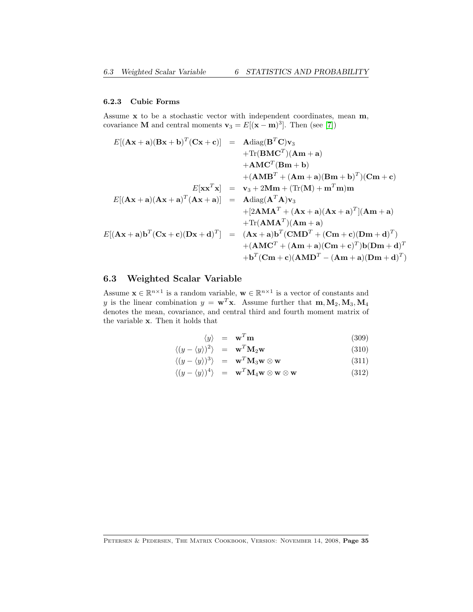### <span id="page-34-1"></span>6.2.3 Cubic Forms

Assume x to be a stochastic vector with independent coordinates, mean m, covariance **M** and central moments  $\mathbf{v}_3 = E[(\mathbf{x} - \mathbf{m})^3]$ . Then (see [\[7\]](#page-68-1))

$$
E[(\mathbf{A}\mathbf{x} + \mathbf{a})(\mathbf{B}\mathbf{x} + \mathbf{b})^T(\mathbf{C}\mathbf{x} + \mathbf{c})] = \mathbf{A}\text{diag}(\mathbf{B}^T\mathbf{C})\mathbf{v}_3
$$
  
+Tr(\mathbf{B}\mathbf{M}\mathbf{C}^T)(\mathbf{A}\mathbf{m} + \mathbf{a})  
+ \mathbf{A}\mathbf{M}\mathbf{C}^T(\mathbf{B}\mathbf{m} + \mathbf{b})  
+ (\mathbf{A}\mathbf{M}\mathbf{B}^T + (\mathbf{A}\mathbf{m} + \mathbf{a})(\mathbf{B}\mathbf{m} + \mathbf{b})^T)(\mathbf{C}\mathbf{m} + \mathbf{c})  

$$
E[\mathbf{x}\mathbf{x}^T\mathbf{x}] = \mathbf{v}_3 + 2\mathbf{M}\mathbf{m} + (\text{Tr}(\mathbf{M}) + \mathbf{m}^T\mathbf{m})\mathbf{m}
$$
  

$$
E[(\mathbf{A}\mathbf{x} + \mathbf{a})(\mathbf{A}\mathbf{x} + \mathbf{a})^T(\mathbf{A}\mathbf{x} + \mathbf{a})] = \mathbf{A}\text{diag}(\mathbf{A}^T\mathbf{A})\mathbf{v}_3
$$
  
+ [2\mathbf{A}\mathbf{M}\mathbf{A}^T + (\mathbf{A}\mathbf{x} + \mathbf{a})(\mathbf{A}\mathbf{x} + \mathbf{a})^T](\mathbf{A}\mathbf{m} + \mathbf{a})  
+ \text{Tr}(\mathbf{A}\mathbf{M}\mathbf{A}^T)(\mathbf{A}\mathbf{m} + \mathbf{a})  
+ (\mathbf{A}\mathbf{M}\mathbf{C}^T + (\mathbf{A}\mathbf{m} + \mathbf{a})(\mathbf{C}\mathbf{m} + \mathbf{c})(\mathbf{D}\mathbf{m} + \mathbf{d})^T)  
+ (\mathbf{A}\mathbf{M}\mathbf{C}^T + (\mathbf{A}\mathbf{m} + \mathbf{a})(\mathbf{C}\mathbf{m} + \mathbf{c})^T)\mathbf{b}(\mathbf{D}\mathbf{m} + \mathbf{d})^T)  
+ \mathbf{b}^T(\mathbf{C}\mathbf{m} + \mathbf{c})(\mathbf{A}\mathbf{M

# <span id="page-34-0"></span>6.3 Weighted Scalar Variable

Assume  $\mathbf{x} \in \mathbb{R}^{n \times 1}$  is a random variable,  $\mathbf{w} \in \mathbb{R}^{n \times 1}$  is a vector of constants and y is the linear combination  $y = \mathbf{w}^T \mathbf{x}$ . Assume further that  $\mathbf{m}, \mathbf{M}_2, \mathbf{M}_3, \mathbf{M}_4$ denotes the mean, covariance, and central third and fourth moment matrix of the variable x. Then it holds that

$$
\langle y \rangle = \mathbf{w}^T \mathbf{m} \tag{309}
$$

$$
\langle (y - \langle y \rangle)^2 \rangle = \mathbf{w}^T \mathbf{M}_2 \mathbf{w} \tag{310}
$$

$$
\langle (y - \langle y \rangle)^3 \rangle = \mathbf{w}^T \mathbf{M}_3 \mathbf{w} \otimes \mathbf{w} \tag{311}
$$

$$
\langle (y - \langle y \rangle)^4 \rangle = \mathbf{w}^T \mathbf{M}_4 \mathbf{w} \otimes \mathbf{w} \otimes \mathbf{w}
$$
 (312)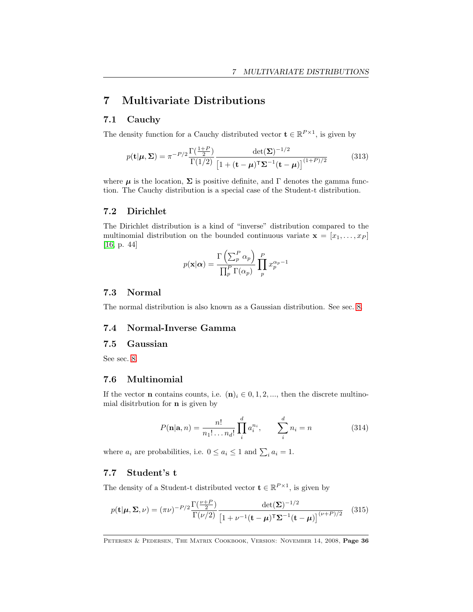# <span id="page-35-8"></span><span id="page-35-0"></span>7 Multivariate Distributions

### <span id="page-35-1"></span>7.1 Cauchy

The density function for a Cauchy distributed vector  $\mathbf{t} \in \mathbb{R}^{P \times 1}$ , is given by

$$
p(\mathbf{t}|\boldsymbol{\mu}, \boldsymbol{\Sigma}) = \pi^{-P/2} \frac{\Gamma(\frac{1+P}{2})}{\Gamma(1/2)} \frac{\det(\boldsymbol{\Sigma})^{-1/2}}{\left[1 + (\mathbf{t} - \boldsymbol{\mu})^{\mathsf{T}} \boldsymbol{\Sigma}^{-1} (\mathbf{t} - \boldsymbol{\mu})\right]^{(1+P)/2}}
$$
(313)

where  $\mu$  is the location,  $\Sigma$  is positive definite, and  $\Gamma$  denotes the gamma function. The Cauchy distribution is a special case of the Student-t distribution.

#### <span id="page-35-2"></span>7.2 Dirichlet

The Dirichlet distribution is a kind of "inverse" distribution compared to the multinomial distribution on the bounded continuous variate  $\mathbf{x} = [x_1, \ldots, x_P]$ [\[16,](#page-68-10) p. 44]

$$
p(\mathbf{x}|\alpha) = \frac{\Gamma\left(\sum_{p}^{P} \alpha_{p}\right)}{\prod_{p}^{P} \Gamma(\alpha_{p})} \prod_{p}^{P} x_{p}^{\alpha_{p}-1}
$$

### <span id="page-35-3"></span>7.3 Normal

The normal distribution is also known as a Gaussian distribution. See sec. [8.](#page-38-0)

### <span id="page-35-4"></span>7.4 Normal-Inverse Gamma

### <span id="page-35-5"></span>7.5 Gaussian

See sec. [8.](#page-38-0)

### <span id="page-35-6"></span>7.6 Multinomial

If the vector **n** contains counts, i.e.  $(n)_i \in 0, 1, 2, \dots$ , then the discrete multinomial disitrbution for n is given by

$$
P(\mathbf{n}|\mathbf{a}, n) = \frac{n!}{n_1! \dots n_d!} \prod_{i=1}^{d} a_i^{n_i}, \qquad \sum_{i=1}^{d} n_i = n \tag{314}
$$

where  $a_i$  are probabilities, i.e.  $0 \le a_i \le 1$  and  $\sum_i a_i = 1$ .

### <span id="page-35-7"></span>7.7 Student's t

The density of a Student-t distributed vector  $\mathbf{t} \in \mathbb{R}^{P \times 1}$ , is given by

$$
p(\mathbf{t}|\boldsymbol{\mu}, \boldsymbol{\Sigma}, \nu) = (\pi \nu)^{-P/2} \frac{\Gamma(\frac{\nu+P}{2})}{\Gamma(\nu/2)} \frac{\det(\boldsymbol{\Sigma})^{-1/2}}{\left[1 + \nu^{-1}(\mathbf{t} - \boldsymbol{\mu})^{\mathsf{T}} \boldsymbol{\Sigma}^{-1}(\mathbf{t} - \boldsymbol{\mu})\right]^{(\nu+P)/2}} \quad (315)
$$

PETERSEN & PEDERSEN, THE MATRIX COOKBOOK, VERSION: NOVEMBER 14, 2008, Page 36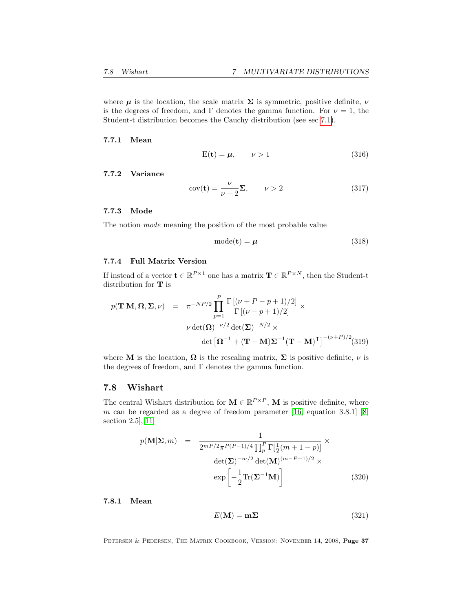<span id="page-36-1"></span>where  $\mu$  is the location, the scale matrix  $\Sigma$  is symmetric, positive definite,  $\nu$ is the degrees of freedom, and Γ denotes the gamma function. For  $\nu = 1$ , the Student-t distribution becomes the Cauchy distribution (see sec [7.1\)](#page-35-1).

7.7.1 Mean

$$
E(t) = \mu, \qquad \nu > 1 \tag{316}
$$

#### 7.7.2 Variance

$$
cov(\mathbf{t}) = \frac{\nu}{\nu - 2} \Sigma, \qquad \nu > 2 \tag{317}
$$

#### 7.7.3 Mode

The notion mode meaning the position of the most probable value

$$
mode(t) = \mu \tag{318}
$$

#### 7.7.4 Full Matrix Version

If instead of a vector  $\mathbf{t} \in \mathbb{R}^{P \times 1}$  one has a matrix  $\mathbf{T} \in \mathbb{R}^{P \times N}$ , then the Student-t distribution for T is

$$
p(\mathbf{T}|\mathbf{M}, \mathbf{\Omega}, \mathbf{\Sigma}, \nu) = \pi^{-NP/2} \prod_{p=1}^{P} \frac{\Gamma[(\nu + P - p + 1)/2]}{\Gamma[(\nu - p + 1)/2]} \times
$$

$$
\nu \det(\mathbf{\Omega})^{-\nu/2} \det(\mathbf{\Sigma})^{-N/2} \times
$$

$$
\det\left[\mathbf{\Omega}^{-1} + (\mathbf{T} - \mathbf{M})\mathbf{\Sigma}^{-1}(\mathbf{T} - \mathbf{M})^{\mathsf{T}}\right]^{-(\nu + P)/2} (319)
$$

where M is the location,  $\Omega$  is the rescaling matrix,  $\Sigma$  is positive definite,  $\nu$  is the degrees of freedom, and  $\Gamma$  denotes the gamma function.

### <span id="page-36-0"></span>7.8 Wishart

The central Wishart distribution for  $\mathbf{M} \in \mathbb{R}^{P \times P}$ , M is positive definite, where m can be regarded as a degree of freedom parameter  $[16,$  equation 3.8.1]  $[8,$ section 2.5],[\[11\]](#page-68-12)

$$
p(\mathbf{M}|\mathbf{\Sigma}, m) = \frac{1}{2^{mP/2}\pi^{P(P-1)/4} \prod_{p}^{P} \Gamma[\frac{1}{2}(m+1-p)]} \times \det(\mathbf{\Sigma})^{-m/2} \det(\mathbf{M})^{(m-P-1)/2} \times \exp\left[-\frac{1}{2} \text{Tr}(\mathbf{\Sigma}^{-1} \mathbf{M})\right]
$$
(320)

7.8.1 Mean

$$
E(\mathbf{M}) = \mathbf{m}\Sigma \tag{321}
$$

PETERSEN & PEDERSEN, THE MATRIX COOKBOOK, VERSION: NOVEMBER 14, 2008, Page 37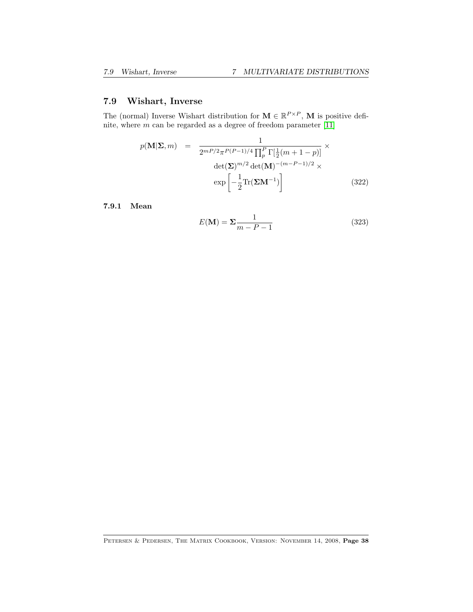# <span id="page-37-0"></span>7.9 Wishart, Inverse

The (normal) Inverse Wishart distribution for  $\mathbf{M} \in \mathbb{R}^{P \times P}$ , M is positive definite, where  $m$  can be regarded as a degree of freedom parameter  $[11]$ 

$$
p(\mathbf{M}|\mathbf{\Sigma},m) = \frac{1}{2^{mP/2}\pi^{P(P-1)/4}\prod_{p}^{P}\Gamma[\frac{1}{2}(m+1-p)]} \times \det(\mathbf{\Sigma})^{m/2}\det(\mathbf{M})^{-(m-P-1)/2} \times \exp\left[-\frac{1}{2}\text{Tr}(\mathbf{\Sigma}\mathbf{M}^{-1})\right]
$$
(322)

7.9.1 Mean

$$
E(\mathbf{M}) = \Sigma \frac{1}{m - P - 1} \tag{323}
$$

Petersen & Pedersen, The Matrix Cookbook, Version: November 14, 2008, Page 38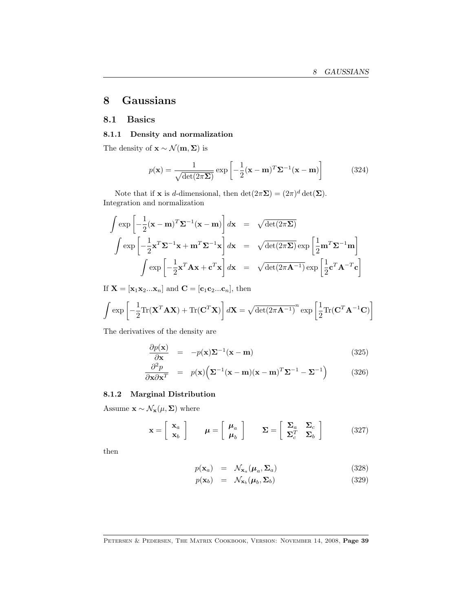# <span id="page-38-0"></span>8 Gaussians

### <span id="page-38-1"></span>8.1 Basics

#### 8.1.1 Density and normalization

The density of  $\mathbf{x} \sim \mathcal{N}(\mathbf{m}, \mathbf{\Sigma})$  is

$$
p(\mathbf{x}) = \frac{1}{\sqrt{\det(2\pi\mathbf{\Sigma})}} \exp\left[-\frac{1}{2}(\mathbf{x} - \mathbf{m})^T \mathbf{\Sigma}^{-1}(\mathbf{x} - \mathbf{m})\right]
$$
(324)

Note that if **x** is *d*-dimensional, then  $\det(2\pi\Sigma) = (2\pi)^d \det(\Sigma)$ . Integration and normalization

$$
\int \exp\left[-\frac{1}{2}(\mathbf{x} - \mathbf{m})^T \mathbf{\Sigma}^{-1}(\mathbf{x} - \mathbf{m})\right] d\mathbf{x} = \sqrt{\det(2\pi \mathbf{\Sigma})}
$$
\n
$$
\int \exp\left[-\frac{1}{2}\mathbf{x}^T \mathbf{\Sigma}^{-1} \mathbf{x} + \mathbf{m}^T \mathbf{\Sigma}^{-1} \mathbf{x}\right] d\mathbf{x} = \sqrt{\det(2\pi \mathbf{\Sigma})} \exp\left[\frac{1}{2}\mathbf{m}^T \mathbf{\Sigma}^{-1} \mathbf{m}\right]
$$
\n
$$
\int \exp\left[-\frac{1}{2}\mathbf{x}^T \mathbf{A} \mathbf{x} + \mathbf{c}^T \mathbf{x}\right] d\mathbf{x} = \sqrt{\det(2\pi \mathbf{A}^{-1})} \exp\left[\frac{1}{2}\mathbf{c}^T \mathbf{A}^{-T} \mathbf{c}\right]
$$

If  $\mathbf{X} = [\mathbf{x}_1 \mathbf{x}_2 ... \mathbf{x}_n]$  and  $\mathbf{C} = [\mathbf{c}_1 \mathbf{c}_2 ... \mathbf{c}_n]$ , then

$$
\int \exp\left[-\frac{1}{2}\text{Tr}(\mathbf{X}^T \mathbf{A} \mathbf{X}) + \text{Tr}(\mathbf{C}^T \mathbf{X})\right] d\mathbf{X} = \sqrt{\det(2\pi \mathbf{A}^{-1})}^n \exp\left[\frac{1}{2}\text{Tr}(\mathbf{C}^T \mathbf{A}^{-1} \mathbf{C})\right]
$$

The derivatives of the density are

$$
\frac{\partial p(\mathbf{x})}{\partial \mathbf{x}} = -p(\mathbf{x})\Sigma^{-1}(\mathbf{x} - \mathbf{m})
$$
\n(325)

$$
\frac{\partial^2 p}{\partial \mathbf{x} \partial \mathbf{x}^T} = p(\mathbf{x}) \Big( \mathbf{\Sigma}^{-1} (\mathbf{x} - \mathbf{m}) (\mathbf{x} - \mathbf{m})^T \mathbf{\Sigma}^{-1} - \mathbf{\Sigma}^{-1} \Big) \tag{326}
$$

### 8.1.2 Marginal Distribution

Assume  $\mathbf{x} \sim \mathcal{N}_{\mathbf{x}}(\mu, \Sigma)$  where

$$
\mathbf{x} = \begin{bmatrix} \mathbf{x}_a \\ \mathbf{x}_b \end{bmatrix} \qquad \boldsymbol{\mu} = \begin{bmatrix} \boldsymbol{\mu}_a \\ \boldsymbol{\mu}_b \end{bmatrix} \qquad \boldsymbol{\Sigma} = \begin{bmatrix} \boldsymbol{\Sigma}_a & \boldsymbol{\Sigma}_c \\ \boldsymbol{\Sigma}_c^T & \boldsymbol{\Sigma}_b \end{bmatrix} \tag{327}
$$

then

$$
p(\mathbf{x}_a) = \mathcal{N}_{\mathbf{x}_a}(\boldsymbol{\mu}_a, \boldsymbol{\Sigma}_a) \tag{328}
$$

$$
p(\mathbf{x}_b) = \mathcal{N}_{\mathbf{x}_b}(\boldsymbol{\mu}_b, \boldsymbol{\Sigma}_b) \tag{329}
$$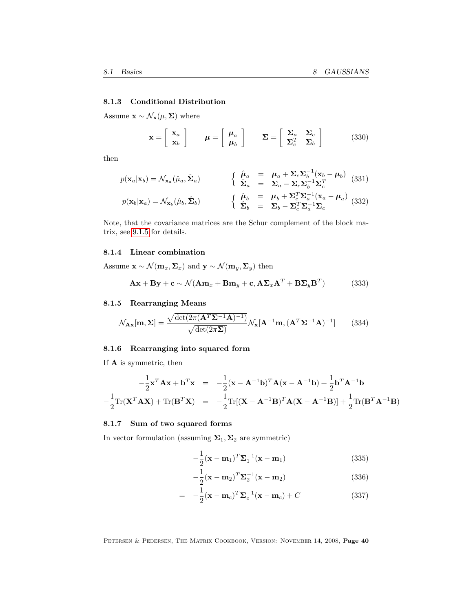#### <span id="page-39-0"></span>8.1.3 Conditional Distribution

Assume  $\mathbf{x} \sim \mathcal{N}_\mathbf{x}(\boldsymbol{\mu}, \boldsymbol{\Sigma})$  where

$$
\mathbf{x} = \begin{bmatrix} \mathbf{x}_a \\ \mathbf{x}_b \end{bmatrix} \qquad \boldsymbol{\mu} = \begin{bmatrix} \boldsymbol{\mu}_a \\ \boldsymbol{\mu}_b \end{bmatrix} \qquad \boldsymbol{\Sigma} = \begin{bmatrix} \boldsymbol{\Sigma}_a & \boldsymbol{\Sigma}_c \\ \boldsymbol{\Sigma}_c^T & \boldsymbol{\Sigma}_b \end{bmatrix} \tag{330}
$$

then

$$
p(\mathbf{x}_a|\mathbf{x}_b) = \mathcal{N}_{\mathbf{x}_a}(\hat{\mu}_a, \hat{\mathbf{\Sigma}}_a) \qquad \begin{cases} \hat{\boldsymbol{\mu}}_a = \boldsymbol{\mu}_a + \boldsymbol{\Sigma}_c \boldsymbol{\Sigma}_b^{-1} (\mathbf{x}_b - \boldsymbol{\mu}_b) \\ \hat{\boldsymbol{\Sigma}}_a = \boldsymbol{\Sigma}_a - \boldsymbol{\Sigma}_c \boldsymbol{\Sigma}_b^{-1} \boldsymbol{\Sigma}_c^T \end{cases} (331)
$$
  

$$
p(\mathbf{x}_b|\mathbf{x}_a) = \mathcal{N}_{\mathbf{x}_b}(\hat{\mu}_b, \hat{\boldsymbol{\Sigma}}_b) \qquad \begin{cases} \hat{\boldsymbol{\mu}}_b = \boldsymbol{\mu}_b + \boldsymbol{\Sigma}_c^T \boldsymbol{\Sigma}_a^{-1} (\mathbf{x}_a - \boldsymbol{\mu}_a) \\ \hat{\boldsymbol{\Sigma}}_b = \boldsymbol{\Sigma}_b - \boldsymbol{\Sigma}_c^T \boldsymbol{\Sigma}_a^{-1} \boldsymbol{\Sigma}_c \end{cases} (332)
$$

Note, that the covariance matrices are the Schur complement of the block matrix, see [9.1.5](#page-45-1) for details.

#### 8.1.4 Linear combination

Assume  $\mathbf{x} \sim \mathcal{N}(\mathbf{m}_x, \Sigma_x)$  and  $\mathbf{y} \sim \mathcal{N}(\mathbf{m}_y, \Sigma_y)$  then

$$
\mathbf{A}\mathbf{x} + \mathbf{B}\mathbf{y} + \mathbf{c} \sim \mathcal{N}(\mathbf{A}\mathbf{m}_x + \mathbf{B}\mathbf{m}_y + \mathbf{c}, \mathbf{A}\mathbf{\Sigma}_x\mathbf{A}^T + \mathbf{B}\mathbf{\Sigma}_y\mathbf{B}^T)
$$
(333)

#### 8.1.5 Rearranging Means

$$
\mathcal{N}_{\mathbf{A}\mathbf{x}}[\mathbf{m}, \mathbf{\Sigma}] = \frac{\sqrt{\det(2\pi(\mathbf{A}^T \mathbf{\Sigma}^{-1} \mathbf{A})^{-1})}}{\sqrt{\det(2\pi \mathbf{\Sigma})}} \mathcal{N}_{\mathbf{x}}[\mathbf{A}^{-1} \mathbf{m}, (\mathbf{A}^T \mathbf{\Sigma}^{-1} \mathbf{A})^{-1}] \tag{334}
$$

### 8.1.6 Rearranging into squared form

If A is symmetric, then

$$
-\frac{1}{2}\mathbf{x}^T \mathbf{A} \mathbf{x} + \mathbf{b}^T \mathbf{x} = -\frac{1}{2}(\mathbf{x} - \mathbf{A}^{-1} \mathbf{b})^T \mathbf{A} (\mathbf{x} - \mathbf{A}^{-1} \mathbf{b}) + \frac{1}{2} \mathbf{b}^T \mathbf{A}^{-1} \mathbf{b}
$$

$$
-\frac{1}{2} \text{Tr}(\mathbf{X}^T \mathbf{A} \mathbf{X}) + \text{Tr}(\mathbf{B}^T \mathbf{X}) = -\frac{1}{2} \text{Tr}[(\mathbf{X} - \mathbf{A}^{-1} \mathbf{B})^T \mathbf{A} (\mathbf{X} - \mathbf{A}^{-1} \mathbf{B})] + \frac{1}{2} \text{Tr}(\mathbf{B}^T \mathbf{A}^{-1} \mathbf{B})
$$

#### 8.1.7 Sum of two squared forms

In vector formulation (assuming  $\Sigma_1, \Sigma_2$  are symmetric)

$$
-\frac{1}{2}(\mathbf{x} - \mathbf{m}_1)^T \mathbf{\Sigma}_1^{-1}(\mathbf{x} - \mathbf{m}_1)
$$
\n(335)

$$
-\frac{1}{2}(\mathbf{x}-\mathbf{m}_2)^T \mathbf{\Sigma}_2^{-1}(\mathbf{x}-\mathbf{m}_2)
$$
\n(336)

$$
= -\frac{1}{2}(\mathbf{x} - \mathbf{m}_c)^T \mathbf{\Sigma}_c^{-1}(\mathbf{x} - \mathbf{m}_c) + C
$$
 (337)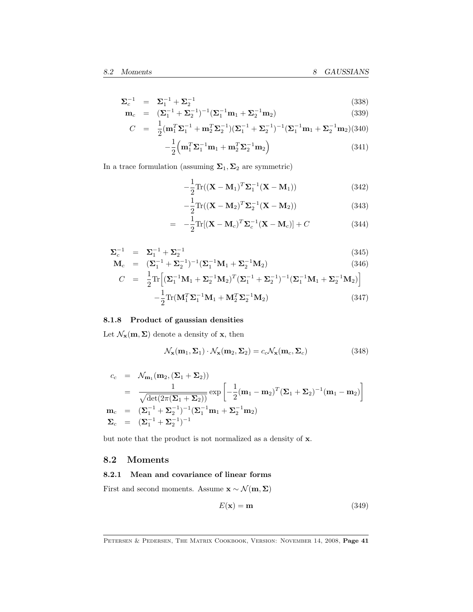<span id="page-40-1"></span>
$$
\Sigma_c^{-1} = \Sigma_1^{-1} + \Sigma_2^{-1}
$$
\n(338)  
\n
$$
\mathbf{m}_c = (\Sigma_1^{-1} + \Sigma_2^{-1})^{-1} (\Sigma_1^{-1} \mathbf{m}_1 + \Sigma_2^{-1} \mathbf{m}_2)
$$
\n(339)

$$
C = \frac{1}{2} (\mathbf{m}_1^T \mathbf{\Sigma}_1^{-1} + \mathbf{m}_2^T \mathbf{\Sigma}_2^{-1}) (\mathbf{\Sigma}_1^{-1} + \mathbf{\Sigma}_2^{-1})^{-1} (\mathbf{\Sigma}_1^{-1} \mathbf{m}_1 + \mathbf{\Sigma}_2^{-1} \mathbf{m}_2)
$$
(340)

$$
-\frac{1}{2}\left(\mathbf{m}_1^T\mathbf{\Sigma}_1^{-1}\mathbf{m}_1 + \mathbf{m}_2^T\mathbf{\Sigma}_2^{-1}\mathbf{m}_2\right) \tag{341}
$$

In a trace formulation (assuming  $\Sigma_1, \Sigma_2$  are symmetric)

$$
-\frac{1}{2}\text{Tr}((\mathbf{X}-\mathbf{M}_1)^T\boldsymbol{\Sigma}_1^{-1}(\mathbf{X}-\mathbf{M}_1))
$$
\n(342)

$$
-\frac{1}{2}\mathrm{Tr}((\mathbf{X}-\mathbf{M}_2)^T\mathbf{\Sigma}_2^{-1}(\mathbf{X}-\mathbf{M}_2))
$$
\n(343)

$$
= -\frac{1}{2} \text{Tr}[(\mathbf{X} - \mathbf{M}_c)^T \mathbf{\Sigma}_c^{-1} (\mathbf{X} - \mathbf{M}_c)] + C \qquad (344)
$$

$$
\Sigma_c^{-1} = \Sigma_1^{-1} + \Sigma_2^{-1}
$$
\n
$$
\mathbf{M}_c = (\Sigma_1^{-1} + \Sigma_2^{-1})^{-1} (\Sigma_1^{-1} \mathbf{M}_1 + \Sigma_2^{-1} \mathbf{M}_2)
$$
\n(346)

$$
\mathbf{M}_{c} = (\mathbf{\Sigma}_{1}^{-1} + \mathbf{\Sigma}_{2}^{-1})^{-1} (\mathbf{\Sigma}_{1}^{-1} \mathbf{M}_{1} + \mathbf{\Sigma}_{2}^{-1} \mathbf{M}_{2})
$$
(346)  
\n
$$
C = \frac{1}{2} \text{Tr} \Big[ (\mathbf{\Sigma}_{1}^{-1} \mathbf{M}_{1} + \mathbf{\Sigma}_{2}^{-1} \mathbf{M}_{2})^{T} (\mathbf{\Sigma}_{1}^{-1} + \mathbf{\Sigma}_{2}^{-1})^{-1} (\mathbf{\Sigma}_{1}^{-1} \mathbf{M}_{1} + \mathbf{\Sigma}_{2}^{-1} \mathbf{M}_{2}) \Big] - \frac{1}{2} \text{Tr}(\mathbf{M}_{1}^{T} \mathbf{\Sigma}_{1}^{-1} \mathbf{M}_{1} + \mathbf{M}_{2}^{T} \mathbf{\Sigma}_{2}^{-1} \mathbf{M}_{2})
$$
(347)

### 8.1.8 Product of gaussian densities

Let  $\mathcal{N}_{\mathbf{x}}(\mathbf{m}, \Sigma)$  denote a density of  $\mathbf{x}$ , then

$$
\mathcal{N}_{\mathbf{x}}(\mathbf{m}_1, \Sigma_1) \cdot \mathcal{N}_{\mathbf{x}}(\mathbf{m}_2, \Sigma_2) = c_c \mathcal{N}_{\mathbf{x}}(\mathbf{m}_c, \Sigma_c)
$$
(348)

$$
c_c = \mathcal{N}_{\mathbf{m}_1}(\mathbf{m}_2, (\Sigma_1 + \Sigma_2))
$$
  
= 
$$
\frac{1}{\sqrt{\det(2\pi(\Sigma_1 + \Sigma_2))}} \exp\left[-\frac{1}{2}(\mathbf{m}_1 - \mathbf{m}_2)^T(\Sigma_1 + \Sigma_2)^{-1}(\mathbf{m}_1 - \mathbf{m}_2)\right]
$$
  

$$
\mathbf{m}_c = (\Sigma_1^{-1} + \Sigma_2^{-1})^{-1}(\Sigma_1^{-1}\mathbf{m}_1 + \Sigma_2^{-1}\mathbf{m}_2)
$$
  

$$
\Sigma_c = (\Sigma_1^{-1} + \Sigma_2^{-1})^{-1}
$$

but note that the product is not normalized as a density of x.

### <span id="page-40-0"></span>8.2 Moments

#### 8.2.1 Mean and covariance of linear forms

First and second moments. Assume  $\mathbf{x} \sim \mathcal{N}(\mathbf{m}, \boldsymbol{\Sigma})$ 

$$
E(\mathbf{x}) = \mathbf{m} \tag{349}
$$

PETERSEN & PEDERSEN, THE MATRIX COOKBOOK, VERSION: NOVEMBER 14, 2008, Page 41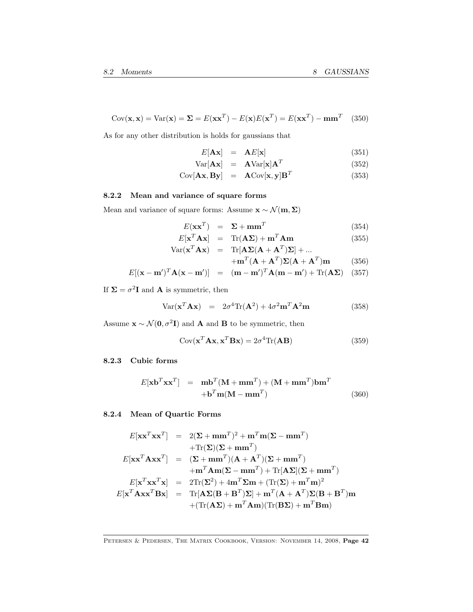<span id="page-41-0"></span>
$$
Cov(\mathbf{x}, \mathbf{x}) = Var(\mathbf{x}) = \Sigma = E(\mathbf{x}\mathbf{x}^T) - E(\mathbf{x})E(\mathbf{x}^T) = E(\mathbf{x}\mathbf{x}^T) - \mathbf{m}\mathbf{m}^T
$$
 (350)

As for any other distribution is holds for gaussians that

$$
E[\mathbf{A}\mathbf{x}] = \mathbf{A}E[\mathbf{x}] \tag{351}
$$

$$
Var[\mathbf{A}\mathbf{x}] = \mathbf{A}Var[\mathbf{x}]\mathbf{A}^T
$$
 (352)

$$
Cov[\mathbf{A}\mathbf{x}, \mathbf{B}\mathbf{y}] = \mathbf{A}Cov[\mathbf{x}, \mathbf{y}]\mathbf{B}^T
$$
 (353)

### 8.2.2 Mean and variance of square forms

Mean and variance of square forms: Assume  $\mathbf{x} \sim \mathcal{N}(\mathbf{m},\boldsymbol{\Sigma})$ 

$$
E(\mathbf{x}\mathbf{x}^T) = \Sigma + \mathbf{m}\mathbf{m}^T \tag{354}
$$

$$
E[\mathbf{x}^T \mathbf{A} \mathbf{x}] = \text{Tr}(\mathbf{A} \mathbf{\Sigma}) + \mathbf{m}^T \mathbf{A} \mathbf{m}
$$
 (355)  
 
$$
\text{Var}(\mathbf{x}^T \mathbf{A} \mathbf{x}) = \text{Tr}[\mathbf{A} \mathbf{\Sigma} (\mathbf{A} + \mathbf{A}^T) \mathbf{\Sigma}] + ...
$$

$$
+ \mathbf{m}^T (\mathbf{A} + \mathbf{A}^T) \Sigma (\mathbf{A} + \mathbf{A}^T) \mathbf{m}
$$
 (356)

$$
E[(\mathbf{x} - \mathbf{m}')^T \mathbf{A} (\mathbf{x} - \mathbf{m}')] = (\mathbf{m} - \mathbf{m}')^T \mathbf{A} (\mathbf{m} - \mathbf{m}') + \text{Tr}(\mathbf{A} \Sigma) \quad (357)
$$

If  $\Sigma = \sigma^2 \mathbf{I}$  and **A** is symmetric, then

$$
Var(\mathbf{x}^T \mathbf{A} \mathbf{x}) = 2\sigma^4 Tr(\mathbf{A}^2) + 4\sigma^2 \mathbf{m}^T \mathbf{A}^2 \mathbf{m}
$$
 (358)

Assume  $\mathbf{x} \sim \mathcal{N}(\mathbf{0}, \sigma^2 \mathbf{I})$  and **A** and **B** to be symmetric, then

$$
Cov(\mathbf{x}^T \mathbf{A} \mathbf{x}, \mathbf{x}^T \mathbf{B} \mathbf{x}) = 2\sigma^4 \text{Tr}(\mathbf{A} \mathbf{B})
$$
(359)

#### 8.2.3 Cubic forms

$$
E[\mathbf{x}\mathbf{b}^T \mathbf{x}\mathbf{x}^T] = \mathbf{m}\mathbf{b}^T (\mathbf{M} + \mathbf{m}\mathbf{m}^T) + (\mathbf{M} + \mathbf{m}\mathbf{m}^T) \mathbf{b}\mathbf{m}^T
$$
  
+
$$
\mathbf{b}^T \mathbf{m} (\mathbf{M} - \mathbf{m}\mathbf{m}^T)
$$
(360)

### 8.2.4 Mean of Quartic Forms

$$
E[\mathbf{x}\mathbf{x}^T\mathbf{x}\mathbf{x}^T] = 2(\mathbf{\Sigma} + \mathbf{m}\mathbf{m}^T)^2 + \mathbf{m}^T\mathbf{m}(\mathbf{\Sigma} - \mathbf{m}\mathbf{m}^T) + \text{Tr}(\mathbf{\Sigma})(\mathbf{\Sigma} + \mathbf{m}\mathbf{m}^T) E[\mathbf{x}\mathbf{x}^T\mathbf{A}\mathbf{x}\mathbf{x}^T] = (\mathbf{\Sigma} + \mathbf{m}\mathbf{m}^T)(\mathbf{A} + \mathbf{A}^T)(\mathbf{\Sigma} + \mathbf{m}\mathbf{m}^T) + \mathbf{m}^T\mathbf{A}\mathbf{m}(\mathbf{\Sigma} - \mathbf{m}\mathbf{m}^T) + \text{Tr}[\mathbf{A}\mathbf{\Sigma}](\mathbf{\Sigma} + \mathbf{m}\mathbf{m}^T) E[\mathbf{x}^T\mathbf{x}\mathbf{x}^T\mathbf{x}] = 2\text{Tr}(\mathbf{\Sigma}^2) + 4\mathbf{m}^T\mathbf{\Sigma}\mathbf{m} + (\text{Tr}(\mathbf{\Sigma}) + \mathbf{m}^T\mathbf{m})^2 E[\mathbf{x}^T\mathbf{A}\mathbf{x}\mathbf{x}^T\mathbf{B}\mathbf{x}] = \text{Tr}[\mathbf{A}\mathbf{\Sigma}(\mathbf{B} + \mathbf{B}^T)\mathbf{\Sigma}] + \mathbf{m}^T(\mathbf{A} + \mathbf{A}^T)\mathbf{\Sigma}(\mathbf{B} + \mathbf{B}^T)\mathbf{m} + (\text{Tr}(\mathbf{A}\mathbf{\Sigma}) + \mathbf{m}^T\mathbf{A}\mathbf{m})(\text{Tr}(\mathbf{B}\mathbf{\Sigma}) + \mathbf{m}^T\mathbf{B}\mathbf{m})
$$

Petersen & Pedersen, The Matrix Cookbook, Version: November 14, 2008, Page 42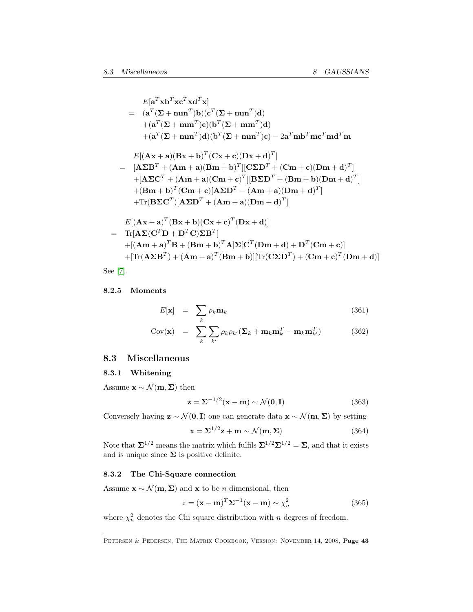<span id="page-42-1"></span>
$$
E[\mathbf{a}^T \mathbf{x} \mathbf{b}^T \mathbf{x} \mathbf{c}^T \mathbf{x} \mathbf{d}^T \mathbf{x}]
$$
  
\n
$$
= (\mathbf{a}^T (\Sigma + \mathbf{m} \mathbf{m}^T) \mathbf{b}) (\mathbf{c}^T (\Sigma + \mathbf{m} \mathbf{m}^T) \mathbf{d})
$$
  
\n
$$
+ (\mathbf{a}^T (\Sigma + \mathbf{m} \mathbf{m}^T) \mathbf{c}) (\mathbf{b}^T (\Sigma + \mathbf{m} \mathbf{m}^T) \mathbf{d})
$$
  
\n
$$
+ (\mathbf{a}^T (\Sigma + \mathbf{m} \mathbf{m}^T) \mathbf{d}) (\mathbf{b}^T (\Sigma + \mathbf{m} \mathbf{m}^T) \mathbf{c}) - 2 \mathbf{a}^T \mathbf{m} \mathbf{b}^T \mathbf{m} \mathbf{c}^T \mathbf{m} \mathbf{d}^T \mathbf{m}
$$
  
\n
$$
E[(\mathbf{A} \mathbf{x} + \mathbf{a})(\mathbf{B} \mathbf{x} + \mathbf{b})^T (\mathbf{C} \mathbf{x} + \mathbf{c})(\mathbf{D} \mathbf{x} + \mathbf{d})^T]
$$
  
\n
$$
= [\mathbf{A} \Sigma \mathbf{B}^T + (\mathbf{A} \mathbf{m} + \mathbf{a})(\mathbf{B} \mathbf{m} + \mathbf{b})^T][\mathbf{C} \Sigma \mathbf{D}^T + (\mathbf{C} \mathbf{m} + \mathbf{c})(\mathbf{D} \mathbf{m} + \mathbf{d})^T]
$$
  
\n
$$
+ (\mathbf{B} \mathbf{m} + \mathbf{b})^T (\mathbf{C} \mathbf{m} + \mathbf{c})(\mathbf{A} \Sigma \mathbf{D}^T - (\mathbf{A} \mathbf{m} + \mathbf{a})(\mathbf{D} \mathbf{m} + \mathbf{d})^T]
$$
  
\n
$$
+ \text{Tr}(\mathbf{B} \Sigma \mathbf{C}^T)[\mathbf{A} \Sigma \mathbf{D}^T + (\mathbf{A} \mathbf{m} + \mathbf{a})(\mathbf{D} \mathbf{m} + \mathbf{d
$$

$$
= \text{Tr}[\mathbf{A}\mathbf{\Sigma}(\mathbf{C}^T\mathbf{D} + \mathbf{D}^T\mathbf{C})\mathbf{\Sigma}\mathbf{B}^T] + [(\mathbf{A}\mathbf{m} + \mathbf{a})^T\mathbf{B} + (\mathbf{B}\mathbf{m} + \mathbf{b})^T\mathbf{A}]\mathbf{\Sigma}[\mathbf{C}^T(\mathbf{D}\mathbf{m} + \mathbf{d}) + \mathbf{D}^T(\mathbf{C}\mathbf{m} + \mathbf{c})] + [\text{Tr}(\mathbf{A}\mathbf{\Sigma}\mathbf{B}^T) + (\mathbf{A}\mathbf{m} + \mathbf{a})^T(\mathbf{B}\mathbf{m} + \mathbf{b})][\text{Tr}(\mathbf{C}\mathbf{\Sigma}\mathbf{D}^T) + (\mathbf{C}\mathbf{m} + \mathbf{c})^T(\mathbf{D}\mathbf{m} + \mathbf{d})]
$$

See [\[7\]](#page-68-1).

### 8.2.5 Moments

$$
E[\mathbf{x}] = \sum_{k} \rho_k \mathbf{m}_k \tag{361}
$$

$$
Cov(\mathbf{x}) = \sum_{k} \sum_{k'} \rho_k \rho_{k'} (\mathbf{\Sigma}_k + \mathbf{m}_k \mathbf{m}_k^T - \mathbf{m}_k \mathbf{m}_{k'}^T)
$$
(362)

### <span id="page-42-0"></span>8.3 Miscellaneous

#### 8.3.1 Whitening

Assume  $\mathbf{x} \sim \mathcal{N}(\mathbf{m}, \mathbf{\Sigma})$  then

$$
\mathbf{z} = \mathbf{\Sigma}^{-1/2}(\mathbf{x} - \mathbf{m}) \sim \mathcal{N}(\mathbf{0}, \mathbf{I})
$$
 (363)

Conversely having  $\mathbf{z} \sim \mathcal{N}(\mathbf{0}, \mathbf{I})$  one can generate data  $\mathbf{x} \sim \mathcal{N}(\mathbf{m}, \mathbf{\Sigma})$  by setting

$$
\mathbf{x} = \Sigma^{1/2} \mathbf{z} + \mathbf{m} \sim \mathcal{N}(\mathbf{m}, \Sigma)
$$
 (364)

Note that  $\Sigma^{1/2}$  means the matrix which fulfils  $\Sigma^{1/2}\Sigma^{1/2} = \Sigma$ , and that it exists and is unique since  $\boldsymbol{\Sigma}$  is positive definite.

### 8.3.2 The Chi-Square connection

Assume  $\mathbf{x} \sim \mathcal{N}(\mathbf{m}, \Sigma)$  and  $\mathbf{x}$  to be *n* dimensional, then

$$
z = (\mathbf{x} - \mathbf{m})^T \Sigma^{-1} (\mathbf{x} - \mathbf{m}) \sim \chi_n^2
$$
 (365)

where  $\chi^2_n$  denotes the Chi square distribution with n degrees of freedom.

PETERSEN & PEDERSEN, THE MATRIX COOKBOOK, VERSION: NOVEMBER 14, 2008, Page 43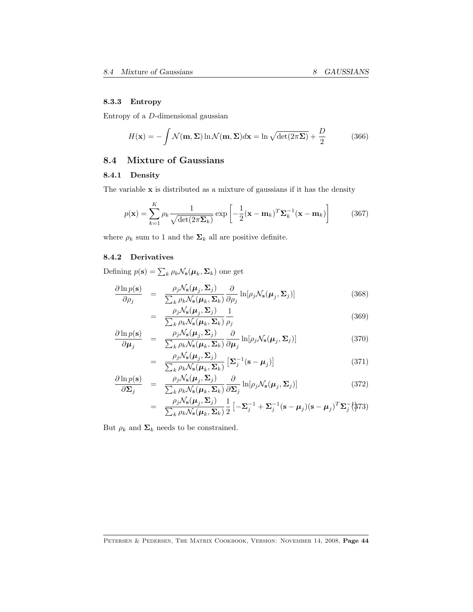### <span id="page-43-1"></span>8.3.3 Entropy

Entropy of a D-dimensional gaussian

$$
H(\mathbf{x}) = -\int \mathcal{N}(\mathbf{m}, \Sigma) \ln \mathcal{N}(\mathbf{m}, \Sigma) d\mathbf{x} = \ln \sqrt{\det(2\pi\Sigma)} + \frac{D}{2}
$$
(366)

# <span id="page-43-0"></span>8.4 Mixture of Gaussians

### 8.4.1 Density

The variable  $x$  is distributed as a mixture of gaussians if it has the density

$$
p(\mathbf{x}) = \sum_{k=1}^{K} \rho_k \frac{1}{\sqrt{\det(2\pi \Sigma_k)}} \exp\left[-\frac{1}{2}(\mathbf{x} - \mathbf{m}_k)^T \Sigma_k^{-1}(\mathbf{x} - \mathbf{m}_k)\right]
$$
(367)

where  $\rho_k$  sum to 1 and the  $\Sigma_k$  all are positive definite.

### 8.4.2 Derivatives

Defining  $p(\mathbf{s}) = \sum_{k} \rho_k \mathcal{N}_\mathbf{s}(\boldsymbol{\mu}_k, \boldsymbol{\Sigma}_k)$  one get

$$
\frac{\partial \ln p(\mathbf{s})}{\partial \rho_j} = \frac{\rho_j \mathcal{N}_\mathbf{s}(\boldsymbol{\mu}_j, \boldsymbol{\Sigma}_j)}{\sum_k \rho_k \mathcal{N}_\mathbf{s}(\boldsymbol{\mu}_k, \boldsymbol{\Sigma}_k)} \frac{\partial}{\partial \rho_j} \ln[\rho_j \mathcal{N}_\mathbf{s}(\boldsymbol{\mu}_j, \boldsymbol{\Sigma}_j)] \tag{368}
$$

$$
= \frac{\rho_j \mathcal{N}_s(\boldsymbol{\mu}_j, \boldsymbol{\Sigma}_j)}{\sum_k \rho_k \mathcal{N}_s(\boldsymbol{\mu}_k, \boldsymbol{\Sigma}_k)} \frac{1}{\rho_j}
$$
(369)

$$
\frac{\partial \ln p(\mathbf{s})}{\partial \mu_j} = \frac{\rho_j \mathcal{N}_\mathbf{s}(\mu_j, \Sigma_j)}{\sum_k \rho_k \mathcal{N}_\mathbf{s}(\mu_k, \Sigma_k)} \frac{\partial}{\partial \mu_j} \ln[\rho_j \mathcal{N}_\mathbf{s}(\mu_j, \Sigma_j)] \tag{370}
$$

$$
= \frac{\rho_j \mathcal{N}_s(\boldsymbol{\mu}_j, \boldsymbol{\Sigma}_j)}{\sum_k \rho_k \mathcal{N}_s(\boldsymbol{\mu}_k, \boldsymbol{\Sigma}_k)} \left[ \boldsymbol{\Sigma}_j^{-1} (\mathbf{s} - \boldsymbol{\mu}_j) \right]
$$
(371)

$$
\frac{\partial \ln p(\mathbf{s})}{\partial \Sigma_j} = \frac{\rho_j \mathcal{N}_\mathbf{s}(\boldsymbol{\mu}_j, \Sigma_j)}{\sum_k \rho_k \mathcal{N}_\mathbf{s}(\boldsymbol{\mu}_k, \Sigma_k)} \frac{\partial}{\partial \Sigma_j} \ln[\rho_j \mathcal{N}_\mathbf{s}(\boldsymbol{\mu}_j, \Sigma_j)] \tag{372}
$$

$$
= \frac{\rho_j \mathcal{N}_s(\boldsymbol{\mu}_j, \boldsymbol{\Sigma}_j)}{\sum_k \rho_k \mathcal{N}_s(\boldsymbol{\mu}_k, \boldsymbol{\Sigma}_k)} \frac{1}{2} \left[ -\boldsymbol{\Sigma}_j^{-1} + \boldsymbol{\Sigma}_j^{-1} (\mathbf{s} - \boldsymbol{\mu}_j) (\mathbf{s} - \boldsymbol{\mu}_j)^T \boldsymbol{\Sigma}_j^{-1} \right]^{2}
$$

But  $\rho_k$  and  $\Sigma_k$  needs to be constrained.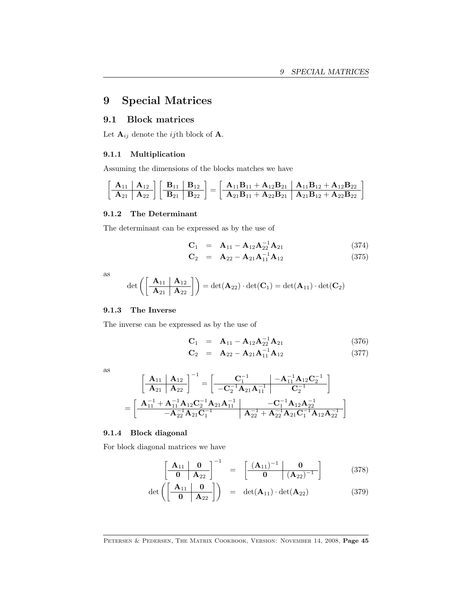# <span id="page-44-0"></span>9 Special Matrices

### <span id="page-44-1"></span>9.1 Block matrices

Let  $\mathbf{A}_{ij}$  denote the *ij*th block of  $\mathbf{A}$ .

### 9.1.1 Multiplication

Assuming the dimensions of the blocks matches we have

$$
\left[\begin{array}{c|c} \bf{A}_{11} & \bf{A}_{12} \\ \hline \bf{A}_{21} & \bf{A}_{22} \end{array}\right]\left[\begin{array}{c|c} \bf{B}_{11} & \bf{B}_{12} \\ \hline \bf{B}_{21} & \bf{B}_{22} \end{array}\right]=\left[\begin{array}{c|c} \bf{A}_{11}\bf{B}_{11}+\bf{A}_{12}\bf{B}_{21} & \bf{A}_{11}\bf{B}_{12}+\bf{A}_{12}\bf{B}_{22} \\ \hline \bf{A}_{21}\bf{B}_{11}+\bf{A}_{22}\bf{B}_{21} & \bf{A}_{21}\bf{B}_{12}+\bf{A}_{22}\bf{B}_{22} \end{array}\right]
$$

#### 9.1.2 The Determinant

The determinant can be expressed as by the use of

$$
C_1 = A_{11} - A_{12}A_{22}^{-1}A_{21}
$$
 (374)

$$
\mathbf{C}_2 = \mathbf{A}_{22} - \mathbf{A}_{21} \mathbf{A}_{11}^{-1} \mathbf{A}_{12} \tag{375}
$$

as

$$
\det\left(\left[\begin{array}{c|c}\mathbf{A}_{11} & \mathbf{A}_{12} \\ \hline \mathbf{A}_{21} & \mathbf{A}_{22}\end{array}\right]\right) = \det(\mathbf{A}_{22}) \cdot \det(\mathbf{C}_1) = \det(\mathbf{A}_{11}) \cdot \det(\mathbf{C}_2)
$$

#### 9.1.3 The Inverse

The inverse can be expressed as by the use of

$$
\mathbf{C}_1 = \mathbf{A}_{11} - \mathbf{A}_{12}\mathbf{A}_{22}^{-1}\mathbf{A}_{21} \tag{376}
$$

$$
\mathbf{C}_2 = \mathbf{A}_{22} - \mathbf{A}_{21} \mathbf{A}_{11}^{-1} \mathbf{A}_{12} \tag{377}
$$

as

$$
\begin{aligned}&\left[\begin{array}{c|c} \mathbf{A}_{11} & \mathbf{A}_{12} \\ \hline \mathbf{A}_{21} & \mathbf{A}_{22}\end{array}\right]^{-1}=\left[\begin{array}{c|c} \mathbf{C}_1^{-1} & -\mathbf{A}_{11}^{-1}\mathbf{A}_{12}\mathbf{C}_2^{-1} \\ \hline -\mathbf{C}_2^{-1}\mathbf{A}_{21}\mathbf{A}_{11}^{-1} & \mathbf{C}_2^{-1}\end{array}\right]\\ &=\left[\begin{array}{c|c} \mathbf{A}_{11}^{-1}+\mathbf{A}_{11}^{-1}\mathbf{A}_{12}\mathbf{C}_2^{-1}\mathbf{A}_{21}\mathbf{A}_{11}^{-1} & -\mathbf{C}_1^{-1}\mathbf{A}_{12}\mathbf{A}_{22}^{-1} \\ \hline -\mathbf{A}_{21}^{-1}\mathbf{A}_{21}\mathbf{C}_1^{-1} & \mathbf{A}_{22}^{-1}+\mathbf{A}_{22}^{-1}\mathbf{A}_{21}\mathbf{C}_1^{-1}\mathbf{A}_{12}\mathbf{A}_{22}^{-1}\end{array}\right]\end{aligned}
$$

### 9.1.4 Block diagonal

For block diagonal matrices we have

$$
\left[\begin{array}{c|c}\n\mathbf{A}_{11} & \mathbf{0} \\
\hline\n\mathbf{0} & \mathbf{A}_{22}\n\end{array}\right]^{-1} = \left[\begin{array}{c|c}\n(\mathbf{A}_{11})^{-1} & \mathbf{0} \\
\hline\n\mathbf{0} & (\mathbf{A}_{22})^{-1}\n\end{array}\right] (378)
$$

$$
\det\left(\begin{bmatrix} \mathbf{A}_{11} & \mathbf{0} \\ \hline \mathbf{0} & \mathbf{A}_{22} \end{bmatrix}\right) = \det(\mathbf{A}_{11}) \cdot \det(\mathbf{A}_{22}) \tag{379}
$$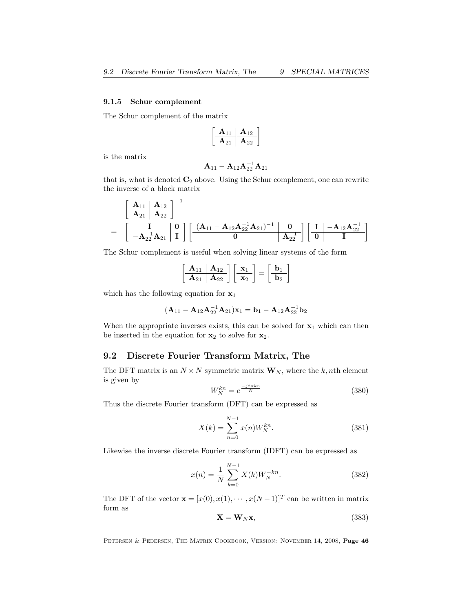#### <span id="page-45-1"></span>9.1.5 Schur complement

The Schur complement of the matrix

$$
\begin{bmatrix}\n\mathbf{A}_{11} & \mathbf{A}_{12} \\
\hline\n\mathbf{A}_{21} & \mathbf{A}_{22}\n\end{bmatrix}
$$

is the matrix

$$
{\bf A}_{11}-{\bf A}_{12}{\bf A}_{22}^{-1}{\bf A}_{21}
$$

that is, what is denoted  $C_2$  above. Using the Schur complement, one can rewrite the inverse of a block matrix

$$
=\frac{\left[\begin{array}{c|c} \mathbf{A}_{11} & \mathbf{A}_{12} \\ \hline \mathbf{A}_{21} & \mathbf{A}_{22} \end{array}\right]^{-1}}{-\mathbf{A}_{22}^{-1}\mathbf{A}_{21}}\left[\begin{array}{c|c} \mathbf{(A}_{11}-\mathbf{A}_{12}\mathbf{A}_{22}^{-1}\mathbf{A}_{21})^{-1} & \mathbf{0} \\ \hline \mathbf{0} & \mathbf{A}_{22}^{-1} \end{array}\right]\left[\begin{array}{c|c} \mathbf{I} & -\mathbf{A}_{12}\mathbf{A}_{22}^{-1} \\ \hline \mathbf{0} & \mathbf{I} \end{array}\right]
$$

The Schur complement is useful when solving linear systems of the form

$$
\left[\begin{array}{c|c}\n\mathbf{A}_{11} & \mathbf{A}_{12} \\
\hline\n\mathbf{A}_{21} & \mathbf{A}_{22}\n\end{array}\right]\n\left[\begin{array}{c}\n\mathbf{x}_1 \\
\mathbf{x}_2\n\end{array}\right] = \n\left[\begin{array}{c}\n\mathbf{b}_1 \\
\mathbf{b}_2\n\end{array}\right]
$$

which has the following equation for  $x_1$ 

$$
(\mathbf{A}_{11} - \mathbf{A}_{12}\mathbf{A}_{22}^{-1}\mathbf{A}_{21})\mathbf{x}_1 = \mathbf{b}_1 - \mathbf{A}_{12}\mathbf{A}_{22}^{-1}\mathbf{b}_2
$$

When the appropriate inverses exists, this can be solved for  $x_1$  which can then be inserted in the equation for  $x_2$  to solve for  $x_2$ .

### <span id="page-45-0"></span>9.2 Discrete Fourier Transform Matrix, The

The DFT matrix is an  $N \times N$  symmetric matrix  $\mathbf{W}_N$ , where the k, nth element is given by

$$
W_N^{kn} = e^{\frac{-j2\pi kn}{N}}\tag{380}
$$

Thus the discrete Fourier transform (DFT) can be expressed as

$$
X(k) = \sum_{n=0}^{N-1} x(n)W_N^{kn}.
$$
 (381)

Likewise the inverse discrete Fourier transform (IDFT) can be expressed as

$$
x(n) = \frac{1}{N} \sum_{k=0}^{N-1} X(k) W_N^{-kn}.
$$
 (382)

The DFT of the vector  $\mathbf{x} = [x(0), x(1), \dots, x(N-1)]^T$  can be written in matrix form as

$$
\mathbf{X} = \mathbf{W}_N \mathbf{x},\tag{383}
$$

PETERSEN & PEDERSEN, THE MATRIX COOKBOOK, VERSION: NOVEMBER 14, 2008, Page 46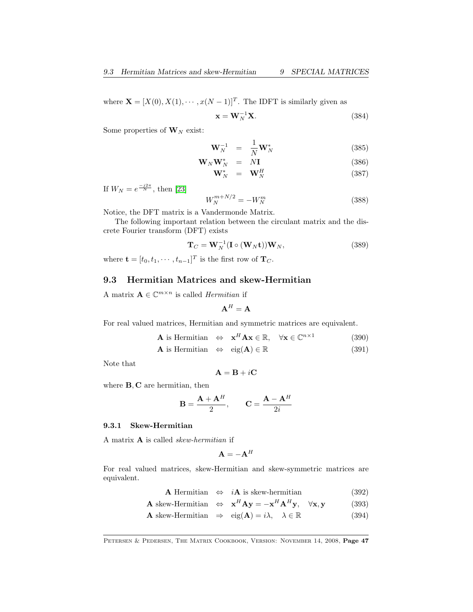<span id="page-46-1"></span>where  $\mathbf{X} = [X(0), X(1), \cdots, x(N-1)]^T$ . The IDFT is similarly given as

$$
\mathbf{x} = \mathbf{W}_N^{-1} \mathbf{X}.\tag{384}
$$

Some properties of  $W_N$  exist:

$$
\mathbf{W}_N^{-1} = \frac{1}{N} \mathbf{W}_N^* \tag{385}
$$

$$
\mathbf{W}_N \mathbf{W}_N^* = N \mathbf{I} \tag{386}
$$

$$
\mathbf{W}_N^* = \mathbf{W}_N^H \tag{387}
$$

If  $W_N = e^{\frac{-j2\pi}{N}}$ , then [\[23\]](#page-69-11)

$$
W_N^{m+N/2} = -W_N^m \tag{388}
$$

Notice, the DFT matrix is a Vandermonde Matrix.

The following important relation between the circulant matrix and the discrete Fourier transform (DFT) exists

$$
\mathbf{T}_C = \mathbf{W}_N^{-1} (\mathbf{I} \circ (\mathbf{W}_N \mathbf{t})) \mathbf{W}_N, \tag{389}
$$

where  $\mathbf{t} = [t_0, t_1, \cdots, t_{n-1}]^T$  is the first row of  $\mathbf{T}_C$ .

### <span id="page-46-0"></span>9.3 Hermitian Matrices and skew-Hermitian

A matrix  $\mathbf{A} \in \mathbb{C}^{m \times n}$  is called *Hermitian* if

$$
\mathbf{A}^H = \mathbf{A}
$$

For real valued matrices, Hermitian and symmetric matrices are equivalent.

$$
\mathbf{A} \text{ is Hermitian} \Leftrightarrow \mathbf{x}^H \mathbf{A} \mathbf{x} \in \mathbb{R}, \quad \forall \mathbf{x} \in \mathbb{C}^{n \times 1} \tag{390}
$$

$$
\mathbf{A} \text{ is Hermitian} \quad \Leftrightarrow \quad \text{eig}(\mathbf{A}) \in \mathbb{R} \tag{391}
$$

Note that

$$
\mathbf{A} = \mathbf{B} + i\mathbf{C}
$$

where **B**, **C** are hermitian, then

$$
\mathbf{B} = \frac{\mathbf{A} + \mathbf{A}^H}{2}, \qquad \mathbf{C} = \frac{\mathbf{A} - \mathbf{A}^H}{2i}
$$

#### 9.3.1 Skew-Hermitian

A matrix A is called skew-hermitian if

$$
\mathbf{A} = -\mathbf{A}^H
$$

For real valued matrices, skew-Hermitian and skew-symmetric matrices are equivalent.

A Hermitian  $\Leftrightarrow$  *i***A** is skew-hermitian (392)

**A** skew-Hermitian  $\Leftrightarrow$   $\mathbf{x}^H \mathbf{A} \mathbf{y} = -\mathbf{x}^H \mathbf{A}^H \mathbf{y}, \quad \forall \mathbf{x}, \mathbf{y}$  (393)

**A** skew-Hermitian 
$$
\Rightarrow
$$
 eig(**A**) =  $i\lambda$ ,  $\lambda \in \mathbb{R}$  (394)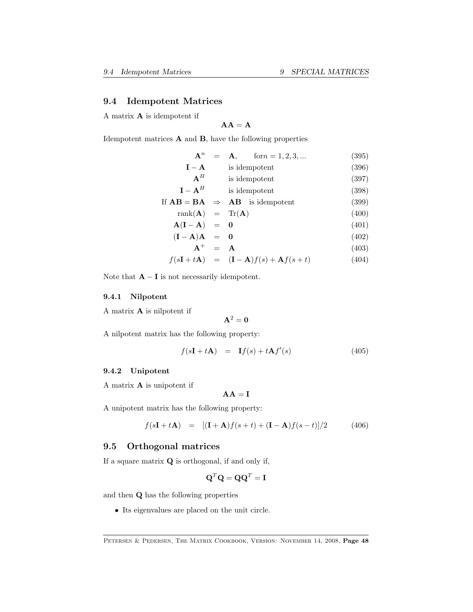### <span id="page-47-0"></span>9.4 Idempotent Matrices

A matrix A is idempotent if

$$
AA = A
$$

Idempotent matrices A and B, have the following properties

$$
\mathbf{A}^{n} = \mathbf{A}, \quad \text{form} = 1, 2, 3, ... \quad (395)
$$
\n
$$
\mathbf{I} - \mathbf{A} \quad \text{is idempotent} \quad (396)
$$
\n
$$
\mathbf{A}^{H} \quad \text{is idempotent} \quad (397)
$$
\n
$$
\mathbf{I} - \mathbf{A}^{H} \quad \text{is idempotent} \quad (398)
$$
\n
$$
\text{If } \mathbf{A}\mathbf{B} = \mathbf{B}\mathbf{A} \Rightarrow \mathbf{A}\mathbf{B} \quad \text{is idempotent} \quad (399)
$$
\n
$$
\text{rank}(\mathbf{A}) = \text{Tr}(\mathbf{A}) \quad (400)
$$

$$
\mathbf{A}(\mathbf{I} - \mathbf{A}) = \mathbf{0} \tag{401}
$$

$$
(\mathbf{I} - \mathbf{A})\mathbf{A} = \mathbf{0} \tag{402}
$$

$$
\mathbf{A}^+ = \mathbf{A} \tag{403}
$$

$$
f(s\mathbf{I} + t\mathbf{A}) = (\mathbf{I} - \mathbf{A})f(s) + \mathbf{A}f(s+t)
$$
 (404)

Note that  $\mathbf{A} - \mathbf{I}$  is not necessarily idempotent.

### 9.4.1 Nilpotent

A matrix A is nilpotent if

$$
\mathbf{A}^2=\mathbf{0}
$$

A nilpotent matrix has the following property:

$$
f(s\mathbf{I} + t\mathbf{A}) = \mathbf{I}f(s) + t\mathbf{A}f'(s)
$$
\n(405)

### 9.4.2 Unipotent

A matrix A is unipotent if

$$
\mathbf{A}\mathbf{A}=\mathbf{I}
$$

A unipotent matrix has the following property:

$$
f(sI + tA) = [(I + A)f(s + t) + (I - A)f(s - t)]/2
$$
 (406)

### <span id="page-47-1"></span>9.5 Orthogonal matrices

If a square matrix  $Q$  is orthogonal, if and only if,

$$
\mathbf{Q}^T \mathbf{Q} = \mathbf{Q} \mathbf{Q}^T = \mathbf{I}
$$

and then Q has the following properties

• Its eigenvalues are placed on the unit circle.

PETERSEN & PEDERSEN, THE MATRIX COOKBOOK, VERSION: NOVEMBER 14, 2008, Page 48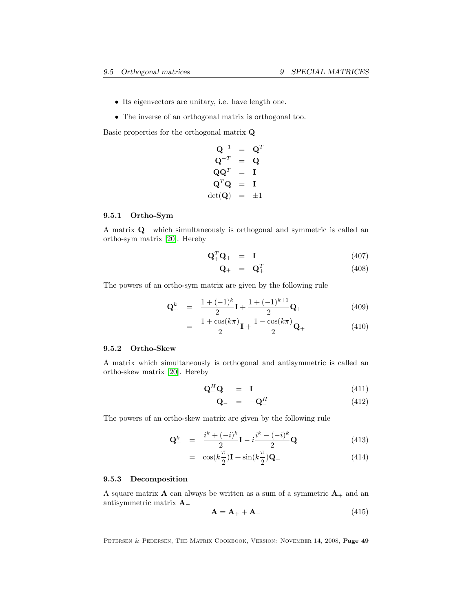- <span id="page-48-0"></span>• Its eigenvectors are unitary, i.e. have length one.
- The inverse of an orthogonal matrix is orthogonal too.

Basic properties for the orthogonal matrix Q

$$
\begin{array}{rcl} \mathbf{Q}^{-1} &=& \mathbf{Q}^T \\ \mathbf{Q}^{-T} &=& \mathbf{Q} \\ \mathbf{Q}\mathbf{Q}^T &=& \mathbf{I} \\ \mathbf{Q}^T\mathbf{Q} &=& \mathbf{I} \\ \mathrm{det}(\mathbf{Q}) &=& \pm 1 \end{array}
$$

#### 9.5.1 Ortho-Sym

A matrix  $\mathbf{Q}_{+}$  which simultaneously is orthogonal and symmetric is called an ortho-sym matrix [\[20\]](#page-69-12). Hereby

$$
\mathbf{Q}_{+}^{T}\mathbf{Q}_{+} = \mathbf{I} \tag{407}
$$

$$
\mathbf{Q}_{+} = \mathbf{Q}_{+}^{T} \tag{408}
$$

The powers of an ortho-sym matrix are given by the following rule

$$
\mathbf{Q}_{+}^{k} = \frac{1 + (-1)^{k}}{2} \mathbf{I} + \frac{1 + (-1)^{k+1}}{2} \mathbf{Q}_{+}
$$
 (409)

$$
= \frac{1+\cos(k\pi)}{2}\mathbf{I} + \frac{1-\cos(k\pi)}{2}\mathbf{Q}_{+}
$$
(410)

### 9.5.2 Ortho-Skew

A matrix which simultaneously is orthogonal and antisymmetric is called an ortho-skew matrix [\[20\]](#page-69-12). Hereby

$$
\mathbf{Q}_{-}^{H}\mathbf{Q}_{-} = \mathbf{I} \tag{411}
$$

$$
\mathbf{Q}_{-} = -\mathbf{Q}_{-}^{H} \tag{412}
$$

The powers of an ortho-skew matrix are given by the following rule

$$
\mathbf{Q}_{-}^{k} = \frac{i^{k} + (-i)^{k}}{2} \mathbf{I} - i \frac{i^{k} - (-i)^{k}}{2} \mathbf{Q}_{-}
$$
(413)

$$
= \cos(k\frac{\pi}{2})\mathbf{I} + \sin(k\frac{\pi}{2})\mathbf{Q}_{-} \tag{414}
$$

#### 9.5.3 Decomposition

A square matrix **A** can always be written as a sum of a symmetric  $A_+$  and an antisymmetric matrix A<sup>−</sup>

$$
\mathbf{A} = \mathbf{A}_{+} + \mathbf{A}_{-} \tag{415}
$$

PETERSEN & PEDERSEN, THE MATRIX COOKBOOK, VERSION: NOVEMBER 14, 2008, Page 49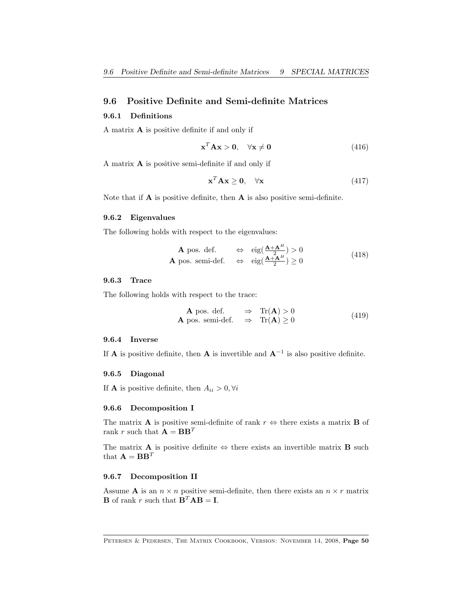### <span id="page-49-1"></span><span id="page-49-0"></span>9.6 Positive Definite and Semi-definite Matrices

#### 9.6.1 Definitions

A matrix A is positive definite if and only if

$$
\mathbf{x}^T \mathbf{A} \mathbf{x} > \mathbf{0}, \quad \forall \mathbf{x} \neq \mathbf{0} \tag{416}
$$

A matrix A is positive semi-definite if and only if

$$
\mathbf{x}^T \mathbf{A} \mathbf{x} \ge \mathbf{0}, \quad \forall \mathbf{x} \tag{417}
$$

Note that if  $A$  is positive definite, then  $A$  is also positive semi-definite.

#### 9.6.2 Eigenvalues

The following holds with respect to the eigenvalues:

**A** pos. def. 
$$
\Leftrightarrow
$$
  $\text{eig} \left( \frac{\mathbf{A} + \mathbf{A}^H}{2} \right) > 0$   
\n**A** pos. semi-def.  $\Leftrightarrow$   $\text{eig} \left( \frac{\mathbf{A} + \mathbf{A}^H}{2} \right) \ge 0$  (418)

#### 9.6.3 Trace

The following holds with respect to the trace:

**A** pos. def. 
$$
\Rightarrow
$$
 Tr(**A**) > 0  
\n**A** pos. semi-def.  $\Rightarrow$  Tr(**A**)  $\geq 0$  (419)

#### 9.6.4 Inverse

If **A** is positive definite, then **A** is invertible and  $A^{-1}$  is also positive definite.

#### 9.6.5 Diagonal

If **A** is positive definite, then  $A_{ii} > 0, \forall i$ 

#### 9.6.6 Decomposition I

The matrix **A** is positive semi-definite of rank  $r \Leftrightarrow$  there exists a matrix **B** of rank r such that  $\mathbf{A} = \mathbf{B}\mathbf{B}^T$ 

The matrix **A** is positive definite  $\Leftrightarrow$  there exists an invertible matrix **B** such that  $\mathbf{A} = \mathbf{B} \mathbf{B}^T$ 

#### 9.6.7 Decomposition II

Assume **A** is an  $n \times n$  positive semi-definite, then there exists an  $n \times r$  matrix **B** of rank r such that  $\mathbf{B}^T \mathbf{A} \mathbf{B} = \mathbf{I}$ .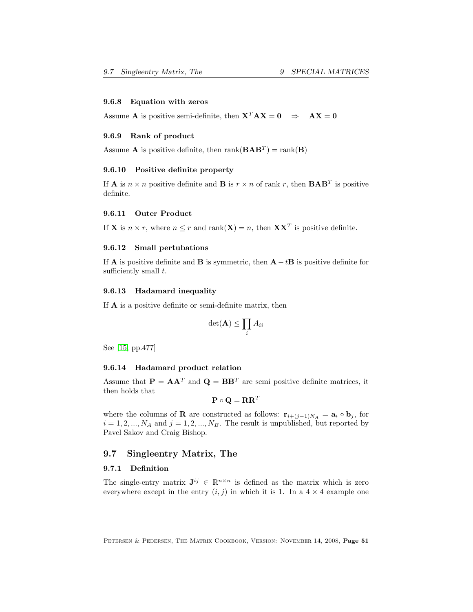#### <span id="page-50-1"></span>9.6.8 Equation with zeros

Assume **A** is positive semi-definite, then  $X^T A X = 0 \Rightarrow AX = 0$ 

#### 9.6.9 Rank of product

Assume **A** is positive definite, then rank  $(BAB^T) = \text{rank}(B)$ 

### 9.6.10 Positive definite property

If **A** is  $n \times n$  positive definite and **B** is  $r \times n$  of rank r, then  $\mathbf{BAB}^T$  is positive definite.

#### 9.6.11 Outer Product

If **X** is  $n \times r$ , where  $n \leq r$  and rank $(X) = n$ , then  $\mathbf{X} \mathbf{X}^T$  is positive definite.

#### 9.6.12 Small pertubations

If **A** is positive definite and **B** is symmetric, then  $\mathbf{A} - t\mathbf{B}$  is positive definite for sufficiently small  $t$ .

#### 9.6.13 Hadamard inequality

If A is a positive definite or semi-definite matrix, then

$$
\det(\mathbf{A}) \le \prod_i A_{ii}
$$

See [\[15,](#page-68-13) pp.477]

#### 9.6.14 Hadamard product relation

Assume that  $\mathbf{P} = \mathbf{A}\mathbf{A}^T$  and  $\mathbf{Q} = \mathbf{B}\mathbf{B}^T$  are semi-positive definite matrices, it then holds that

$$
\mathbf{P}\circ\mathbf{Q}=\mathbf{R}\mathbf{R}^T
$$

where the columns of **R** are constructed as follows:  $\mathbf{r}_{i+(j-1)N_A} = \mathbf{a}_i \circ \mathbf{b}_j$ , for  $i = 1, 2, ..., N_A$  and  $j = 1, 2, ..., N_B$ . The result is unpublished, but reported by Pavel Sakov and Craig Bishop.

#### <span id="page-50-0"></span>9.7 Singleentry Matrix, The

#### 9.7.1 Definition

The single-entry matrix  $J^{ij} \in \mathbb{R}^{n \times n}$  is defined as the matrix which is zero everywhere except in the entry  $(i, j)$  in which it is 1. In a  $4 \times 4$  example one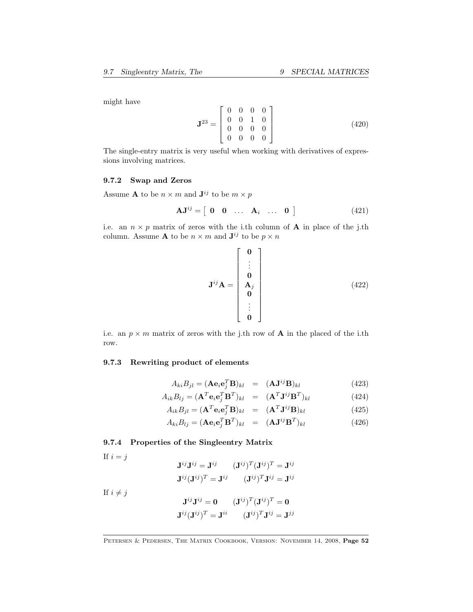might have

$$
\mathbf{J}^{23} = \left[ \begin{array}{cccc} 0 & 0 & 0 & 0 \\ 0 & 0 & 1 & 0 \\ 0 & 0 & 0 & 0 \\ 0 & 0 & 0 & 0 \end{array} \right] \tag{420}
$$

The single-entry matrix is very useful when working with derivatives of expressions involving matrices.

#### 9.7.2 Swap and Zeros

Assume **A** to be  $n \times m$  and  $\mathbf{J}^{ij}$  to be  $m \times p$ 

$$
\mathbf{A}\mathbf{J}^{ij} = \begin{bmatrix} \mathbf{0} & \mathbf{0} & \dots & \mathbf{A}_i & \dots & \mathbf{0} \end{bmatrix} \tag{421}
$$

i.e. an  $n \times p$  matrix of zeros with the i.th column of **A** in place of the j.th column. Assume **A** to be  $n \times m$  and  $\mathbf{J}^{ij}$  to be  $p \times n$ 

$$
\mathbf{J}^{ij}\mathbf{A} = \begin{bmatrix} \mathbf{0} \\ \vdots \\ \mathbf{0} \\ \mathbf{A}_j \\ \vdots \\ \mathbf{0} \end{bmatrix}
$$
(422)

i.e. an  $p \times m$  matrix of zeros with the j.th row of **A** in the placed of the i.th row.

### 9.7.3 Rewriting product of elements

$$
A_{ki}B_{jl} = (\mathbf{A}\mathbf{e}_i\mathbf{e}_j^T\mathbf{B})_{kl} = (\mathbf{A}\mathbf{J}^{ij}\mathbf{B})_{kl}
$$
(423)

$$
A_{ik}B_{lj} = (\mathbf{A}^T \mathbf{e}_i \mathbf{e}_j^T \mathbf{B}^T)_{kl} = (\mathbf{A}^T \mathbf{J}^{ij} \mathbf{B}^T)_{kl}
$$
(424)

$$
A_{ik}B_{jl} = (\mathbf{A}^T \mathbf{e}_i \mathbf{e}_j^T \mathbf{B})_{kl} = (\mathbf{A}^T \mathbf{J}^{ij} \mathbf{B})_{kl}
$$
(425)

$$
A_{ki}B_{lj} = (\mathbf{A}\mathbf{e}_i\mathbf{e}_j^T\mathbf{B}^T)_{kl} = (\mathbf{A}\mathbf{J}^{ij}\mathbf{B}^T)_{kl}
$$
(426)

### <span id="page-51-0"></span>9.7.4 Properties of the Singleentry Matrix

If  $i = j$ 

$$
\mathbf{J}^{ij}\mathbf{J}^{ij} = \mathbf{J}^{ij} \qquad (\mathbf{J}^{ij})^T (\mathbf{J}^{ij})^T = \mathbf{J}^{ij}
$$

$$
\mathbf{J}^{ij} (\mathbf{J}^{ij})^T = \mathbf{J}^{ij} \qquad (\mathbf{J}^{ij})^T \mathbf{J}^{ij} = \mathbf{J}^{ij}
$$

If  $i \neq j$ 

$$
\mathbf{J}^{ij}\mathbf{J}^{ij} = \mathbf{0} \qquad (\mathbf{J}^{ij})^T (\mathbf{J}^{ij})^T = \mathbf{0}
$$

$$
\mathbf{J}^{ij} (\mathbf{J}^{ij})^T = \mathbf{J}^{ii} \qquad (\mathbf{J}^{ij})^T \mathbf{J}^{ij} = \mathbf{J}^{jj}
$$

PETERSEN & PEDERSEN, THE MATRIX COOKBOOK, VERSION: NOVEMBER 14, 2008, Page 52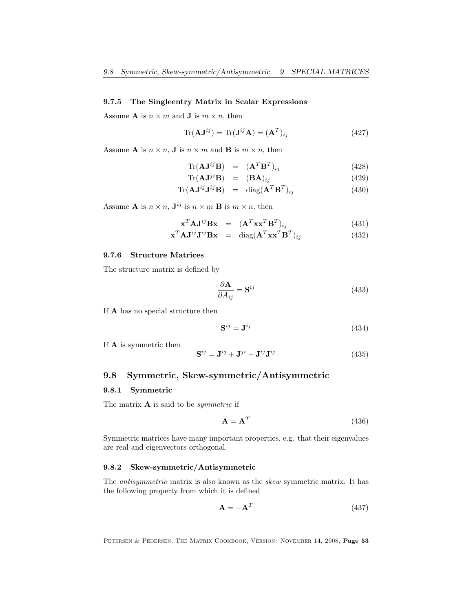#### <span id="page-52-2"></span>9.7.5 The Singleentry Matrix in Scalar Expressions

Assume **A** is  $n \times m$  and **J** is  $m \times n$ , then

$$
\text{Tr}(\mathbf{A}\mathbf{J}^{ij}) = \text{Tr}(\mathbf{J}^{ij}\mathbf{A}) = (\mathbf{A}^T)_{ij}
$$
(427)

Assume **A** is  $n \times n$ , **J** is  $n \times m$  and **B** is  $m \times n$ , then

$$
\text{Tr}(\mathbf{A}\mathbf{J}^{ij}\mathbf{B}) = (\mathbf{A}^T\mathbf{B}^T)_{ij} \tag{428}
$$

$$
\text{Tr}(\mathbf{A}\mathbf{J}^{ji}\mathbf{B}) = (\mathbf{B}\mathbf{A})_{ij} \tag{429}
$$

$$
\text{Tr}(\mathbf{A}\mathbf{J}^{ij}\mathbf{J}^{ij}\mathbf{B}) = \text{diag}(\mathbf{A}^T\mathbf{B}^T)_{ij} \tag{430}
$$

Assume **A** is  $n \times n$ ,  $\mathbf{J}^{ij}$  is  $n \times m$  **B** is  $m \times n$ , then

$$
\mathbf{x}^T \mathbf{A} \mathbf{J}^{ij} \mathbf{B} \mathbf{x} = (\mathbf{A}^T \mathbf{x} \mathbf{x}^T \mathbf{B}^T)_{ij}
$$
(431)

$$
\mathbf{x}^T \mathbf{A} \mathbf{J}^{ij} \mathbf{J}^{ij} \mathbf{B} \mathbf{x} = \text{diag}(\mathbf{A}^T \mathbf{x} \mathbf{x}^T \mathbf{B}^T)_{ij}
$$
(432)

#### <span id="page-52-1"></span>9.7.6 Structure Matrices

The structure matrix is defined by

$$
\frac{\partial \mathbf{A}}{\partial A_{ij}} = \mathbf{S}^{ij} \tag{433}
$$

If A has no special structure then

$$
\mathbf{S}^{ij} = \mathbf{J}^{ij} \tag{434}
$$

If A is symmetric then

$$
\mathbf{S}^{ij} = \mathbf{J}^{ij} + \mathbf{J}^{ji} - \mathbf{J}^{ij}\mathbf{J}^{ij} \tag{435}
$$

### <span id="page-52-0"></span>9.8 Symmetric, Skew-symmetric/Antisymmetric

#### 9.8.1 Symmetric

The matrix  $A$  is said to be *symmetric* if

$$
\mathbf{A} = \mathbf{A}^T \tag{436}
$$

Symmetric matrices have many important properties, e.g. that their eigenvalues are real and eigenvectors orthogonal.

### 9.8.2 Skew-symmetric/Antisymmetric

The *antisymmetric* matrix is also known as the *skew* symmetric matrix. It has the following property from which it is defined

$$
\mathbf{A} = -\mathbf{A}^T \tag{437}
$$

PETERSEN & PEDERSEN, THE MATRIX COOKBOOK, VERSION: NOVEMBER 14, 2008, Page 53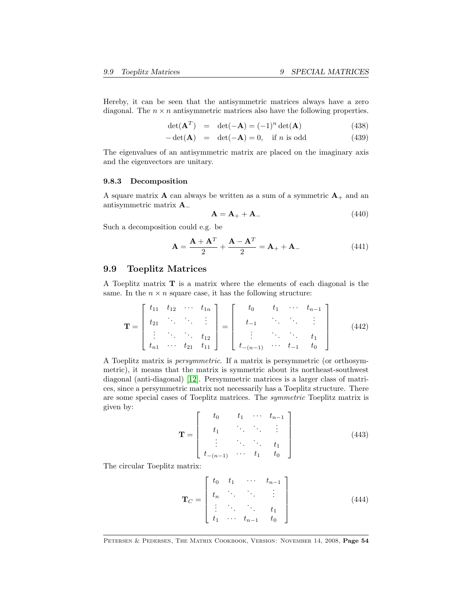<span id="page-53-1"></span>Hereby, it can be seen that the antisymmetric matrices always have a zero diagonal. The  $n \times n$  antisymmetric matrices also have the following properties.

$$
\det(\mathbf{A}^T) = \det(-\mathbf{A}) = (-1)^n \det(\mathbf{A}) \tag{438}
$$

$$
-\det(\mathbf{A}) = \det(-\mathbf{A}) = 0, \text{ if } n \text{ is odd}
$$
 (439)

The eigenvalues of an antisymmetric matrix are placed on the imaginary axis and the eigenvectors are unitary.

#### 9.8.3 Decomposition

A square matrix **A** can always be written as a sum of a symmetric  $A_+$  and an antisymmetric matrix A<sup>−</sup>

$$
\mathbf{A} = \mathbf{A}_{+} + \mathbf{A}_{-} \tag{440}
$$

Such a decomposition could e.g. be

$$
\mathbf{A} = \frac{\mathbf{A} + \mathbf{A}^T}{2} + \frac{\mathbf{A} - \mathbf{A}^T}{2} = \mathbf{A}_+ + \mathbf{A}_-\tag{441}
$$

#### <span id="page-53-0"></span>9.9 Toeplitz Matrices

A Toeplitz matrix T is a matrix where the elements of each diagonal is the same. In the  $n \times n$  square case, it has the following structure:

$$
\mathbf{T} = \begin{bmatrix} t_{11} & t_{12} & \cdots & t_{1n} \\ t_{21} & \ddots & \ddots & \vdots \\ \vdots & \ddots & \ddots & t_{12} \\ t_{n1} & \cdots & t_{21} & t_{11} \end{bmatrix} = \begin{bmatrix} t_0 & t_1 & \cdots & t_{n-1} \\ t_{-1} & \cdots & \ddots & \vdots \\ \vdots & \ddots & \ddots & t_1 \\ t_{-(n-1)} & \cdots & t_{-1} & t_0 \end{bmatrix}
$$
(442)

A Toeplitz matrix is persymmetric. If a matrix is persymmetric (or orthosymmetric), it means that the matrix is symmetric about its northeast-southwest diagonal (anti-diagonal) [\[12\]](#page-68-4). Persymmetric matrices is a larger class of matrices, since a persymmetric matrix not necessarily has a Toeplitz structure. There are some special cases of Toeplitz matrices. The symmetric Toeplitz matrix is given by:

$$
\mathbf{T} = \begin{bmatrix} t_0 & t_1 & \cdots & t_{n-1} \\ t_1 & \ddots & \ddots & \vdots \\ \vdots & \ddots & \ddots & t_1 \\ t_{-(n-1)} & \cdots & t_1 & t_0 \end{bmatrix}
$$
(443)

The circular Toeplitz matrix:

$$
\mathbf{T}_C = \begin{bmatrix} t_0 & t_1 & \cdots & t_{n-1} \\ t_n & \ddots & \ddots & \vdots \\ \vdots & \ddots & \ddots & t_1 \\ t_1 & \cdots & t_{n-1} & t_0 \end{bmatrix}
$$
 (444)

Petersen & Pedersen, The Matrix Cookbook, Version: November 14, 2008, Page 54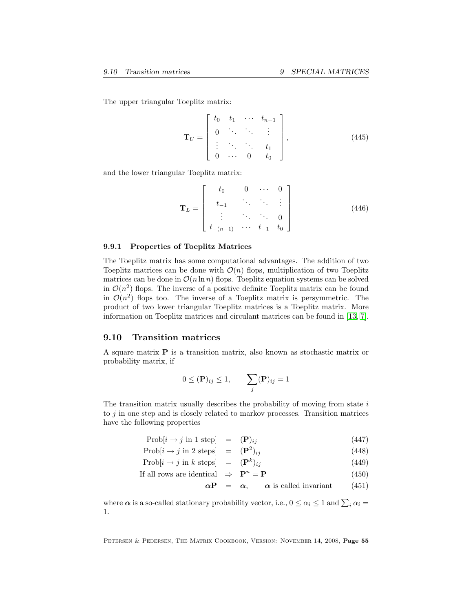<span id="page-54-1"></span>The upper triangular Toeplitz matrix:

$$
\mathbf{T}_U = \begin{bmatrix} t_0 & t_1 & \cdots & t_{n-1} \\ 0 & \ddots & \ddots & \vdots \\ \vdots & \ddots & \ddots & t_1 \\ 0 & \cdots & 0 & t_0 \end{bmatrix},
$$
(445)

and the lower triangular Toeplitz matrix:

$$
\mathbf{T}_L = \begin{bmatrix} t_0 & 0 & \cdots & 0 \\ t_{-1} & \ddots & \ddots & \vdots \\ \vdots & \ddots & \ddots & 0 \\ t_{-(n-1)} & \cdots & t_{-1} & t_0 \end{bmatrix}
$$
(446)

#### 9.9.1 Properties of Toeplitz Matrices

The Toeplitz matrix has some computational advantages. The addition of two Toeplitz matrices can be done with  $\mathcal{O}(n)$  flops, multiplication of two Toeplitz matrices can be done in  $\mathcal{O}(n \ln n)$  flops. Toeplitz equation systems can be solved in  $\mathcal{O}(n^2)$  flops. The inverse of a positive definite Toeplitz matrix can be found in  $\mathcal{O}(n^2)$  flops too. The inverse of a Toeplitz matrix is persymmetric. The product of two lower triangular Toeplitz matrices is a Toeplitz matrix. More information on Toeplitz matrices and circulant matrices can be found in [\[13,](#page-68-14) [7\]](#page-68-1).

### <span id="page-54-0"></span>9.10 Transition matrices

A square matrix P is a transition matrix, also known as stochastic matrix or probability matrix, if

$$
0 \leq (\mathbf{P})_{ij} \leq 1, \qquad \sum_j (\mathbf{P})_{ij} = 1
$$

The transition matrix usually describes the probability of moving from state  $i$ to  $j$  in one step and is closely related to markov processes. Transition matrices have the following properties

$$
Prob[i \rightarrow j \text{ in 1 step}] = (\mathbf{P})_{ij} \tag{447}
$$

$$
Prob[i \rightarrow j \text{ in } 2 \text{ steps}] = (\mathbf{P}^2)_{ij} \tag{448}
$$

$$
Prob[i \rightarrow j \text{ in } k \text{ steps}] = (\mathbf{P}^k)_{ij} \tag{449}
$$

If all rows are identical 
$$
\Rightarrow
$$
  $\mathbf{P}^n = \mathbf{P}$  (450)

$$
\alpha \mathbf{P} = \alpha, \qquad \alpha \text{ is called invariant} \tag{451}
$$

where  $\alpha$  is a so-called stationary probability vector, i.e.,  $0 \le \alpha_i \le 1$  and  $\sum_i \alpha_i =$ 1.

Petersen & Pedersen, The Matrix Cookbook, Version: November 14, 2008, Page 55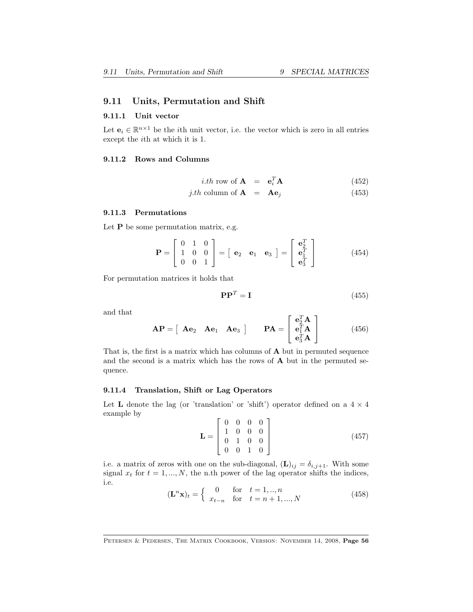### <span id="page-55-1"></span><span id="page-55-0"></span>9.11 Units, Permutation and Shift

#### 9.11.1 Unit vector

Let  $\mathbf{e}_i \in \mathbb{R}^{n \times 1}$  be the *i*th unit vector, i.e. the vector which is zero in all entries except the *i*<sup>th</sup> at which it is 1.

#### 9.11.2 Rows and Columns

*i.th* row of **A** = 
$$
\mathbf{e}_i^T \mathbf{A}
$$
 (452)

$$
j.th \text{ column of } \mathbf{A} = \mathbf{A}\mathbf{e}_j \tag{453}
$$

### 9.11.3 Permutations

Let  $P$  be some permutation matrix, e.g.

$$
\mathbf{P} = \begin{bmatrix} 0 & 1 & 0 \\ 1 & 0 & 0 \\ 0 & 0 & 1 \end{bmatrix} = \begin{bmatrix} \mathbf{e}_2 & \mathbf{e}_1 & \mathbf{e}_3 \end{bmatrix} = \begin{bmatrix} \mathbf{e}_2^T \\ \mathbf{e}_1^T \\ \mathbf{e}_3^T \end{bmatrix}
$$
(454)

For permutation matrices it holds that

$$
\mathbf{P}\mathbf{P}^T = \mathbf{I} \tag{455}
$$

and that

$$
\mathbf{AP} = \begin{bmatrix} \mathbf{A} \mathbf{e}_2 & \mathbf{A} \mathbf{e}_1 & \mathbf{A} \mathbf{e}_3 \end{bmatrix} \qquad \mathbf{PA} = \begin{bmatrix} \mathbf{e}_2^T \mathbf{A} \\ \mathbf{e}_1^T \mathbf{A} \\ \mathbf{e}_3^T \mathbf{A} \end{bmatrix} \tag{456}
$$

That is, the first is a matrix which has columns of A but in permuted sequence and the second is a matrix which has the rows of A but in the permuted sequence.

#### 9.11.4 Translation, Shift or Lag Operators

Let **L** denote the lag (or 'translation' or 'shift') operator defined on a  $4 \times 4$ example by

$$
\mathbf{L} = \begin{bmatrix} 0 & 0 & 0 & 0 \\ 1 & 0 & 0 & 0 \\ 0 & 1 & 0 & 0 \\ 0 & 0 & 1 & 0 \end{bmatrix}
$$
 (457)

i.e. a matrix of zeros with one on the sub-diagonal,  $(L)_{ij} = \delta_{i,j+1}$ . With some signal  $x_t$  for  $t = 1, ..., N$ , the n.th power of the lag operator shifts the indices, i.e.

$$
(\mathbf{L}^n \mathbf{x})_t = \begin{cases} 0 & \text{for } t = 1, ..., n \\ x_{t-n} & \text{for } t = n+1, ..., N \end{cases}
$$
(458)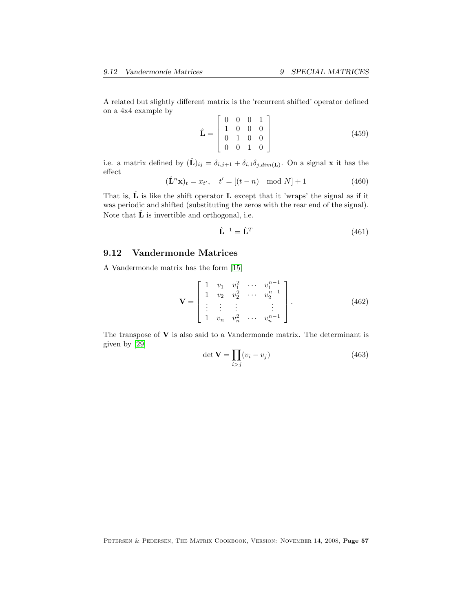<span id="page-56-1"></span>A related but slightly different matrix is the 'recurrent shifted' operator defined on a 4x4 example by  $\overline{a}$ 

$$
\hat{\mathbf{L}} = \begin{bmatrix} 0 & 0 & 0 & 1 \\ 1 & 0 & 0 & 0 \\ 0 & 1 & 0 & 0 \\ 0 & 0 & 1 & 0 \end{bmatrix}
$$
(459)

i.e. a matrix defined by  $(\hat{\mathbf{L}})_{ij} = \delta_{i,j+1} + \delta_{i,1}\delta_{j,dim(\mathbf{L})}$ . On a signal **x** it has the effect

$$
(\hat{\mathbf{L}}^n \mathbf{x})_t = x_{t'}, \quad t' = [(t - n) \mod N] + 1
$$
 (460)

That is,  $\hat{\mathbf{L}}$  is like the shift operator **L** except that it 'wraps' the signal as if it was periodic and shifted (substituting the zeros with the rear end of the signal). Note that  $\hat{\mathbf{L}}$  is invertible and orthogonal, i.e.

$$
\hat{\mathbf{L}}^{-1} = \hat{\mathbf{L}}^{T} \tag{461}
$$

### <span id="page-56-0"></span>9.12 Vandermonde Matrices

A Vandermonde matrix has the form [\[15\]](#page-68-13)

$$
\mathbf{V} = \begin{bmatrix} 1 & v_1 & v_1^2 & \cdots & v_1^{n-1} \\ 1 & v_2 & v_2^2 & \cdots & v_2^{n-1} \\ \vdots & \vdots & \vdots & & \vdots \\ 1 & v_n & v_n^2 & \cdots & v_n^{n-1} \end{bmatrix} .
$$
 (462)

The transpose of  $V$  is also said to a Vandermonde matrix. The determinant is given by [\[29\]](#page-69-13)

$$
\det \mathbf{V} = \prod_{i > j} (v_i - v_j) \tag{463}
$$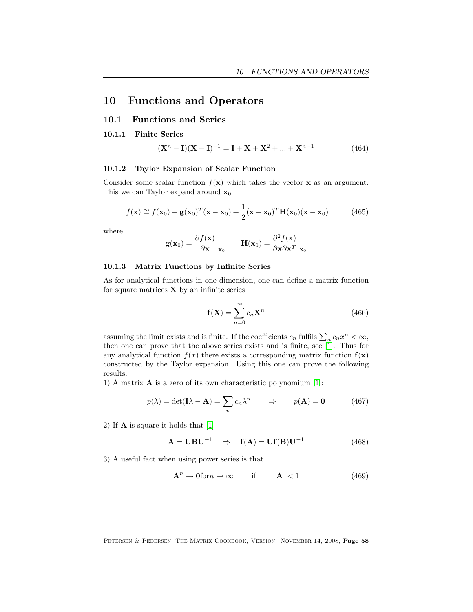# <span id="page-57-0"></span>10 Functions and Operators

### <span id="page-57-1"></span>10.1 Functions and Series

#### 10.1.1 Finite Series

$$
(\mathbf{X}^{n} - \mathbf{I})(\mathbf{X} - \mathbf{I})^{-1} = \mathbf{I} + \mathbf{X} + \mathbf{X}^{2} + \dots + \mathbf{X}^{n-1}
$$
(464)

#### 10.1.2 Taylor Expansion of Scalar Function

Consider some scalar function  $f(\mathbf{x})$  which takes the vector **x** as an argument. This we can Taylor expand around  $x_0$ 

$$
f(\mathbf{x}) \approx f(\mathbf{x}_0) + \mathbf{g}(\mathbf{x}_0)^T(\mathbf{x} - \mathbf{x}_0) + \frac{1}{2}(\mathbf{x} - \mathbf{x}_0)^T \mathbf{H}(\mathbf{x}_0) (\mathbf{x} - \mathbf{x}_0)
$$
(465)

where

$$
\mathbf{g}(\mathbf{x}_0) = \frac{\partial f(\mathbf{x})}{\partial \mathbf{x}} \Big|_{\mathbf{x}_0} \qquad \mathbf{H}(\mathbf{x}_0) = \frac{\partial^2 f(\mathbf{x})}{\partial \mathbf{x} \partial \mathbf{x}^T} \Big|_{\mathbf{x}_0}
$$

#### 10.1.3 Matrix Functions by Infinite Series

As for analytical functions in one dimension, one can define a matrix function for square matrices  $X$  by an infinite series

$$
\mathbf{f}(\mathbf{X}) = \sum_{n=0}^{\infty} c_n \mathbf{X}^n
$$
 (466)

assuming the limit exists and is finite. If the coefficients  $c_n$  fulfils  $\sum_n c_n x^n < \infty$ , then one can prove that the above series exists and is finite, see [\[1\]](#page-68-15). Thus for any analytical function  $f(x)$  there exists a corresponding matrix function  $f(x)$ constructed by the Taylor expansion. Using this one can prove the following results:

1) A matrix A is a zero of its own characteristic polynomium [\[1\]](#page-68-15):

$$
p(\lambda) = \det(\mathbf{I}\lambda - \mathbf{A}) = \sum_{n} c_n \lambda^n \qquad \Rightarrow \qquad p(\mathbf{A}) = \mathbf{0} \tag{467}
$$

2) If A is square it holds that [\[1\]](#page-68-15)

$$
\mathbf{A} = \mathbf{U} \mathbf{B} \mathbf{U}^{-1} \Rightarrow \mathbf{f}(\mathbf{A}) = \mathbf{U} \mathbf{f}(\mathbf{B}) \mathbf{U}^{-1} \tag{468}
$$

3) A useful fact when using power series is that

$$
\mathbf{A}^n \to \mathbf{0} \text{for} n \to \infty \qquad \text{if} \qquad |\mathbf{A}| < 1 \tag{469}
$$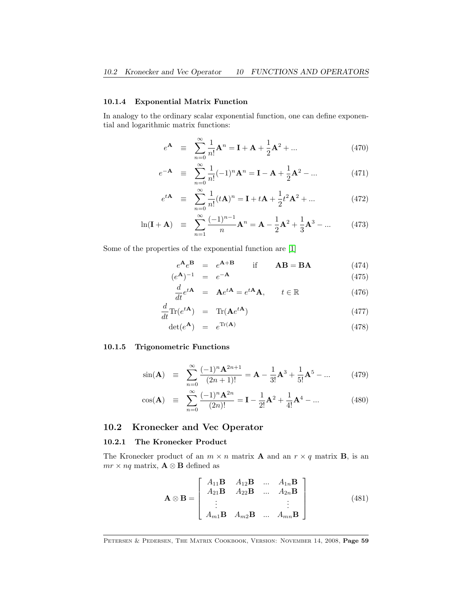### <span id="page-58-2"></span>10.1.4 Exponential Matrix Function

In analogy to the ordinary scalar exponential function, one can define exponential and logarithmic matrix functions:

$$
e^{\mathbf{A}} \equiv \sum_{n=0}^{\infty} \frac{1}{n!} \mathbf{A}^n = \mathbf{I} + \mathbf{A} + \frac{1}{2} \mathbf{A}^2 + \dots
$$
 (470)

$$
e^{-\mathbf{A}} \equiv \sum_{n=0}^{\infty} \frac{1}{n!} (-1)^n \mathbf{A}^n = \mathbf{I} - \mathbf{A} + \frac{1}{2} \mathbf{A}^2 - \dots
$$
 (471)

$$
e^{t\mathbf{A}} \equiv \sum_{n=0}^{\infty} \frac{1}{n!} (t\mathbf{A})^n = \mathbf{I} + t\mathbf{A} + \frac{1}{2} t^2 \mathbf{A}^2 + \dots
$$
 (472)

$$
\ln(\mathbf{I} + \mathbf{A}) \equiv \sum_{n=1}^{\infty} \frac{(-1)^{n-1}}{n} \mathbf{A}^n = \mathbf{A} - \frac{1}{2} \mathbf{A}^2 + \frac{1}{3} \mathbf{A}^3 - \dots \tag{473}
$$

Some of the properties of the exponential function are [\[1\]](#page-68-15)

$$
e^{\mathbf{A}}e^{\mathbf{B}} = e^{\mathbf{A} + \mathbf{B}} \qquad \text{if} \qquad \mathbf{A}\mathbf{B} = \mathbf{B}\mathbf{A} \tag{474}
$$

$$
(e^{\mathbf{A}})^{-1} = e^{-\mathbf{A}} \tag{475}
$$

$$
\frac{d}{dt}e^{t\mathbf{A}} = \mathbf{A}e^{t\mathbf{A}} = e^{t\mathbf{A}}\mathbf{A}, \qquad t \in \mathbb{R}
$$
\n(476)

$$
\frac{d}{dt}\text{Tr}(e^{t\mathbf{A}}) = \text{Tr}(\mathbf{A}e^{t\mathbf{A}})
$$
\n(477)

$$
\det(e^{\mathbf{A}}) = e^{\text{Tr}(\mathbf{A})} \tag{478}
$$

#### 10.1.5 Trigonometric Functions

$$
\sin(\mathbf{A}) \quad \equiv \quad \sum_{n=0}^{\infty} \frac{(-1)^n \mathbf{A}^{2n+1}}{(2n+1)!} = \mathbf{A} - \frac{1}{3!} \mathbf{A}^3 + \frac{1}{5!} \mathbf{A}^5 - \dots \tag{479}
$$

$$
\cos(\mathbf{A}) \quad \equiv \quad \sum_{n=0}^{\infty} \frac{(-1)^n \mathbf{A}^{2n}}{(2n)!} = \mathbf{I} - \frac{1}{2!} \mathbf{A}^2 + \frac{1}{4!} \mathbf{A}^4 - \dots \tag{480}
$$

### <span id="page-58-0"></span>10.2 Kronecker and Vec Operator

### <span id="page-58-1"></span>10.2.1 The Kronecker Product

The Kronecker product of an  $m \times n$  matrix **A** and an  $r \times q$  matrix **B**, is an  $mr \times nq$  matrix, **A**  $\otimes$  **B** defined as

$$
\mathbf{A} \otimes \mathbf{B} = \begin{bmatrix} A_{11} \mathbf{B} & A_{12} \mathbf{B} & \dots & A_{1n} \mathbf{B} \\ A_{21} \mathbf{B} & A_{22} \mathbf{B} & \dots & A_{2n} \mathbf{B} \\ \vdots & & \vdots \\ A_{m1} \mathbf{B} & A_{m2} \mathbf{B} & \dots & A_{mn} \mathbf{B} \end{bmatrix} \tag{481}
$$

PETERSEN & PEDERSEN, THE MATRIX COOKBOOK, VERSION: NOVEMBER 14, 2008, Page 59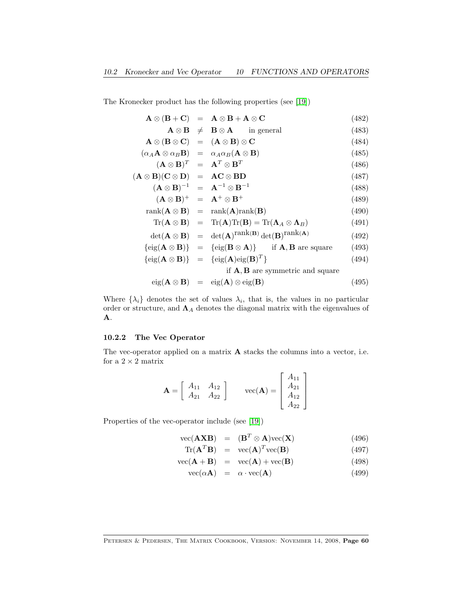The Kronecker product has the following properties (see [\[19\]](#page-69-0))

$$
\mathbf{A} \otimes (\mathbf{B} + \mathbf{C}) = \mathbf{A} \otimes \mathbf{B} + \mathbf{A} \otimes \mathbf{C}
$$
 (482)

$$
\mathbf{A} \otimes \mathbf{B} \neq \mathbf{B} \otimes \mathbf{A} \qquad \text{in general} \tag{483}
$$

$$
\mathbf{A} \otimes (\mathbf{B} \otimes \mathbf{C}) = (\mathbf{A} \otimes \mathbf{B}) \otimes \mathbf{C} \tag{484}
$$

$$
(\alpha_A \mathbf{A} \otimes \alpha_B \mathbf{B}) = \alpha_A \alpha_B (\mathbf{A} \otimes \mathbf{B})
$$
(485)  

$$
(\mathbf{A} \otimes \mathbf{D})^T = \mathbf{A}^T \otimes \mathbf{D}^T
$$
(486)

$$
(\mathbf{A} \otimes \mathbf{B})^T = \mathbf{A}^T \otimes \mathbf{B}^T \tag{486}
$$

$$
(\mathbf{A} \otimes \mathbf{B})(\mathbf{C} \otimes \mathbf{D}) = \mathbf{AC} \otimes \mathbf{BD}
$$
\n
$$
(\mathbf{A} \otimes \mathbf{B})^{-1} = \mathbf{A}^{-1} \otimes \mathbf{B}^{-1}
$$
\n(487)

$$
(\mathbf{A} \otimes \mathbf{B})^+ = \mathbf{A}^+ \otimes \mathbf{B}^+ \tag{189}
$$

$$
rank(\mathbf{A} \otimes \mathbf{B}) = rank(\mathbf{A})rank(\mathbf{B})
$$
\n(490)

$$
\operatorname{Tr}(\mathbf{A}\otimes\mathbf{B}) = \operatorname{Tr}(\mathbf{A})\operatorname{Tr}(\mathbf{B}) = \operatorname{Tr}(\mathbf{\Lambda}_A\otimes\mathbf{\Lambda}_B)
$$
(491)

$$
\det(\mathbf{A} \otimes \mathbf{B}) = \det(\mathbf{A})^{\text{rank}(\mathbf{B})} \det(\mathbf{B})^{\text{rank}(\mathbf{A})}
$$
(492)

$$
\{\text{eig}(\mathbf{A}\otimes\mathbf{B})\} = \{\text{eig}(\mathbf{B}\otimes\mathbf{A})\} \quad \text{if } \mathbf{A}, \mathbf{B} \text{ are square} \tag{493}
$$

$$
\{\text{eig}(\mathbf{A}\otimes\mathbf{B})\} = \{\text{eig}(\mathbf{A})\text{eig}(\mathbf{B})^T\}\tag{494}
$$

if A, B are symmetric and square

$$
eig(\mathbf{A}\otimes\mathbf{B}) = eig(\mathbf{A})\otimes eig(\mathbf{B})
$$
\n(495)

Where  $\{\lambda_i\}$  denotes the set of values  $\lambda_i$ , that is, the values in no particular order or structure, and  $\Lambda_A$  denotes the diagonal matrix with the eigenvalues of A.

#### <span id="page-59-0"></span>10.2.2 The Vec Operator

The vec-operator applied on a matrix A stacks the columns into a vector, i.e. for a  $2 \times 2$  matrix

$$
\mathbf{A} = \left[ \begin{array}{cc} A_{11} & A_{12} \\ A_{21} & A_{22} \end{array} \right] \qquad \text{vec}(\mathbf{A}) = \left[ \begin{array}{c} A_{11} \\ A_{21} \\ A_{12} \\ A_{22} \end{array} \right]
$$

Properties of the vec-operator include (see [\[19\]](#page-69-0))

$$
\text{vec}(\mathbf{A}\mathbf{X}\mathbf{B}) = (\mathbf{B}^T \otimes \mathbf{A})\text{vec}(\mathbf{X}) \tag{496}
$$

$$
\text{Tr}(\mathbf{A}^T \mathbf{B}) = \text{vec}(\mathbf{A})^T \text{vec}(\mathbf{B}) \tag{497}
$$

$$
\text{vec}(\mathbf{A} + \mathbf{B}) = \text{vec}(\mathbf{A}) + \text{vec}(\mathbf{B}) \tag{498}
$$

$$
\text{vec}(\alpha \mathbf{A}) = \alpha \cdot \text{vec}(\mathbf{A}) \tag{499}
$$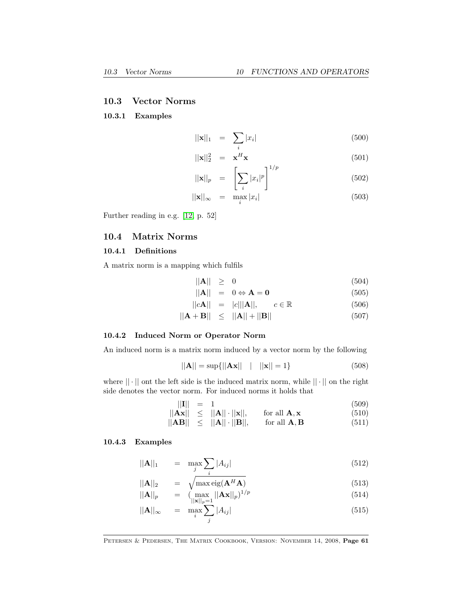### <span id="page-60-2"></span><span id="page-60-0"></span>10.3 Vector Norms

#### 10.3.1 Examples

$$
\|\mathbf{x}\|_1 = \sum_i |x_i| \tag{500}
$$

$$
||\mathbf{x}||_2^2 = \mathbf{x}^H \mathbf{x}
$$
\n
$$
\begin{bmatrix} 501 \end{bmatrix}
$$

$$
||\mathbf{x}||_p = \left[\sum_i |x_i|^p\right] \tag{502}
$$

$$
||\mathbf{x}||_{\infty} = \max_{i} |x_i| \tag{503}
$$

Further reading in e.g. [\[12,](#page-68-4) p. 52]

### <span id="page-60-1"></span>10.4 Matrix Norms

### 10.4.1 Definitions

A matrix norm is a mapping which fulfils

$$
\|\mathbf{A}\| \geq 0 \tag{504}
$$

$$
\|\mathbf{A}\| = 0 \Leftrightarrow \mathbf{A} = \mathbf{0} \tag{505}
$$

$$
||c\mathbf{A}|| = |c|||\mathbf{A}||, \qquad c \in \mathbb{R} \tag{506}
$$

$$
||\mathbf{A} + \mathbf{B}|| \le ||\mathbf{A}|| + ||\mathbf{B}|| \tag{507}
$$

#### 10.4.2 Induced Norm or Operator Norm

An induced norm is a matrix norm induced by a vector norm by the following

$$
||A|| = \sup{||Ax|| \quad | \quad ||x|| = 1}
$$
\n(508)

where  $|| \cdot ||$  ont the left side is the induced matrix norm, while  $|| \cdot ||$  on the right side denotes the vector norm. For induced norms it holds that

$$
||\mathbf{I}|| = 1 \tag{509}
$$

$$
\|\mathbf{A}\mathbf{x}\| \leq \|\mathbf{A}\| \cdot \|\mathbf{x}\|, \quad \text{for all } \mathbf{A}, \mathbf{x} \tag{510}
$$
  

$$
\|\mathbf{A}\mathbf{B}\| \leq \|\mathbf{A}\| \|\mathbf{B}\| \quad \text{for all } \mathbf{A}, \mathbf{B} \tag{511}
$$

$$
\|\mathbf{A}\mathbf{B}\| \leq \|\mathbf{A}\| \cdot \|\mathbf{B}\|, \quad \text{for all } \mathbf{A}, \mathbf{B} \tag{511}
$$

### 10.4.3 Examples

$$
\|\mathbf{A}\|_1 = \max_j \sum_i |A_{ij}| \tag{512}
$$

$$
\|\mathbf{A}\|_2 = \sqrt{\max_{\mathbf{e}} \text{eig}(\mathbf{A}^H \mathbf{A})}
$$
\n
$$
\|\mathbf{A}\|_p = (\max_{\mathbf{e}} \|\mathbf{A}\mathbf{x}\|_p)^{1/p}
$$
\n(513)

$$
||\mathbf{A}||_p = (\max_{||\mathbf{x}||_p=1} ||\mathbf{A}\mathbf{x}||_p)^{1/p} \tag{514}
$$

$$
||\mathbf{A}||_{\infty} = \max_{i} \sum_{j} |A_{ij}| \tag{515}
$$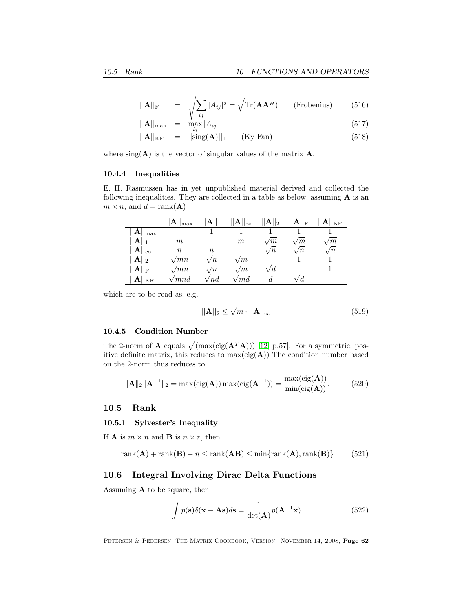$$
||\mathbf{A}||_{\mathrm{F}} = \sqrt{\sum_{ij} |A_{ij}|^2} = \sqrt{\mathrm{Tr}(\mathbf{A}\mathbf{A}^H)} \qquad \text{(Frobenius)} \tag{516}
$$

$$
||\mathbf{A}||_{\text{max}} = \max_{ij} |A_{ij}| \tag{517}
$$

$$
||\mathbf{A}||_{\mathrm{KF}} = ||\mathrm{sing}(\mathbf{A})||_1 \qquad (\mathrm{Ky}\ \mathrm{Fan}) \tag{518}
$$

where  $sing(\mathbf{A})$  is the vector of singular values of the matrix  $\mathbf{A}$ .

### 10.4.4 Inequalities

E. H. Rasmussen has in yet unpublished material derived and collected the following inequalities. They are collected in a table as below, assuming  $A$  is an  $m \times n$ , and  $d = \text{rank}(\mathbf{A})$ 

|                           | $  \mathbf{A}  _{\mathrm{max}}$ | $  \mathbf{A}  _1$ | $  \mathbf{A}  _{\infty}$                          | $  A  _2$  | $\ {\mathbf A}\ _{\rm F}$ | . $ {\bf A}  _{\rm KF}$ |
|---------------------------|---------------------------------|--------------------|----------------------------------------------------|------------|---------------------------|-------------------------|
| $\ {\mathbf{A}}\ _{\max}$ |                                 |                    |                                                    |            |                           |                         |
| $  \mathbf{A}  _1$        | m                               |                    | $m\,$                                              | $\sqrt{m}$ | $\sqrt{m}$                | $\sqrt{m}$              |
| $  \mathbf{A}  _{\infty}$ | $\, n$                          | $\it{n}$           |                                                    | $\sqrt{n}$ | $\sqrt{n}$                | $\sqrt{n}$              |
| $  \mathbf{A}  _2$        | $\sqrt{mn}$                     | $\sqrt{n}$         | $\sqrt{m}$                                         |            |                           |                         |
| $  \mathbf{A}  _\text{F}$ | $\sqrt{mn}$                     | $\sqrt{n}$         | $\sqrt{m}$                                         | $\sqrt{d}$ |                           |                         |
| $ {\bf A}  _{\rm KF}$     | 'mnd                            | $^{\prime}$ nd     | $\hspace{0.5pt}\textit{^{\prime}}\hspace{0.5pt}md$ | d          | V d                       |                         |

which are to be read as, e.g.

$$
||\mathbf{A}||_2 \le \sqrt{m} \cdot ||\mathbf{A}||_{\infty} \tag{519}
$$

#### 10.4.5 Condition Number

The 2-norm of **A** equals  $\sqrt{(\max(\text{eig}(\mathbf{A}^T\mathbf{A})))}$  [\[12,](#page-68-4) p.57]. For a symmetric, positive definite matrix, this reduces to  $max(eig(A))$  The condition number based on the 2-norm thus reduces to

$$
\|\mathbf{A}\|_2 \|\mathbf{A}^{-1}\|_2 = \max(\text{eig}(\mathbf{A})) \max(\text{eig}(\mathbf{A}^{-1})) = \frac{\max(\text{eig}(\mathbf{A}))}{\min(\text{eig}(\mathbf{A}))}. \tag{520}
$$

### <span id="page-61-0"></span>10.5 Rank

#### 10.5.1 Sylvester's Inequality

If **A** is  $m \times n$  and **B** is  $n \times r$ , then

$$
rank(\mathbf{A}) + rank(\mathbf{B}) - n \le rank(\mathbf{A}\mathbf{B}) \le min\{rank(\mathbf{A}), rank(\mathbf{B})\}
$$
(521)

### <span id="page-61-1"></span>10.6 Integral Involving Dirac Delta Functions

Assuming A to be square, then

$$
\int p(\mathbf{s})\delta(\mathbf{x} - \mathbf{A}\mathbf{s})d\mathbf{s} = \frac{1}{\det(\mathbf{A})}p(\mathbf{A}^{-1}\mathbf{x})
$$
\n(522)

PETERSEN & PEDERSEN, THE MATRIX COOKBOOK, VERSION: NOVEMBER 14, 2008, Page 62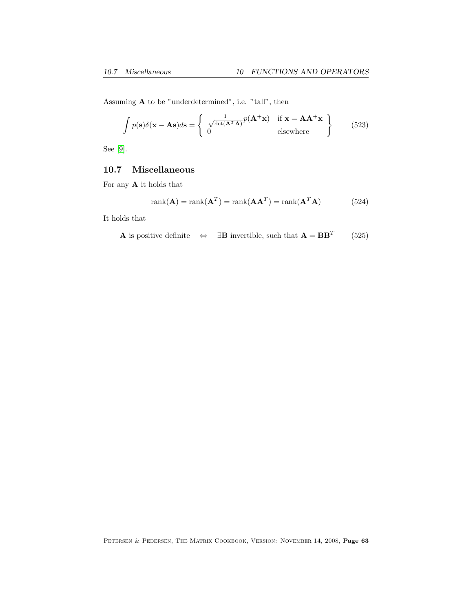Assuming A to be "underdetermined", i.e. "tall", then

$$
\int p(\mathbf{s})\delta(\mathbf{x} - \mathbf{A}\mathbf{s})d\mathbf{s} = \begin{cases} \frac{1}{\sqrt{\det(\mathbf{A}^T\mathbf{A})}}p(\mathbf{A}^+\mathbf{x}) & \text{if } \mathbf{x} = \mathbf{A}\mathbf{A}^+\mathbf{x} \\ 0 & \text{elsewhere} \end{cases}
$$
(523)

See [\[9\]](#page-68-0).

### <span id="page-62-0"></span>10.7 Miscellaneous

For any A it holds that

$$
rank(\mathbf{A}) = rank(\mathbf{A}^T) = rank(\mathbf{A}\mathbf{A}^T) = rank(\mathbf{A}^T\mathbf{A})
$$
\n(524)

It holds that

**A** is positive definite 
$$
\Leftrightarrow \exists B
$$
 invertible, such that  $A = BB^T$  (525)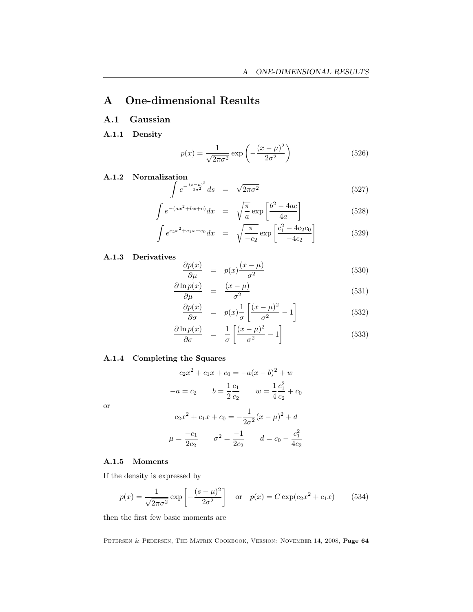# <span id="page-63-0"></span>A One-dimensional Results

### <span id="page-63-1"></span>A.1 Gaussian

A.1.1 Density

$$
p(x) = \frac{1}{\sqrt{2\pi\sigma^2}} \exp\left(-\frac{(x-\mu)^2}{2\sigma^2}\right)
$$
 (526)

A.1.2 Normalization

$$
\int e^{-\frac{(s-\mu)^2}{2\sigma^2}} ds = \sqrt{2\pi\sigma^2}
$$
 (527)

$$
\int e^{-(ax^2+bx+c)}dx = \sqrt{\frac{\pi}{a}} \exp\left[\frac{b^2-4ac}{4a}\right]
$$
\n(528)

$$
\int e^{c_2 x^2 + c_1 x + c_0} dx = \sqrt{\frac{\pi}{-c_2}} \exp\left[\frac{c_1^2 - 4c_2 c_0}{-4c_2}\right]
$$
(529)

### A.1.3 Derivatives

$$
\frac{\partial p(x)}{\partial \mu} = p(x) \frac{(x - \mu)}{\sigma^2} \tag{530}
$$

$$
\frac{\partial \ln p(x)}{\partial \mu} = \frac{(x - \mu)}{\sigma^2} \tag{531}
$$

$$
\frac{\partial p(x)}{\partial \sigma} = p(x) \frac{1}{\sigma} \left[ \frac{(x - \mu)^2}{\sigma^2} - 1 \right]
$$
\n(532)

$$
\frac{\partial \ln p(x)}{\partial \sigma} = \frac{1}{\sigma} \left[ \frac{(x - \mu)^2}{\sigma^2} - 1 \right]
$$
\n(533)

### A.1.4 Completing the Squares

$$
c_2x^2 + c_1x + c_0 = -a(x - b)^2 + w
$$

$$
-a = c_2 \t b = \frac{1}{2}\frac{c_1}{c_2} \t w = \frac{1}{4}\frac{c_1^2}{c_2} + c_0
$$

or

$$
c_2x^2 + c_1x + c_0 = -\frac{1}{2\sigma^2}(x - \mu)^2 + d
$$

$$
\mu = \frac{-c_1}{2c_2} \qquad \sigma^2 = \frac{-1}{2c_2} \qquad d = c_0 - \frac{c_1^2}{4c_2}
$$

### A.1.5 Moments

If the density is expressed by

$$
p(x) = \frac{1}{\sqrt{2\pi\sigma^2}} \exp\left[-\frac{(s-\mu)^2}{2\sigma^2}\right] \quad \text{or} \quad p(x) = C \exp(c_2 x^2 + c_1 x) \tag{534}
$$

then the first few basic moments are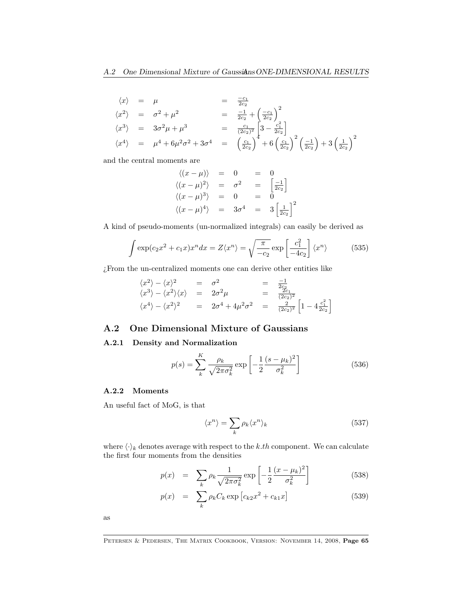$$
\langle x \rangle = \mu = \frac{-c_1}{2c_2}
$$
  
\n
$$
\langle x^2 \rangle = \sigma^2 + \mu^2 = \frac{-1}{2c_2} + \left(\frac{-c_1}{2c_2}\right)^2
$$
  
\n
$$
\langle x^3 \rangle = 3\sigma^2\mu + \mu^3 = \frac{c_1}{(2c_2)^2} \left[3 - \frac{c_1^2}{2c_2}\right]
$$
  
\n
$$
\langle x^4 \rangle = \mu^4 + 6\mu^2\sigma^2 + 3\sigma^4 = \left(\frac{c_1}{2c_2}\right)^4 + 6\left(\frac{c_1}{2c_2}\right)^2 \left(\frac{-1}{2c_2}\right) + 3\left(\frac{1}{2c_2}\right)^2
$$

and the central moments are

$$
\langle (x - \mu) \rangle = 0 = 0
$$
  

$$
\langle (x - \mu)^2 \rangle = \sigma^2 = \left[ \frac{-1}{2c_2} \right]
$$
  

$$
\langle (x - \mu)^3 \rangle = 0 = 0
$$
  

$$
\langle (x - \mu)^4 \rangle = 3\sigma^4 = 3\left[ \frac{1}{2c_2} \right]^2
$$

A kind of pseudo-moments (un-normalized integrals) can easily be derived as

$$
\int \exp(c_2 x^2 + c_1 x) x^n dx = Z \langle x^n \rangle = \sqrt{\frac{\pi}{-c_2}} \exp\left[\frac{c_1^2}{-4c_2}\right] \langle x^n \rangle \tag{535}
$$

¿From the un-centralized moments one can derive other entities like

$$
\langle x^2 \rangle - \langle x \rangle^2 = \sigma^2 = \frac{-1}{2c_2}
$$
  
\n
$$
\langle x^3 \rangle - \langle x^2 \rangle \langle x \rangle = 2\sigma^2 \mu = \frac{2c_1}{(2c_2)^2}
$$
  
\n
$$
\langle x^4 \rangle - \langle x^2 \rangle^2 = 2\sigma^4 + 4\mu^2 \sigma^2 = \frac{2}{(2c_2)^2} \left[ 1 - 4 \frac{c_1^2}{2c_2} \right]
$$

### <span id="page-64-0"></span>A.2 One Dimensional Mixture of Gaussians

#### A.2.1 Density and Normalization

$$
p(s) = \sum_{k}^{K} \frac{\rho_k}{\sqrt{2\pi\sigma_k^2}} \exp\left[-\frac{1}{2}\frac{(s-\mu_k)^2}{\sigma_k^2}\right]
$$
(536)

### A.2.2 Moments

An useful fact of MoG, is that

$$
\langle x^n \rangle = \sum_k \rho_k \langle x^n \rangle_k \tag{537}
$$

where  $\langle \cdot \rangle_k$  denotes average with respect to the k.th component. We can calculate the first four moments from the densities

$$
p(x) = \sum_{k} \rho_k \frac{1}{\sqrt{2\pi\sigma_k^2}} \exp\left[-\frac{1}{2}\frac{(x-\mu_k)^2}{\sigma_k^2}\right]
$$
(538)

$$
p(x) = \sum_{k} \rho_k C_k \exp [c_{k2}x^2 + c_{k1}x]
$$
 (539)

as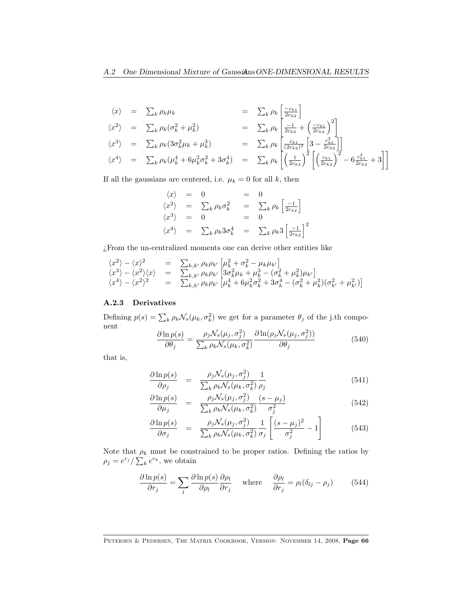$$
\langle x \rangle = \sum_{k} \rho_{k} \mu_{k} = \sum_{k} \rho_{k} \left[ \frac{-c_{k1}}{2c_{k2}} \right]
$$
  
\n
$$
\langle x^{2} \rangle = \sum_{k} \rho_{k} (\sigma_{k}^{2} + \mu_{k}^{2}) = \sum_{k} \rho_{k} \left[ \frac{-1}{2c_{k2}} + \left( \frac{-c_{k1}}{2c_{k2}} \right)^{2} \right]
$$
  
\n
$$
\langle x^{3} \rangle = \sum_{k} \rho_{k} (3\sigma_{k}^{2} \mu_{k} + \mu_{k}^{3}) = \sum_{k} \rho_{k} \left[ \frac{c_{k1}}{(2c_{k2})^{2}} \left[ 3 - \frac{c_{k1}^{2}}{2c_{k2}} \right] \right]
$$
  
\n
$$
\langle x^{4} \rangle = \sum_{k} \rho_{k} (\mu_{k}^{4} + 6\mu_{k}^{2} \sigma_{k}^{2} + 3\sigma_{k}^{4}) = \sum_{k} \rho_{k} \left[ \left( \frac{1}{2c_{k2}} \right)^{2} \left[ \left( \frac{c_{k1}}{2c_{k2}} \right)^{2} - 6 \frac{c_{k1}^{2}}{2c_{k2}} + 3 \right] \right]
$$

If all the gaussians are centered, i.e.  $\mu_k=0$  for all  $k,$  then

$$
\langle x \rangle = 0 = 0
$$
  
\n
$$
\langle x^2 \rangle = \sum_k \rho_k \sigma_k^2 = \sum_k \rho_k \left[ \frac{-1}{2c_{k2}} \right]
$$
  
\n
$$
\langle x^3 \rangle = 0 = 0
$$
  
\n
$$
\langle x^4 \rangle = \sum_k \rho_k 3 \sigma_k^4 = \sum_k \rho_k 3 \left[ \frac{-1}{2c_{k2}} \right]^2
$$

¿From the un-centralized moments one can derive other entities like

$$
\begin{array}{rcl}\n\langle x^2 \rangle - \langle x \rangle^2 & = & \sum_{k,k'} \rho_k \rho_{k'} \left[ \mu_k^2 + \sigma_k^2 - \mu_k \mu_{k'} \right] \\
\langle x^3 \rangle - \langle x^2 \rangle \langle x \rangle & = & \sum_{k,k'} \rho_k \rho_{k'} \left[ 3\sigma_k^2 \mu_k + \mu_k^3 - (\sigma_k^2 + \mu_k^2) \mu_{k'} \right] \\
\langle x^4 \rangle - \langle x^2 \rangle^2 & = & \sum_{k,k'} \rho_k \rho_{k'} \left[ \mu_k^4 + 6\mu_k^2 \sigma_k^2 + 3\sigma_k^4 - (\sigma_k^2 + \mu_k^2)(\sigma_k^2 + \mu_{k'}^2) \right]\n\end{array}
$$

### A.2.3 Derivatives

Defining  $p(s) = \sum_{k} \rho_k \mathcal{N}_s(\mu_k, \sigma_k^2)$  we get for a parameter  $\theta_j$  of the j.th component

$$
\frac{\partial \ln p(s)}{\partial \theta_j} = \frac{\rho_j \mathcal{N}_s(\mu_j, \sigma_j^2)}{\sum_k \rho_k \mathcal{N}_s(\mu_k, \sigma_k^2)} \frac{\partial \ln(\rho_j \mathcal{N}_s(\mu_j, \sigma_j^2))}{\partial \theta_j} \tag{540}
$$

that is,

$$
\frac{\partial \ln p(s)}{\partial \rho_j} = \frac{\rho_j \mathcal{N}_s(\mu_j, \sigma_j^2)}{\sum_k \rho_k \mathcal{N}_s(\mu_k, \sigma_k^2)} \frac{1}{\rho_j} \tag{541}
$$

$$
\frac{\partial \ln p(s)}{\partial \mu_j} = \frac{\rho_j \mathcal{N}_s(\mu_j, \sigma_j^2)}{\sum_k \rho_k \mathcal{N}_s(\mu_k, \sigma_k^2)} \frac{(s - \mu_j)}{\sigma_j^2}
$$
(542)

$$
\frac{\partial \ln p(s)}{\partial \sigma_j} = \frac{\rho_j \mathcal{N}_s(\mu_j, \sigma_j^2)}{\sum_k \rho_k \mathcal{N}_s(\mu_k, \sigma_k^2)} \frac{1}{\sigma_j} \left[ \frac{(s - \mu_j)^2}{\sigma_j^2} - 1 \right]
$$
(543)

Note that  $\rho_k$  must be constrained to be proper ratios. Defining the ratios by  $\rho_j = e^{r_j} / \sum_k e^{r_k}$ , we obtain

$$
\frac{\partial \ln p(s)}{\partial r_j} = \sum_l \frac{\partial \ln p(s)}{\partial \rho_l} \frac{\partial \rho_l}{\partial r_j} \quad \text{where} \quad \frac{\partial \rho_l}{\partial r_j} = \rho_l (\delta_{lj} - \rho_j) \tag{544}
$$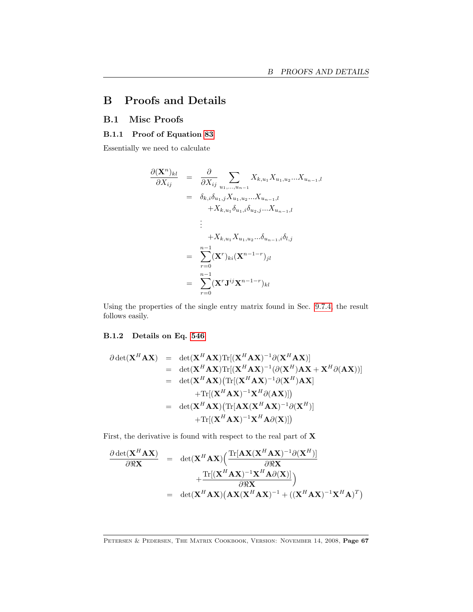# <span id="page-66-0"></span>B Proofs and Details

### <span id="page-66-1"></span>B.1 Misc Proofs

### <span id="page-66-2"></span>B.1.1 Proof of Equation [83](#page-10-1)

Essentially we need to calculate

$$
\frac{\partial (\mathbf{X}^{n})_{kl}}{\partial X_{ij}} = \frac{\partial}{\partial X_{ij}} \sum_{u_1, ..., u_{n-1}} X_{k, u_1} X_{u_1, u_2} ... X_{u_{n-1}, l}
$$
\n
$$
= \delta_{k,i} \delta_{u_1,j} X_{u_1, u_2} ... X_{u_{n-1}, l}
$$
\n
$$
+ X_{k, u_1} \delta_{u_1,i} \delta_{u_2,j} ... X_{u_{n-1}, l}
$$
\n
$$
\vdots
$$
\n
$$
+ X_{k, u_1} X_{u_1, u_2} ... \delta_{u_{n-1}, i} \delta_{l,j}
$$
\n
$$
= \sum_{r=0}^{n-1} (\mathbf{X}^{r})_{ki} (\mathbf{X}^{n-1-r})_{jl}
$$
\n
$$
= \sum_{r=0}^{n-1} (\mathbf{X}^{r} \mathbf{J}^{ij} \mathbf{X}^{n-1-r})_{kl}
$$

Using the properties of the single entry matrix found in Sec. [9.7.4,](#page-51-0) the result follows easily.

### <span id="page-66-3"></span>B.1.2 Details on Eq. [546](#page-67-0)

$$
\partial \det(\mathbf{X}^{H} \mathbf{A} \mathbf{X}) = \det(\mathbf{X}^{H} \mathbf{A} \mathbf{X}) \text{Tr}[(\mathbf{X}^{H} \mathbf{A} \mathbf{X})^{-1} \partial (\mathbf{X}^{H} \mathbf{A} \mathbf{X})]
$$
\n
$$
= \det(\mathbf{X}^{H} \mathbf{A} \mathbf{X}) \text{Tr}[(\mathbf{X}^{H} \mathbf{A} \mathbf{X})^{-1} (\partial (\mathbf{X}^{H}) \mathbf{A} \mathbf{X} + \mathbf{X}^{H} \partial (\mathbf{A} \mathbf{X}))]
$$
\n
$$
= \det(\mathbf{X}^{H} \mathbf{A} \mathbf{X}) (\text{Tr}[(\mathbf{X}^{H} \mathbf{A} \mathbf{X})^{-1} \partial (\mathbf{X}^{H}) \mathbf{A} \mathbf{X}]
$$
\n
$$
+ \text{Tr}[(\mathbf{X}^{H} \mathbf{A} \mathbf{X})^{-1} \mathbf{X}^{H} \partial (\mathbf{A} \mathbf{X})]]
$$
\n
$$
= \det(\mathbf{X}^{H} \mathbf{A} \mathbf{X}) (\text{Tr}[\mathbf{A} \mathbf{X} (\mathbf{X}^{H} \mathbf{A} \mathbf{X})^{-1} \partial (\mathbf{X}^{H})]
$$
\n
$$
+ \text{Tr}[(\mathbf{X}^{H} \mathbf{A} \mathbf{X})^{-1} \mathbf{X}^{H} \mathbf{A} \partial (\mathbf{X})])
$$

First, the derivative is found with respect to the real part of  $X$ 

$$
\frac{\partial \det(\mathbf{X}^{H} \mathbf{A} \mathbf{X})}{\partial \Re \mathbf{X}} = \det(\mathbf{X}^{H} \mathbf{A} \mathbf{X}) \Big( \frac{\text{Tr}[\mathbf{A} \mathbf{X} (\mathbf{X}^{H} \mathbf{A} \mathbf{X})^{-1} \partial (\mathbf{X}^{H})]}{\partial \Re \mathbf{X}} + \frac{\text{Tr}[(\mathbf{X}^{H} \mathbf{A} \mathbf{X})^{-1} \mathbf{X}^{H} \mathbf{A} \partial(\mathbf{X})]}{\partial \Re \mathbf{X}} \Big)
$$
  
= det( $\mathbf{X}^{H} \mathbf{A} \mathbf{X}$ )( $\mathbf{A} \mathbf{X} (\mathbf{X}^{H} \mathbf{A} \mathbf{X})^{-1} + ((\mathbf{X}^{H} \mathbf{A} \mathbf{X})^{-1} \mathbf{X}^{H} \mathbf{A})^{T}$ )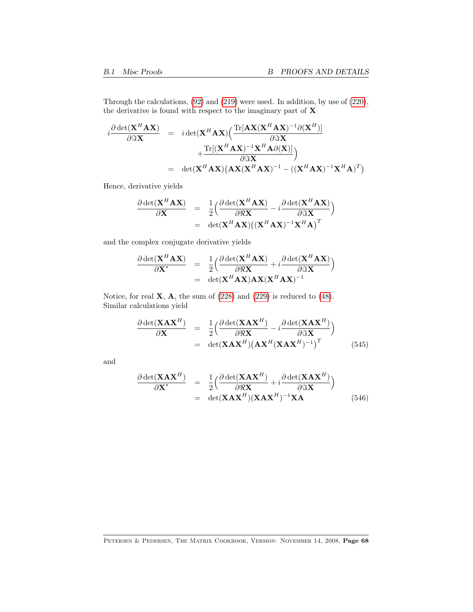Through the calculations, [\(92\)](#page-11-1) and [\(219\)](#page-24-2) were used. In addition, by use of [\(220\)](#page-24-2), the derivative is found with respect to the imaginary part of X

$$
i \frac{\partial \det(\mathbf{X}^{H} \mathbf{A} \mathbf{X})}{\partial \Im \mathbf{X}} = i \det(\mathbf{X}^{H} \mathbf{A} \mathbf{X}) \left( \frac{\text{Tr}[\mathbf{A} \mathbf{X} (\mathbf{X}^{H} \mathbf{A} \mathbf{X})^{-1} \partial (\mathbf{X}^{H})]}{\partial \Im \mathbf{X}} + \frac{\text{Tr}[(\mathbf{X}^{H} \mathbf{A} \mathbf{X})^{-1} \mathbf{X}^{H} \mathbf{A} \partial(\mathbf{X})]}{\partial \Im \mathbf{X}} \right)
$$
  
= det( $\mathbf{X}^{H} \mathbf{A} \mathbf{X}$ )( $\mathbf{A} \mathbf{X} (\mathbf{X}^{H} \mathbf{A} \mathbf{X})^{-1} - ((\mathbf{X}^{H} \mathbf{A} \mathbf{X})^{-1} \mathbf{X}^{H} \mathbf{A})^{T}$ )

Hence, derivative yields

$$
\frac{\partial \det(\mathbf{X}^H \mathbf{A} \mathbf{X})}{\partial \mathbf{X}} = \frac{1}{2} \Big( \frac{\partial \det(\mathbf{X}^H \mathbf{A} \mathbf{X})}{\partial \Re \mathbf{X}} - i \frac{\partial \det(\mathbf{X}^H \mathbf{A} \mathbf{X})}{\partial \Im \mathbf{X}} \Big)
$$
  
= det( $\mathbf{X}^H \mathbf{A} \mathbf{X}$ )(( $\mathbf{X}^H \mathbf{A} \mathbf{X}$ )<sup>-1</sup> $\mathbf{X}^H \mathbf{A}$ )<sup>T</sup>

and the complex conjugate derivative yields

$$
\frac{\partial \det(\mathbf{X}^H \mathbf{A} \mathbf{X})}{\partial \mathbf{X}^*} = \frac{1}{2} \Big( \frac{\partial \det(\mathbf{X}^H \mathbf{A} \mathbf{X})}{\partial \Re \mathbf{X}} + i \frac{\partial \det(\mathbf{X}^H \mathbf{A} \mathbf{X})}{\partial \Im \mathbf{X}} \Big) \n= \det(\mathbf{X}^H \mathbf{A} \mathbf{X}) \mathbf{A} \mathbf{X} (\mathbf{X}^H \mathbf{A} \mathbf{X})^{-1}
$$

Notice, for real  $X$ ,  $A$ , the sum of  $(228)$  and  $(229)$  is reduced to  $(48)$ . Similar calculations yield

$$
\frac{\partial \det(\mathbf{X} \mathbf{A} \mathbf{X}^H)}{\partial \mathbf{X}} = \frac{1}{2} \Big( \frac{\partial \det(\mathbf{X} \mathbf{A} \mathbf{X}^H)}{\partial \Re \mathbf{X}} - i \frac{\partial \det(\mathbf{X} \mathbf{A} \mathbf{X}^H)}{\partial \Im \mathbf{X}} \Big) \n= \det(\mathbf{X} \mathbf{A} \mathbf{X}^H) \big( \mathbf{A} \mathbf{X}^H (\mathbf{X} \mathbf{A} \mathbf{X}^H)^{-1} \big)^T
$$
\n(545)

and

<span id="page-67-0"></span>
$$
\frac{\partial \det(\mathbf{X} \mathbf{A} \mathbf{X}^H)}{\partial \mathbf{X}^*} = \frac{1}{2} \Big( \frac{\partial \det(\mathbf{X} \mathbf{A} \mathbf{X}^H)}{\partial \Re \mathbf{X}} + i \frac{\partial \det(\mathbf{X} \mathbf{A} \mathbf{X}^H)}{\partial \Im \mathbf{X}} \Big) \n= \det(\mathbf{X} \mathbf{A} \mathbf{X}^H) (\mathbf{X} \mathbf{A} \mathbf{X}^H)^{-1} \mathbf{X} \mathbf{A}
$$
\n(546)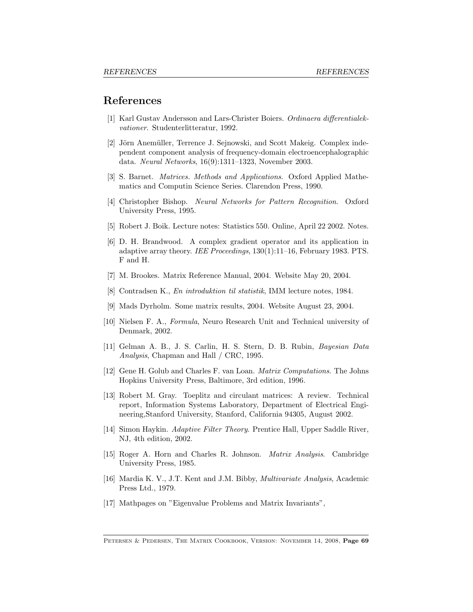### References

- <span id="page-68-15"></span>[1] Karl Gustav Andersson and Lars-Christer Boiers. Ordinaera differentialekvationer. Studenterlitteratur, 1992.
- <span id="page-68-8"></span>[2] Jörn Anemüller, Terrence J. Sejnowski, and Scott Makeig. Complex independent component analysis of frequency-domain electroencephalographic data. Neural Networks, 16(9):1311–1323, November 2003.
- <span id="page-68-6"></span>[3] S. Barnet. Matrices. Methods and Applications. Oxford Applied Mathematics and Computin Science Series. Clarendon Press, 1990.
- <span id="page-68-5"></span>[4] Christopher Bishop. Neural Networks for Pattern Recognition. Oxford University Press, 1995.
- <span id="page-68-3"></span>[5] Robert J. Boik. Lecture notes: Statistics 550. Online, April 22 2002. Notes.
- <span id="page-68-7"></span>[6] D. H. Brandwood. A complex gradient operator and its application in adaptive array theory. IEE Proceedings, 130(1):11–16, February 1983. PTS. F and H.
- <span id="page-68-1"></span>[7] M. Brookes. Matrix Reference Manual, 2004. Website May 20, 2004.
- <span id="page-68-11"></span>[8] Contradsen K., En introduktion til statistik, IMM lecture notes, 1984.
- <span id="page-68-0"></span>[9] Mads Dyrholm. Some matrix results, 2004. Website August 23, 2004.
- [10] Nielsen F. A., Formula, Neuro Research Unit and Technical university of Denmark, 2002.
- <span id="page-68-12"></span>[11] Gelman A. B., J. S. Carlin, H. S. Stern, D. B. Rubin, Bayesian Data Analysis, Chapman and Hall / CRC, 1995.
- <span id="page-68-4"></span>[12] Gene H. Golub and Charles F. van Loan. Matrix Computations. The Johns Hopkins University Press, Baltimore, 3rd edition, 1996.
- <span id="page-68-14"></span>[13] Robert M. Gray. Toeplitz and circulant matrices: A review. Technical report, Information Systems Laboratory, Department of Electrical Engineering,Stanford University, Stanford, California 94305, August 2002.
- <span id="page-68-2"></span>[14] Simon Haykin. Adaptive Filter Theory. Prentice Hall, Upper Saddle River, NJ, 4th edition, 2002.
- <span id="page-68-13"></span>[15] Roger A. Horn and Charles R. Johnson. Matrix Analysis. Cambridge University Press, 1985.
- <span id="page-68-10"></span>[16] Mardia K. V., J.T. Kent and J.M. Bibby, Multivariate Analysis, Academic Press Ltd., 1979.
- <span id="page-68-9"></span>[17] Mathpages on "Eigenvalue Problems and Matrix Invariants",

PETERSEN & PEDERSEN, THE MATRIX COOKBOOK, VERSION: NOVEMBER 14, 2008, Page 69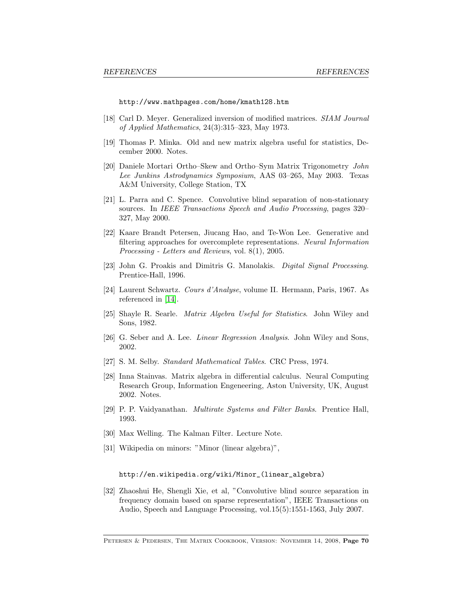http://www.mathpages.com/home/kmath128.htm

- <span id="page-69-5"></span>[18] Carl D. Meyer. Generalized inversion of modified matrices. SIAM Journal of Applied Mathematics, 24(3):315–323, May 1973.
- <span id="page-69-0"></span>[19] Thomas P. Minka. Old and new matrix algebra useful for statistics, December 2000. Notes.
- <span id="page-69-12"></span>[20] Daniele Mortari Ortho–Skew and Ortho–Sym Matrix Trigonometry John Lee Junkins Astrodynamics Symposium, AAS 03–265, May 2003. Texas A&M University, College Station, TX
- <span id="page-69-9"></span>[21] L. Parra and C. Spence. Convolutive blind separation of non-stationary sources. In IEEE Transactions Speech and Audio Processing, pages 320– 327, May 2000.
- <span id="page-69-6"></span>[22] Kaare Brandt Petersen, Jiucang Hao, and Te-Won Lee. Generative and filtering approaches for overcomplete representations. Neural Information Processing - Letters and Reviews, vol. 8(1), 2005.
- <span id="page-69-11"></span>[23] John G. Proakis and Dimitris G. Manolakis. Digital Signal Processing. Prentice-Hall, 1996.
- <span id="page-69-8"></span>[24] Laurent Schwartz. Cours d'Analyse, volume II. Hermann, Paris, 1967. As referenced in [\[14\]](#page-68-2).
- <span id="page-69-4"></span>[25] Shayle R. Searle. Matrix Algebra Useful for Statistics. John Wiley and Sons, 1982.
- <span id="page-69-7"></span>[26] G. Seber and A. Lee. Linear Regression Analysis. John Wiley and Sons, 2002.
- <span id="page-69-1"></span>[27] S. M. Selby. Standard Mathematical Tables. CRC Press, 1974.
- [28] Inna Stainvas. Matrix algebra in differential calculus. Neural Computing Research Group, Information Engeneering, Aston University, UK, August 2002. Notes.
- <span id="page-69-13"></span>[29] P. P. Vaidyanathan. Multirate Systems and Filter Banks. Prentice Hall, 1993.
- <span id="page-69-3"></span>[30] Max Welling. The Kalman Filter. Lecture Note.
- <span id="page-69-10"></span>[31] Wikipedia on minors: "Minor (linear algebra)",

http://en.wikipedia.org/wiki/Minor\_(linear\_algebra)

<span id="page-69-2"></span>[32] Zhaoshui He, Shengli Xie, et al, "Convolutive blind source separation in frequency domain based on sparse representation", IEEE Transactions on Audio, Speech and Language Processing, vol.15(5):1551-1563, July 2007.

PETERSEN & PEDERSEN, THE MATRIX COOKBOOK, VERSION: NOVEMBER 14, 2008, Page 70